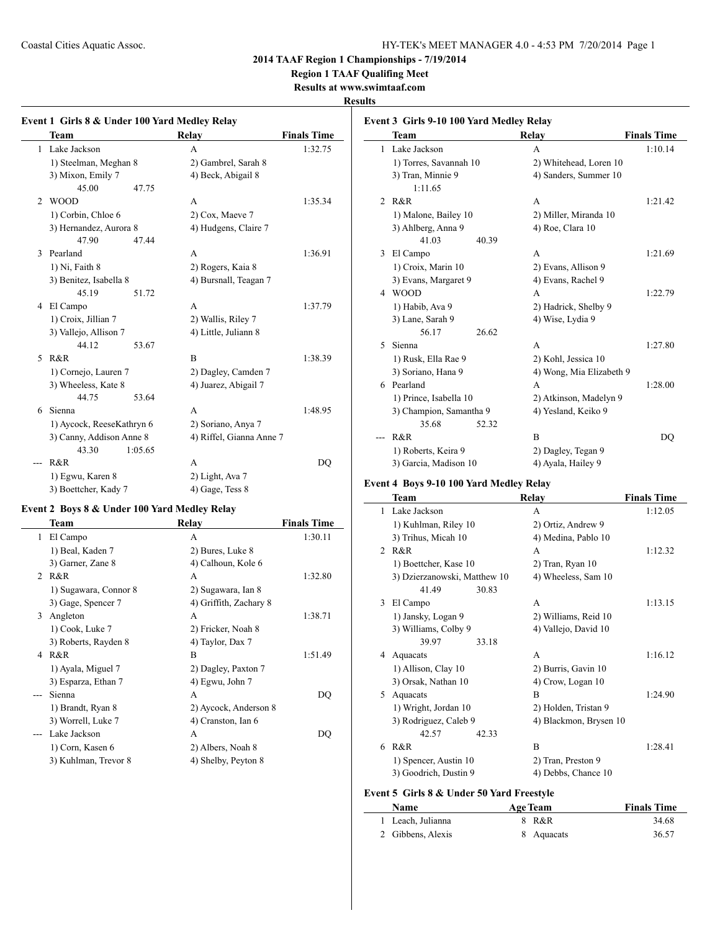**Region 1 TAAF Qualifing Meet**

**Results at www.swimtaaf.com**

## **Results**

 $\overline{a}$ 

|                | Team                      |         | Relay                    | <b>Finals Time</b> |
|----------------|---------------------------|---------|--------------------------|--------------------|
|                | 1 Lake Jackson            |         | A                        | 1:32.75            |
|                | 1) Steelman, Meghan 8     |         | 2) Gambrel, Sarah 8      |                    |
|                | 3) Mixon, Emily 7         |         | 4) Beck, Abigail 8       |                    |
|                | 45.00                     | 47.75   |                          |                    |
| $\mathfrak{D}$ | <b>WOOD</b>               |         | A                        | 1:35.34            |
|                | 1) Corbin, Chloe 6        |         | 2) Cox, Maeve 7          |                    |
|                | 3) Hernandez, Aurora 8    |         | 4) Hudgens, Claire 7     |                    |
|                | 47.90                     | 47.44   |                          |                    |
| 3              | Pearland                  |         | A                        | 1:36.91            |
|                | 1) Ni, Faith 8            |         | 2) Rogers, Kaia 8        |                    |
|                | 3) Benitez, Isabella 8    |         | 4) Bursnall, Teagan 7    |                    |
|                | 45.19                     | 51.72   |                          |                    |
| 4              | El Campo                  |         | A                        | 1:37.79            |
|                | 1) Croix, Jillian 7       |         | 2) Wallis, Riley 7       |                    |
|                | 3) Vallejo, Allison 7     |         | 4) Little, Juliann 8     |                    |
|                | 44.12                     | 53.67   |                          |                    |
| 5              | R&R                       |         | B                        | 1:38.39            |
|                | 1) Cornejo, Lauren 7      |         | 2) Dagley, Camden 7      |                    |
|                | 3) Wheeless, Kate 8       |         | 4) Juarez, Abigail 7     |                    |
|                | 44.75                     | 53.64   |                          |                    |
| 6              | Sienna                    |         | A                        | 1:48.95            |
|                | 1) Aycock, ReeseKathryn 6 |         | 2) Soriano, Anya 7       |                    |
|                | 3) Canny, Addison Anne 8  |         | 4) Riffel, Gianna Anne 7 |                    |
|                | 43.30                     | 1:05.65 |                          |                    |
|                | R&R                       |         | A                        | D <sub>O</sub>     |
|                | 1) Egwu, Karen 8          |         | 2) Light, Ava 7          |                    |
|                | 3) Boettcher, Kady 7      |         | 4) Gage, Tess 8          |                    |

## **Event 2 Boys 8 & Under 100 Yard Medley Relay**

|                               | Team                  | Relay                  | <b>Finals Time</b> |
|-------------------------------|-----------------------|------------------------|--------------------|
| 1                             | El Campo              | A                      | 1:30.11            |
|                               | 1) Beal, Kaden 7      | 2) Bures, Luke 8       |                    |
|                               | 3) Garner, Zane 8     | 4) Calhoun, Kole 6     |                    |
| $\mathfrak{D}_{\mathfrak{p}}$ | R&R                   | A                      | 1:32.80            |
|                               | 1) Sugawara, Connor 8 | 2) Sugawara, Ian 8     |                    |
|                               | 3) Gage, Spencer 7    | 4) Griffith, Zachary 8 |                    |
| 3                             | Angleton              | A                      | 1:38.71            |
|                               | 1) Cook, Luke 7       | 2) Fricker, Noah 8     |                    |
|                               | 3) Roberts, Rayden 8  | 4) Taylor, Dax 7       |                    |
| 4                             | R&R                   | B                      | 1:51.49            |
|                               | 1) Ayala, Miguel 7    | 2) Dagley, Paxton 7    |                    |
|                               | 3) Esparza, Ethan 7   | 4) Egwu, John 7        |                    |
|                               | Sienna                | A                      | DO                 |
|                               | 1) Brandt, Ryan 8     | 2) Aycock, Anderson 8  |                    |
|                               | 3) Worrell, Luke 7    | 4) Cranston, Ian 6     |                    |
|                               | Lake Jackson          | A                      | DO                 |
|                               | 1) Corn, Kasen 6      | 2) Albers, Noah 8      |                    |
|                               | 3) Kuhlman, Trevor 8  | 4) Shelby, Peyton 8    |                    |

|   | Event 3 Girls 9-10 100 Yard Medley Relay |                          |                    |  |  |
|---|------------------------------------------|--------------------------|--------------------|--|--|
|   | Team                                     | Relay                    | <b>Finals Time</b> |  |  |
| 1 | Lake Jackson                             | A                        | 1:10.14            |  |  |
|   | 1) Torres, Savannah 10                   | 2) Whitehead, Loren 10   |                    |  |  |
|   | 3) Tran, Minnie 9                        | 4) Sanders, Summer 10    |                    |  |  |
|   | 1:11.65                                  |                          |                    |  |  |
| 2 | R&R                                      | A                        | 1:21.42            |  |  |
|   | 1) Malone, Bailey 10                     | 2) Miller, Miranda 10    |                    |  |  |
|   | 3) Ahlberg, Anna 9                       | 4) Roe, Clara 10         |                    |  |  |
|   | 41.03<br>40.39                           |                          |                    |  |  |
| 3 | El Campo                                 | A                        | 1:21.69            |  |  |
|   | 1) Croix, Marin 10                       | 2) Evans, Allison 9      |                    |  |  |
|   | 3) Evans, Margaret 9                     | 4) Evans, Rachel 9       |                    |  |  |
|   | 4 WOOD                                   | A                        | 1:22.79            |  |  |
|   | 1) Habib, Ava 9                          | 2) Hadrick, Shelby 9     |                    |  |  |
|   | 3) Lane, Sarah 9                         | 4) Wise, Lydia 9         |                    |  |  |
|   | 26.62<br>56.17                           |                          |                    |  |  |
| 5 | Sienna                                   | A                        | 1:27.80            |  |  |
|   | 1) Rusk, Ella Rae 9                      | 2) Kohl, Jessica 10      |                    |  |  |
|   | 3) Soriano, Hana 9                       | 4) Wong, Mia Elizabeth 9 |                    |  |  |
| 6 | Pearland                                 | A                        | 1:28.00            |  |  |
|   | 1) Prince, Isabella 10                   | 2) Atkinson, Madelyn 9   |                    |  |  |
|   | 3) Champion, Samantha 9                  | 4) Yesland, Keiko 9      |                    |  |  |
|   | 35.68<br>52.32                           |                          |                    |  |  |
|   | R&R                                      | B                        | DQ                 |  |  |
|   | 1) Roberts, Keira 9                      | 2) Dagley, Tegan 9       |                    |  |  |
|   | 3) Garcia, Madison 10                    | 4) Ayala, Hailey 9       |                    |  |  |

## **Event 4 Boys 9-10 100 Yard Medley Relay**

|                | <b>Team</b>                  | Relay                  | <b>Finals Time</b> |
|----------------|------------------------------|------------------------|--------------------|
| 1              | Lake Jackson                 | A                      | 1:12.05            |
|                | 1) Kuhlman, Riley 10         | 2) Ortiz, Andrew 9     |                    |
|                | 3) Trihus, Micah 10          | 4) Medina, Pablo 10    |                    |
| $\mathfrak{D}$ | $R\&R$                       | A                      | 1:12.32            |
|                | 1) Boettcher, Kase 10        | 2) Tran, Ryan 10       |                    |
|                | 3) Dzierzanowski, Matthew 10 | 4) Wheeless, Sam 10    |                    |
|                | 41.49<br>30.83               |                        |                    |
| 3              | El Campo                     | A                      | 1:13.15            |
|                | 1) Jansky, Logan 9           | 2) Williams, Reid 10   |                    |
|                | 3) Williams, Colby 9         | 4) Vallejo, David 10   |                    |
|                | 39.97<br>33.18               |                        |                    |
| 4              | Aquacats                     | A                      | 1:16.12            |
|                | 1) Allison, Clay 10          | 2) Burris, Gavin 10    |                    |
|                | 3) Orsak, Nathan 10          | 4) Crow, Logan 10      |                    |
| 5              | Aquacats                     | B                      | 1:24.90            |
|                | 1) Wright, Jordan 10         | 2) Holden, Tristan 9   |                    |
|                | 3) Rodriguez, Caleb 9        | 4) Blackmon, Brysen 10 |                    |
|                | 42.57<br>42.33               |                        |                    |
| 6              | R&R                          | B                      | 1:28.41            |
|                | 1) Spencer, Austin 10        | 2) Tran, Preston 9     |                    |
|                | 3) Goodrich, Dustin 9        | 4) Debbs, Chance 10    |                    |
|                |                              |                        |                    |

# **Event 5 Girls 8 & Under 50 Yard Freestyle**

| <b>Name</b>       | <b>Age Team</b> | <b>Finals Time</b> |
|-------------------|-----------------|--------------------|
| 1 Leach, Julianna | 8 R&R           | 34.68              |
| 2 Gibbens, Alexis | 8 Aquacats      | 36.57              |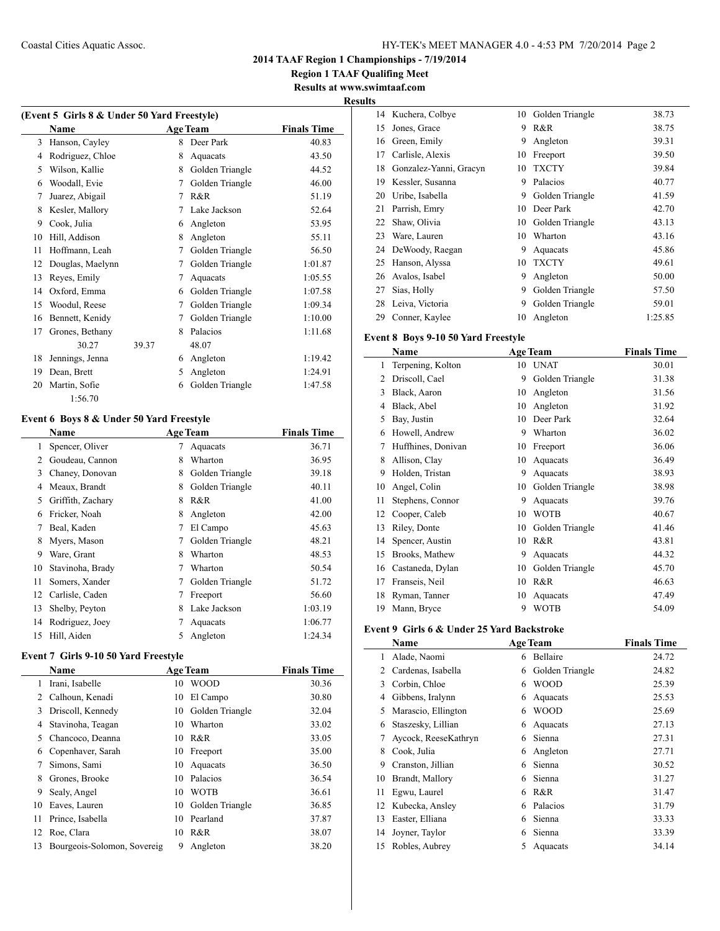**Region 1 TAAF Qualifing Meet Results at www.swimtaaf.com**

# **Results**

| (Event 5 Girls 8 & Under 50 Yard Freestyle) |                  |       |   |                 |                    |
|---------------------------------------------|------------------|-------|---|-----------------|--------------------|
|                                             | <b>Name</b>      |       |   | <b>Age Team</b> | <b>Finals Time</b> |
| 3                                           | Hanson, Cayley   |       | 8 | Deer Park       | 40.83              |
| 4                                           | Rodriguez, Chloe |       | 8 | Aquacats        | 43.50              |
| 5                                           | Wilson, Kallie   |       | 8 | Golden Triangle | 44.52              |
| 6                                           | Woodall, Evie    |       | 7 | Golden Triangle | 46.00              |
| 7                                           | Juarez, Abigail  |       | 7 | R&R             | 51.19              |
| 8                                           | Kesler, Mallory  |       | 7 | Lake Jackson    | 52.64              |
| 9                                           | Cook, Julia      |       | 6 | Angleton        | 53.95              |
| 10                                          | Hill, Addison    |       | 8 | Angleton        | 55.11              |
| 11                                          | Hoffmann, Leah   |       | 7 | Golden Triangle | 56.50              |
| 12                                          | Douglas, Maelynn |       | 7 | Golden Triangle | 1:01.87            |
| 13                                          | Reyes, Emily     |       | 7 | Aquacats        | 1:05.55            |
| 14                                          | Oxford, Emma     |       | 6 | Golden Triangle | 1:07.58            |
| 15                                          | Woodul, Reese    |       | 7 | Golden Triangle | 1:09.34            |
| 16                                          | Bennett, Kenidy  |       | 7 | Golden Triangle | 1:10.00            |
| 17                                          | Grones, Bethany  |       | 8 | Palacios        | 1:11.68            |
|                                             | 30.27            | 39.37 |   | 48.07           |                    |
| 18                                          | Jennings, Jenna  |       | 6 | Angleton        | 1:19.42            |
| 19                                          | Dean, Brett      |       | 5 | Angleton        | 1:24.91            |
| 20                                          | Martin, Sofie    |       | 6 | Golden Triangle | 1:47.58            |
|                                             | 1:56.70          |       |   |                 |                    |

### **Event 6 Boys 8 & Under 50 Yard Freestyle**

|    | <b>Name</b>       |   | <b>Age Team</b> | <b>Finals Time</b> |
|----|-------------------|---|-----------------|--------------------|
| 1  | Spencer, Oliver   | 7 | Aquacats        | 36.71              |
| 2  | Goudeau, Cannon   | 8 | Wharton         | 36.95              |
| 3  | Chaney, Donovan   | 8 | Golden Triangle | 39.18              |
| 4  | Meaux, Brandt     | 8 | Golden Triangle | 40.11              |
| 5  | Griffith, Zachary | 8 | R&R             | 41.00              |
| 6  | Fricker, Noah     | 8 | Angleton        | 42.00              |
| 7  | Beal, Kaden       | 7 | El Campo        | 45.63              |
| 8  | Myers, Mason      | 7 | Golden Triangle | 48.21              |
| 9  | Ware, Grant       | 8 | Wharton         | 48.53              |
| 10 | Stavinoha, Brady  |   | Wharton         | 50.54              |
| 11 | Somers, Xander    | 7 | Golden Triangle | 51.72              |
| 12 | Carlisle, Caden   |   | Freeport        | 56.60              |
| 13 | Shelby, Peyton    | 8 | Lake Jackson    | 1:03.19            |
| 14 | Rodriguez, Joey   |   | Aquacats        | 1:06.77            |
| 15 | Hill, Aiden       | 5 | Angleton        | 1:24.34            |

## **Event 7 Girls 9-10 50 Yard Freestyle**

|    | Name                        |    | <b>Age Team</b> | <b>Finals Time</b> |
|----|-----------------------------|----|-----------------|--------------------|
| 1  | Irani, Isabelle             | 10 | <b>WOOD</b>     | 30.36              |
| 2  | Calhoun, Kenadi             | 10 | El Campo        | 30.80              |
| 3  | Driscoll, Kennedy           | 10 | Golden Triangle | 32.04              |
| 4  | Stavinoha, Teagan           | 10 | Wharton         | 33.02              |
| 5  | Chancoco, Deanna            | 10 | R&R             | 33.05              |
| 6  | Copenhaver, Sarah           | 10 | Freeport        | 35.00              |
| 7  | Simons, Sami                | 10 | Aquacats        | 36.50              |
| 8  | Grones, Brooke              | 10 | Palacios        | 36.54              |
| 9  | Sealy, Angel                | 10 | <b>WOTB</b>     | 36.61              |
| 10 | Eaves, Lauren               | 10 | Golden Triangle | 36.85              |
| 11 | Prince, Isabella            | 10 | Pearland        | 37.87              |
| 12 | Roe, Clara                  | 10 | R&R             | 38.07              |
| 13 | Bourgeois-Solomon, Sovereig | 9  | Angleton        | 38.20              |

| 14 | Kuchera, Colbye        | 10 | Golden Triangle | 38.73   |
|----|------------------------|----|-----------------|---------|
| 15 | Jones, Grace           | 9  | R&R             | 38.75   |
| 16 | Green, Emily           | 9  | Angleton        | 39.31   |
| 17 | Carlisle, Alexis       | 10 | Freeport        | 39.50   |
| 18 | Gonzalez-Yanni, Gracyn | 10 | <b>TXCTY</b>    | 39.84   |
| 19 | Kessler, Susanna       | 9  | Palacios        | 40.77   |
| 20 | Uribe, Isabella        | 9  | Golden Triangle | 41.59   |
| 21 | Parrish, Emry          | 10 | Deer Park       | 42.70   |
| 22 | Shaw, Olivia           | 10 | Golden Triangle | 43.13   |
| 23 | Ware, Lauren           | 10 | Wharton         | 43.16   |
| 24 | DeWoody, Raegan        | 9  | Aquacats        | 45.86   |
| 25 | Hanson, Alyssa         | 10 | <b>TXCTY</b>    | 49.61   |
| 26 | Avalos, Isabel         | 9  | Angleton        | 50.00   |
| 27 | Sias, Holly            | 9  | Golden Triangle | 57.50   |
| 28 | Leiva, Victoria        | 9  | Golden Triangle | 59.01   |
| 29 | Conner, Kaylee         | 10 | Angleton        | 1:25.85 |

## **Event 8 Boys 9-10 50 Yard Freestyle**

|    | Name               |    | <b>Age Team</b> | <b>Finals Time</b> |
|----|--------------------|----|-----------------|--------------------|
| 1  | Terpening, Kolton  | 10 | <b>UNAT</b>     | 30.01              |
| 2  | Driscoll, Cael     | 9  | Golden Triangle | 31.38              |
| 3  | Black, Aaron       | 10 | Angleton        | 31.56              |
| 4  | Black, Abel        | 10 | Angleton        | 31.92              |
| 5  | Bay, Justin        | 10 | Deer Park       | 32.64              |
| 6  | Howell, Andrew     | 9  | Wharton         | 36.02              |
| 7  | Huffhines, Donivan | 10 | Freeport        | 36.06              |
| 8  | Allison, Clay      | 10 | Aquacats        | 36.49              |
| 9  | Holden, Tristan    | 9  | Aquacats        | 38.93              |
| 10 | Angel, Colin       | 10 | Golden Triangle | 38.98              |
| 11 | Stephens, Connor   | 9  | Aquacats        | 39.76              |
| 12 | Cooper, Caleb      | 10 | <b>WOTB</b>     | 40.67              |
| 13 | Riley, Donte       | 10 | Golden Triangle | 41.46              |
| 14 | Spencer, Austin    | 10 | R&R             | 43.81              |
| 15 | Brooks, Mathew     | 9  | Aquacats        | 44.32              |
| 16 | Castaneda, Dylan   | 10 | Golden Triangle | 45.70              |
| 17 | Franseis, Neil     | 10 | R&R             | 46.63              |
| 18 | Ryman, Tanner      | 10 | Aquacats        | 47.49              |
| 19 | Mann, Bryce        | 9  | <b>WOTB</b>     | 54.09              |

## **Event 9 Girls 6 & Under 25 Yard Backstroke**

|    | Name                 |   | <b>Age Team</b> | <b>Finals Time</b> |
|----|----------------------|---|-----------------|--------------------|
| 1  | Alade, Naomi         | 6 | Bellaire        | 24.72              |
| 2  | Cardenas, Isabella   | 6 | Golden Triangle | 24.82              |
| 3  | Corbin, Chloe        | 6 | <b>WOOD</b>     | 25.39              |
| 4  | Gibbens, Iralynn     | 6 | Aquacats        | 25.53              |
| 5  | Marascio, Ellington  | 6 | <b>WOOD</b>     | 25.69              |
| 6  | Staszesky, Lillian   | 6 | Aquacats        | 27.13              |
| 7  | Aycock, ReeseKathryn | 6 | Sienna          | 27.31              |
| 8  | Cook, Julia          | 6 | Angleton        | 27.71              |
| 9  | Cranston, Jillian    | 6 | Sienna          | 30.52              |
| 10 | Brandt, Mallory      | 6 | Sienna          | 31.27              |
| 11 | Egwu, Laurel         | 6 | R&R             | 31.47              |
| 12 | Kubecka, Ansley      | 6 | Palacios        | 31.79              |
| 13 | Easter, Elliana      | 6 | Sienna          | 33.33              |
| 14 | Joyner, Taylor       | 6 | Sienna          | 33.39              |
| 15 | Robles, Aubrey       | 5 | Aquacats        | 34.14              |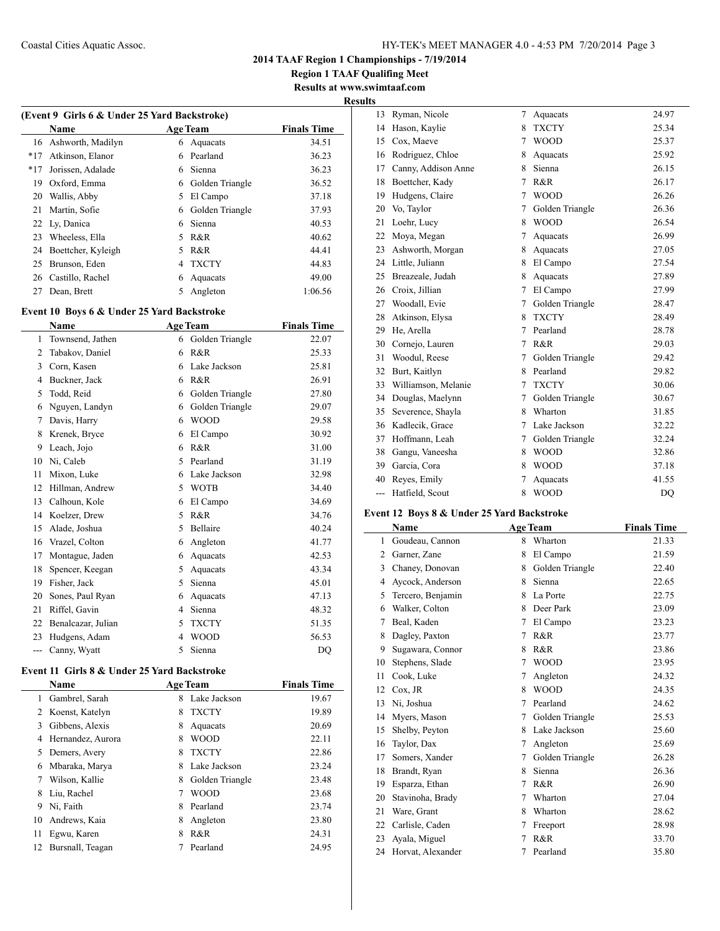**Region 1 TAAF Qualifing Meet Results at www.swimtaaf.com**

# **Results**

 $\overline{\phantom{a}}$ 

|       | (Event 9 Girls 6 & Under 25 Yard Backstroke) |    |                 |                    |  |
|-------|----------------------------------------------|----|-----------------|--------------------|--|
|       | Name                                         |    | <b>Age Team</b> | <b>Finals Time</b> |  |
| 16    | Ashworth, Madilyn                            | 6  | Aquacats        | 34.51              |  |
| $*17$ | Atkinson, Elanor                             | 6  | Pearland        | 36.23              |  |
| $*17$ | Jorissen, Adalade                            | 6  | Sienna          | 36.23              |  |
| 19    | Oxford, Emma                                 | 6  | Golden Triangle | 36.52              |  |
| 20    | Wallis, Abby                                 | 5. | El Campo        | 37.18              |  |
| 21    | Martin, Sofie                                | 6  | Golden Triangle | 37.93              |  |
|       | 22 Ly, Danica                                | 6  | Sienna          | 40.53              |  |
| 23    | Wheeless, Ella                               | 5  | R&R             | 40.62              |  |
| 24    | Boettcher, Kyleigh                           | 5  | R&R             | 44.41              |  |
| 25    | Brunson, Eden                                | 4  | <b>TXCTY</b>    | 44.83              |  |
| 26    | Castillo, Rachel                             | 6  | Aquacats        | 49.00              |  |
| 27    | Dean, Brett                                  | 5  | Angleton        | 1:06.56            |  |
|       |                                              |    |                 |                    |  |

## **Event 10 Boys 6 & Under 25 Yard Backstroke**

 $\overline{\phantom{a}}$ 

 $\overline{\phantom{0}}$ 

|                | Name               | <b>Age Team</b> |                 | <b>Finals Time</b> |
|----------------|--------------------|-----------------|-----------------|--------------------|
| 1              | Townsend, Jathen   | 6               | Golden Triangle | 22.07              |
| 2              | Tabakov, Daniel    | 6               | R&R             | 25.33              |
| 3              | Corn, Kasen        | 6               | Lake Jackson    | 25.81              |
| $\overline{4}$ | Buckner, Jack      | 6               | R&R             | 26.91              |
| 5              | Todd, Reid         | 6               | Golden Triangle | 27.80              |
| 6              | Nguyen, Landyn     | 6               | Golden Triangle | 29.07              |
| 7              | Davis, Harry       | 6               | <b>WOOD</b>     | 29.58              |
| 8              | Krenek, Bryce      | 6               | El Campo        | 30.92              |
| 9              | Leach, Jojo        | 6               | R&R             | 31.00              |
| 10             | Ni, Caleb          | 5               | Pearland        | 31.19              |
| 11             | Mixon, Luke        | 6               | Lake Jackson    | 32.98              |
| 12             | Hillman, Andrew    | 5               | <b>WOTB</b>     | 34.40              |
| 13             | Calhoun, Kole      | 6               | El Campo        | 34.69              |
| 14             | Koelzer, Drew      | 5               | R&R             | 34.76              |
| 15             | Alade, Joshua      | 5               | Bellaire        | 40.24              |
| 16             | Vrazel, Colton     | 6               | Angleton        | 41.77              |
| 17             | Montague, Jaden    | 6               | Aquacats        | 42.53              |
| 18             | Spencer, Keegan    | 5               | Aquacats        | 43.34              |
| 19             | Fisher, Jack       | 5               | Sienna          | 45.01              |
| 20             | Sones, Paul Ryan   | 6               | Aquacats        | 47.13              |
| 21             | Riffel, Gavin      | 4               | Sienna          | 48.32              |
| 22             | Benalcazar, Julian | 5               | <b>TXCTY</b>    | 51.35              |
| 23             | Hudgens, Adam      | 4               | <b>WOOD</b>     | 56.53              |
| ---            | Canny, Wyatt       | 5               | Sienna          | DO                 |

## **Event 11 Girls 8 & Under 25 Yard Backstroke**

|    | <b>Name</b>       | <b>Age Team</b> | <b>Finals Time</b> |       |
|----|-------------------|-----------------|--------------------|-------|
| 1  | Gambrel, Sarah    | 8               | Lake Jackson       | 19.67 |
| 2  | Koenst, Katelyn   | 8               | <b>TXCTY</b>       | 19.89 |
| 3  | Gibbens, Alexis   | 8               | Aquacats           | 20.69 |
| 4  | Hernandez, Aurora | 8               | <b>WOOD</b>        | 22.11 |
| 5  | Demers, Avery     | 8               | <b>TXCTY</b>       | 22.86 |
| 6  | Mbaraka, Marya    | 8               | Lake Jackson       | 23.24 |
| 7  | Wilson, Kallie    | 8               | Golden Triangle    | 23.48 |
| 8  | Liu, Rachel       | 7               | <b>WOOD</b>        | 23.68 |
| 9  | Ni, Faith         | 8               | Pearland           | 23.74 |
| 10 | Andrews, Kaia     | 8               | Angleton           | 23.80 |
| 11 | Egwu, Karen       | 8               | R&R                | 24.31 |
| 12 | Bursnall, Teagan  |                 | Pearland           | 24.95 |

| 13  | Ryman, Nicole       | 7              | Aquacats        | 24.97 |
|-----|---------------------|----------------|-----------------|-------|
| 14  | Hason, Kaylie       | 8              | <b>TXCTY</b>    | 25.34 |
| 15  | Cox, Maeve          | $\tau$         | <b>WOOD</b>     | 25.37 |
| 16  | Rodriguez, Chloe    | 8              | Aquacats        | 25.92 |
| 17  | Canny, Addison Anne | 8              | Sienna          | 26.15 |
| 18  | Boettcher, Kady     | 7              | R&R             | 26.17 |
| 19  | Hudgens, Claire     | 7              | <b>WOOD</b>     | 26.26 |
| 20  | Vo, Taylor          | 7              | Golden Triangle | 26.36 |
| 21  | Loehr, Lucy         | 8              | <b>WOOD</b>     | 26.54 |
| 22  | Moya, Megan         | 7              | Aquacats        | 26.99 |
| 23  | Ashworth, Morgan    | 8              | Aquacats        | 27.05 |
| 24  | Little, Juliann     | 8              | El Campo        | 27.54 |
| 25  | Breazeale, Judah    | 8              | Aquacats        | 27.89 |
| 26  | Croix, Jillian      | $\overline{7}$ | El Campo        | 27.99 |
| 27  | Woodall, Evie       | 7              | Golden Triangle | 28.47 |
| 28  | Atkinson, Elysa     | 8              | <b>TXCTY</b>    | 28.49 |
| 29  | He, Arella          | 7              | Pearland        | 28.78 |
| 30  | Cornejo, Lauren     | 7              | R&R             | 29.03 |
| 31  | Woodul, Reese       | 7              | Golden Triangle | 29.42 |
| 32  | Burt, Kaitlyn       | 8              | Pearland        | 29.82 |
| 33  | Williamson, Melanie | 7              | <b>TXCTY</b>    | 30.06 |
| 34  | Douglas, Maelynn    | 7              | Golden Triangle | 30.67 |
| 35  | Severence, Shayla   | 8              | Wharton         | 31.85 |
| 36  | Kadlecik, Grace     | 7              | Lake Jackson    | 32.22 |
| 37  | Hoffmann, Leah      | 7              | Golden Triangle | 32.24 |
| 38  | Gangu, Vaneesha     | 8              | <b>WOOD</b>     | 32.86 |
| 39  | Garcia, Cora        | 8              | <b>WOOD</b>     | 37.18 |
| 40  | Reyes, Emily        | 7              | Aquacats        | 41.55 |
| --- | Hatfield, Scout     | 8              | <b>WOOD</b>     | DO    |

## **Event 12 Boys 8 & Under 25 Yard Backstroke**

|    | Name              |   | <b>Age Team</b> | <b>Finals Time</b> |
|----|-------------------|---|-----------------|--------------------|
| 1  | Goudeau, Cannon   | 8 | Wharton         | 21.33              |
| 2  | Garner, Zane      | 8 | El Campo        | 21.59              |
| 3  | Chaney, Donovan   | 8 | Golden Triangle | 22.40              |
| 4  | Aycock, Anderson  | 8 | Sienna          | 22.65              |
| 5  | Tercero, Benjamin | 8 | La Porte        | 22.75              |
| 6  | Walker, Colton    | 8 | Deer Park       | 23.09              |
| 7  | Beal, Kaden       | 7 | El Campo        | 23.23              |
| 8  | Dagley, Paxton    | 7 | R&R             | 23.77              |
| 9  | Sugawara, Connor  | 8 | R&R             | 23.86              |
| 10 | Stephens, Slade   | 7 | <b>WOOD</b>     | 23.95              |
| 11 | Cook, Luke        | 7 | Angleton        | 24.32              |
| 12 | Cox, JR           | 8 | <b>WOOD</b>     | 24.35              |
| 13 | Ni, Joshua        | 7 | Pearland        | 24.62              |
| 14 | Myers, Mason      | 7 | Golden Triangle | 25.53              |
| 15 | Shelby, Peyton    | 8 | Lake Jackson    | 25.60              |
| 16 | Taylor, Dax       | 7 | Angleton        | 25.69              |
| 17 | Somers, Xander    | 7 | Golden Triangle | 26.28              |
| 18 | Brandt, Ryan      | 8 | Sienna          | 26.36              |
| 19 | Esparza, Ethan    | 7 | R&R             | 26.90              |
| 20 | Stavinoha, Brady  | 7 | Wharton         | 27.04              |
| 21 | Ware, Grant       | 8 | Wharton         | 28.62              |
| 22 | Carlisle, Caden   | 7 | Freeport        | 28.98              |
| 23 | Ayala, Miguel     | 7 | R&R             | 33.70              |
| 24 | Horvat, Alexander | 7 | Pearland        | 35.80              |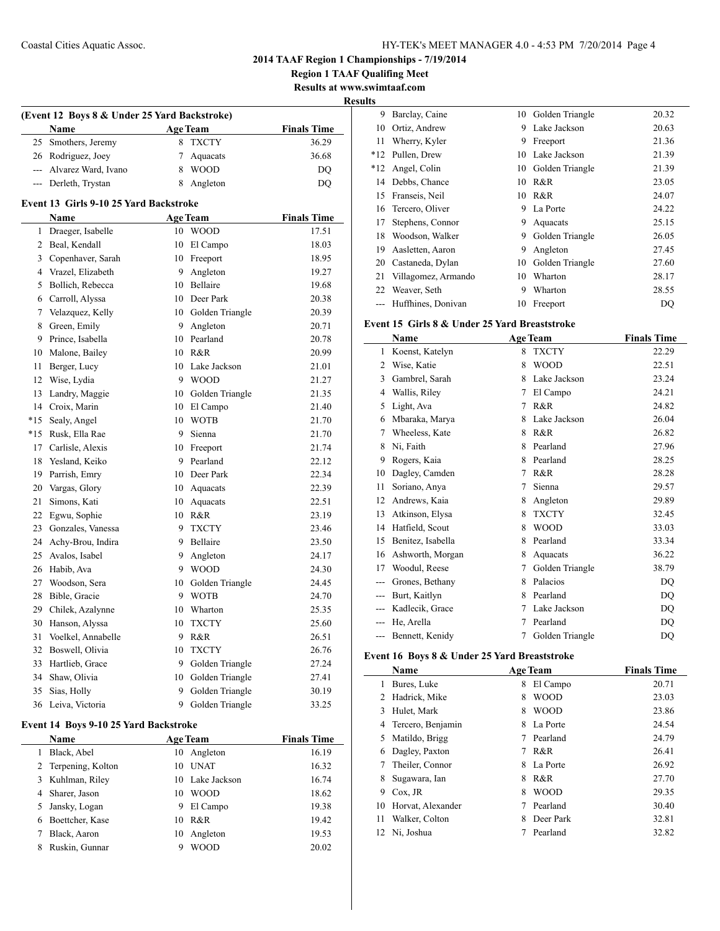**Region 1 TAAF Qualifing Meet Results at www.swimtaaf.com**

**Results**

| (Event 12 Boys 8 & Under 25 Yard Backstroke) |                                        |                |                    |                    |  |
|----------------------------------------------|----------------------------------------|----------------|--------------------|--------------------|--|
|                                              | Name                                   |                | <b>Age Team</b>    | <b>Finals Time</b> |  |
| 25                                           | Smothers, Jeremy                       | 8              | <b>TXCTY</b>       | 36.29              |  |
| 26                                           | Rodriguez, Joey                        | $\overline{7}$ | Aquacats           | 36.68              |  |
|                                              | --- Alvarez Ward, Ivano                |                | 8 WOOD             | DO                 |  |
| ---                                          | Derleth, Trystan                       | 8              | Angleton           | DO                 |  |
|                                              | Event 13 Girls 9-10 25 Yard Backstroke |                |                    |                    |  |
|                                              | Name                                   |                | <b>Age Team</b>    | <b>Finals Time</b> |  |
| 1                                            | Draeger, Isabelle                      |                | 10 WOOD            | 17.51              |  |
| $\overline{c}$                               | Beal, Kendall                          |                | 10 El Campo        | 18.03              |  |
| 3                                            | Copenhaver, Sarah                      |                | 10 Freeport        | 18.95              |  |
| $\overline{4}$                               | Vrazel, Elizabeth                      |                | 9 Angleton         | 19.27              |  |
| 5                                            | Bollich, Rebecca                       |                | 10 Bellaire        | 19.68              |  |
| 6                                            | Carroll, Alyssa                        |                | 10 Deer Park       | 20.38              |  |
| $\tau$                                       | Velazquez, Kelly                       |                | 10 Golden Triangle | 20.39              |  |
| 8                                            | Green, Emily                           |                | 9 Angleton         | 20.71              |  |
| 9                                            | Prince, Isabella                       |                | 10 Pearland        | 20.78              |  |
| 10                                           | Malone, Bailey                         |                | 10 R&R             | 20.99              |  |
| 11                                           | Berger, Lucy                           |                | 10 Lake Jackson    | 21.01              |  |
| 12                                           | Wise, Lydia                            |                | 9 WOOD             | 21.27              |  |
| 13                                           | Landry, Maggie                         |                | 10 Golden Triangle | 21.35              |  |
| 14                                           | Croix, Marin                           |                | 10 El Campo        | 21.40              |  |
| $*15$                                        | Sealy, Angel                           |                | 10 WOTB            | 21.70              |  |
| $*15$                                        | Rusk, Ella Rae                         |                | 9 Sienna           | 21.70              |  |
| 17                                           | Carlisle, Alexis                       |                | 10 Freeport        | 21.74              |  |
| 18                                           | Yesland, Keiko                         |                | 9 Pearland         | 22.12              |  |
| 19                                           | Parrish, Emry                          |                | 10 Deer Park       | 22.34              |  |
| 20                                           | Vargas, Glory                          |                | 10 Aquacats        | 22.39              |  |
| 21                                           | Simons, Kati                           |                | 10 Aquacats        | 22.51              |  |
| 22                                           | Egwu, Sophie                           |                | 10 R&R             | 23.19              |  |
| 23                                           | Gonzales, Vanessa                      |                | 9 TXCTY            | 23.46              |  |
| 24                                           | Achy-Brou, Indira                      |                | 9 Bellaire         | 23.50              |  |
| 25                                           | Avalos, Isabel                         | 9              | Angleton           | 24.17              |  |
| 26                                           | Habib, Ava                             |                | 9 WOOD             | 24.30              |  |
| 27                                           | Woodson, Sera                          |                | 10 Golden Triangle | 24.45              |  |
| 28                                           | Bible, Gracie                          |                | 9 WOTB             | 24.70              |  |
| 29                                           | Chilek, Azalynne                       |                | 10 Wharton         | 25.35              |  |
| 30                                           | Hanson, Alyssa                         |                | 10 TXCTY           | 25.60              |  |
| 31                                           | Voelkel, Annabelle                     |                | 9 R&R              | 26.51              |  |
| 32                                           | Boswell, Olivia                        |                | 10 TXCTY           | 26.76              |  |
| 33                                           | Hartlieb, Grace                        |                | 9 Golden Triangle  | 27.24              |  |
| 34                                           | Shaw, Olivia                           |                | 10 Golden Triangle | 27.41              |  |
| 35                                           | Sias, Holly                            |                | 9 Golden Triangle  | 30.19              |  |
| 36                                           | Leiva, Victoria                        | 9              | Golden Triangle    | 33.25              |  |

## **Event 14 Boys 9-10 25 Yard Backstroke**

| Name                |    | <b>Age Team</b> | <b>Finals Time</b> |
|---------------------|----|-----------------|--------------------|
| Black, Abel         | 10 | Angleton        | 16.19              |
| 2 Terpening, Kolton | 10 | <b>UNAT</b>     | 16.32              |
| 3 Kuhlman, Riley    |    | 10 Lake Jackson | 16.74              |
| 4 Sharer, Jason     | 10 | <b>WOOD</b>     | 18.62              |
| 5 Jansky, Logan     | 9  | El Campo        | 19.38              |
| 6 Boettcher, Kase   | 10 | R&R             | 19.42              |
| Black, Aaron        | 10 | Angleton        | 19.53              |
| Ruskin, Gunnar      |    | WOOD            | 20.02              |
|                     |    |                 |                    |

| v     |                     |    |                 |       |
|-------|---------------------|----|-----------------|-------|
| 9     | Barclay, Caine      | 10 | Golden Triangle | 20.32 |
| 10    | Ortiz, Andrew       | 9  | Lake Jackson    | 20.63 |
| 11    | Wherry, Kyler       | 9  | Freeport        | 21.36 |
| $*12$ | Pullen, Drew        | 10 | Lake Jackson    | 21.39 |
| $*12$ | Angel, Colin        | 10 | Golden Triangle | 21.39 |
| 14    | Debbs, Chance       | 10 | R&R             | 23.05 |
| 15    | Franseis, Neil      | 10 | R&R             | 24.07 |
| 16    | Tercero, Oliver     | 9  | La Porte        | 24.22 |
| 17    | Stephens, Connor    | 9  | Aquacats        | 25.15 |
| 18    | Woodson, Walker     | 9  | Golden Triangle | 26.05 |
| 19    | Aasletten, Aaron    | 9  | Angleton        | 27.45 |
| 20    | Castaneda, Dylan    | 10 | Golden Triangle | 27.60 |
| 21    | Villagomez, Armando | 10 | Wharton         | 28.17 |
| 22    | Weaver, Seth        | 9  | Wharton         | 28.55 |
|       | Huffhines, Donivan  | 10 | Freeport        | DQ    |

## **Event 15 Girls 8 & Under 25 Yard Breaststroke**

|       | Name              |   | <b>Age Team</b> | <b>Finals Time</b> |
|-------|-------------------|---|-----------------|--------------------|
| 1     | Koenst, Katelyn   | 8 | <b>TXCTY</b>    | 22.29              |
| 2     | Wise, Katie       | 8 | <b>WOOD</b>     | 22.51              |
| 3     | Gambrel, Sarah    | 8 | Lake Jackson    | 23.24              |
| 4     | Wallis, Riley     | 7 | El Campo        | 24.21              |
| 5     | Light, Ava        | 7 | R&R             | 24.82              |
| 6     | Mbaraka, Marya    | 8 | Lake Jackson    | 26.04              |
| 7     | Wheeless, Kate    | 8 | R&R             | 26.82              |
| 8     | Ni, Faith         | 8 | Pearland        | 27.96              |
| 9     | Rogers, Kaia      | 8 | Pearland        | 28.25              |
| 10    | Dagley, Camden    | 7 | R&R             | 28.28              |
| 11    | Soriano, Anya     | 7 | Sienna          | 29.57              |
| 12    | Andrews, Kaia     | 8 | Angleton        | 29.89              |
| 13    | Atkinson, Elysa   | 8 | <b>TXCTY</b>    | 32.45              |
| 14    | Hatfield, Scout   | 8 | <b>WOOD</b>     | 33.03              |
| 15    | Benitez, Isabella | 8 | Pearland        | 33.34              |
| 16    | Ashworth, Morgan  | 8 | Aquacats        | 36.22              |
| 17    | Woodul, Reese     | 7 | Golden Triangle | 38.79              |
| ---   | Grones, Bethany   | 8 | Palacios        | DQ                 |
| $---$ | Burt, Kaitlyn     | 8 | Pearland        | DQ                 |
| ---   | Kadlecik, Grace   | 7 | Lake Jackson    | DQ                 |
| ---   | He, Arella        | 7 | Pearland        | DQ                 |
| $---$ | Bennett, Kenidy   | 7 | Golden Triangle | DQ                 |

## **Event 16 Boys 8 & Under 25 Yard Breaststroke**

|    | Name              |   | <b>Age Team</b> | <b>Finals Time</b> |
|----|-------------------|---|-----------------|--------------------|
| 1  | Bures, Luke       | 8 | El Campo        | 20.71              |
| 2  | Hadrick, Mike     | 8 | <b>WOOD</b>     | 23.03              |
| 3  | Hulet, Mark       | 8 | <b>WOOD</b>     | 23.86              |
| 4  | Tercero, Benjamin | 8 | La Porte        | 24.54              |
| 5. | Matildo, Brigg    | 7 | Pearland        | 24.79              |
| 6  | Dagley, Paxton    |   | R & R           | 26.41              |
|    | Theiler, Connor   | 8 | La Porte        | 26.92              |
| 8  | Sugawara, Ian     | 8 | R&R             | 27.70              |
| 9  | Cox, JR           | 8 | <b>WOOD</b>     | 29.35              |
| 10 | Horvat, Alexander |   | Pearland        | 30.40              |
| 11 | Walker, Colton    | 8 | Deer Park       | 32.81              |
| 12 | Ni, Joshua        |   | Pearland        | 32.82              |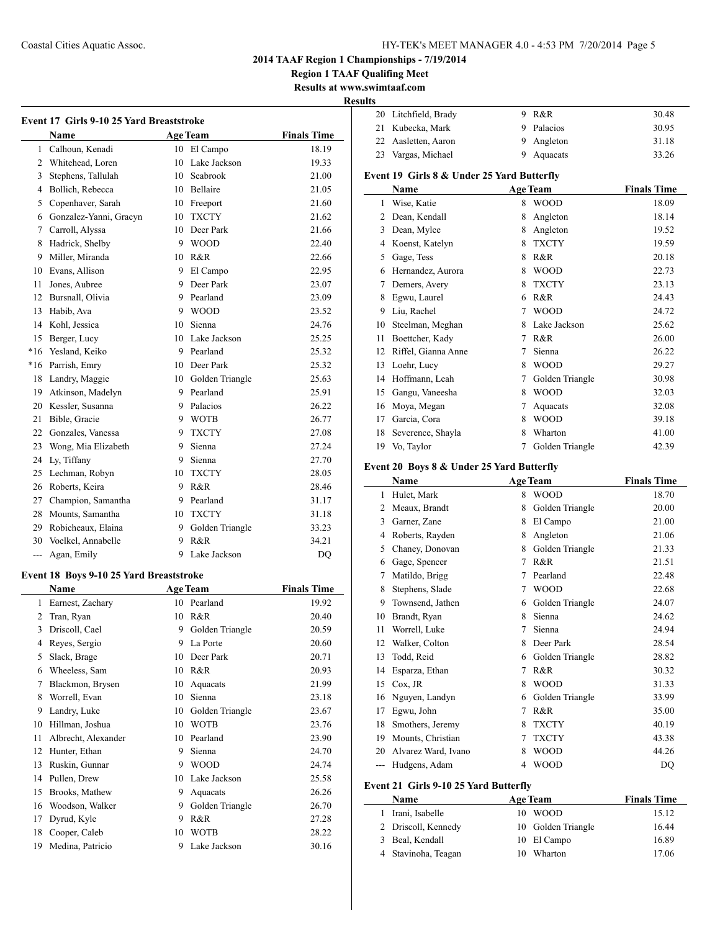**Region 1 TAAF Qualifing Meet**

**Results at www.swimtaaf.com Results**

|                | <b>Name</b>            |    | <b>Age Team</b>    | <b>Finals Time</b> |
|----------------|------------------------|----|--------------------|--------------------|
| $\mathbf{1}$   | Calhoun, Kenadi        | 10 | El Campo           | 18.19              |
| $\overline{2}$ | Whitehead, Loren       | 10 | Lake Jackson       | 19.33              |
| 3              | Stephens, Tallulah     | 10 | Seabrook           | 21.00              |
| 4              | Bollich, Rebecca       | 10 | <b>Bellaire</b>    | 21.05              |
| 5              | Copenhaver, Sarah      | 10 | Freeport           | 21.60              |
| 6              | Gonzalez-Yanni, Gracyn | 10 | <b>TXCTY</b>       | 21.62              |
| $\overline{7}$ | Carroll, Alyssa        | 10 | Deer Park          | 21.66              |
| 8              | Hadrick, Shelby        | 9  | <b>WOOD</b>        | 22.40              |
| 9              | Miller, Miranda        | 10 | R&R                | 22.66              |
| 10             | Evans, Allison         |    | 9 El Campo         | 22.95              |
| 11             | Jones, Aubree          | 9  | Deer Park          | 23.07              |
| 12             | Bursnall, Olivia       | 9  | Pearland           | 23.09              |
| 13             | Habib, Ava             | 9  | <b>WOOD</b>        | 23.52              |
| 14             | Kohl, Jessica          | 10 | Sienna             | 24.76              |
| 15             | Berger, Lucy           | 10 | Lake Jackson       | 25.25              |
| $*16$          | Yesland, Keiko         | 9  | Pearland           | 25.32              |
| $*16$          | Parrish, Emry          | 10 | Deer Park          | 25.32              |
| 18             | Landry, Maggie         |    | 10 Golden Triangle | 25.63              |
| 19             | Atkinson, Madelyn      | 9  | Pearland           | 25.91              |
| 20             | Kessler, Susanna       | 9  | Palacios           | 26.22              |
| 21             | Bible, Gracie          | 9  | <b>WOTB</b>        | 26.77              |
| 22             | Gonzales, Vanessa      | 9  | <b>TXCTY</b>       | 27.08              |
| 23             | Wong, Mia Elizabeth    | 9  | Sienna             | 27.24              |
| 24             | Ly, Tiffany            | 9  | Sienna             | 27.70              |
| 25             | Lechman, Robyn         | 10 | <b>TXCTY</b>       | 28.05              |
| 26             | Roberts, Keira         | 9  | R&R                | 28.46              |
| 27             | Champion, Samantha     | 9  | Pearland           | 31.17              |
| 28             | Mounts, Samantha       | 10 | <b>TXCTY</b>       | 31.18              |
| 29             | Robicheaux, Elaina     | 9  | Golden Triangle    | 33.23              |
| 30             | Voelkel, Annabelle     | 9  | R&R                | 34.21              |
| ---            | Agan, Emily            | 9  | Lake Jackson       | DO                 |

## **Event 18 Boys 9-10 25 Yard Breaststroke**

|    | Name                |    | <b>Age Team</b> | <b>Finals Time</b> |
|----|---------------------|----|-----------------|--------------------|
| 1  | Earnest, Zachary    | 10 | Pearland        | 19.92              |
| 2  | Tran, Ryan          | 10 | R&R             | 20.40              |
| 3  | Driscoll, Cael      | 9  | Golden Triangle | 20.59              |
| 4  | Reyes, Sergio       | 9  | La Porte        | 20.60              |
| 5  | Slack, Brage        | 10 | Deer Park       | 20.71              |
| 6  | Wheeless, Sam       | 10 | R&R             | 20.93              |
| 7  | Blackmon, Brysen    | 10 | Aquacats        | 21.99              |
| 8  | Worrell, Evan       | 10 | Sienna          | 23.18              |
| 9  | Landry, Luke        | 10 | Golden Triangle | 23.67              |
| 10 | Hillman, Joshua     | 10 | <b>WOTB</b>     | 23.76              |
| 11 | Albrecht, Alexander | 10 | Pearland        | 23.90              |
| 12 | Hunter, Ethan       | 9  | Sienna          | 24.70              |
| 13 | Ruskin, Gunnar      | 9  | <b>WOOD</b>     | 24.74              |
| 14 | Pullen, Drew        | 10 | Lake Jackson    | 25.58              |
| 15 | Brooks, Mathew      | 9  | Aquacats        | 26.26              |
| 16 | Woodson, Walker     | 9  | Golden Triangle | 26.70              |
| 17 | Dyrud, Kyle         | 9  | R&R             | 27.28              |
| 18 | Cooper, Caleb       | 10 | <b>WOTB</b>     | 28.22              |
| 19 | Medina, Patricio    | 9  | Lake Jackson    | 30.16              |

| пs             |                                            |   |                 |                    |
|----------------|--------------------------------------------|---|-----------------|--------------------|
| 20             | Litchfield, Brady                          | 9 | R&R             | 30.48              |
| 21             | Kubecka, Mark                              | 9 | Palacios        | 30.95              |
| 22             | Aasletten, Aaron                           | 9 | Angleton        | 31.18              |
| 23             | Vargas, Michael                            | 9 | Aquacats        | 33.26              |
|                | Event 19 Girls 8 & Under 25 Yard Butterfly |   |                 |                    |
|                | Name                                       |   | <b>Age Team</b> | <b>Finals Time</b> |
| 1              | Wise, Katie                                | 8 | <b>WOOD</b>     | 18.09              |
| $\overline{c}$ | Dean, Kendall                              | 8 | Angleton        | 18.14              |
| 3              | Dean, Mylee                                | 8 | Angleton        | 19.52              |
| 4              | Koenst, Katelyn                            | 8 | <b>TXCTY</b>    | 19.59              |
| 5              | Gage, Tess                                 | 8 | R&R             | 20.18              |
| 6              | Hernandez, Aurora                          | 8 | <b>WOOD</b>     | 22.73              |
| 7              | Demers, Avery                              | 8 | <b>TXCTY</b>    | 23.13              |
| 8              | Egwu, Laurel                               | 6 | R&R             | 24.43              |
| 9              | Liu, Rachel                                | 7 | <b>WOOD</b>     | 24.72              |
| 10             | Steelman, Meghan                           | 8 | Lake Jackson    | 25.62              |
| 11             | Boettcher, Kady                            | 7 | R&R             | 26.00              |
| 12             | Riffel, Gianna Anne                        | 7 | Sienna          | 26.22              |
| 13             | Loehr, Lucy                                | 8 | <b>WOOD</b>     | 29.27              |
| 14             | Hoffmann, Leah                             | 7 | Golden Triangle | 30.98              |
| 15             | Gangu, Vaneesha                            | 8 | <b>WOOD</b>     | 32.03              |
| 16             | Moya, Megan                                | 7 | Aquacats        | 32.08              |
| 17             | Garcia, Cora                               | 8 | <b>WOOD</b>     | 39.18              |
| 18             | Severence, Shayla                          | 8 | Wharton         | 41.00              |
| 19             | Vo, Taylor                                 | 7 | Golden Triangle | 42.39              |

# **Event 20 Boys 8 & Under 25 Yard Butterfly**

|    | Name                |                | <b>Age Team</b> | <b>Finals Time</b> |
|----|---------------------|----------------|-----------------|--------------------|
| 1  | Hulet, Mark         | 8              | <b>WOOD</b>     | 18.70              |
| 2  | Meaux, Brandt       | 8              | Golden Triangle | 20.00              |
| 3  | Garner, Zane        | 8              | El Campo        | 21.00              |
| 4  | Roberts, Rayden     | 8              | Angleton        | 21.06              |
| 5  | Chaney, Donovan     | 8              | Golden Triangle | 21.33              |
| 6  | Gage, Spencer       | 7              | R&R             | 21.51              |
| 7  | Matildo, Brigg      | 7              | Pearland        | 22.48              |
| 8  | Stephens, Slade     | 7              | <b>WOOD</b>     | 22.68              |
| 9  | Townsend, Jathen    | 6              | Golden Triangle | 24.07              |
| 10 | Brandt, Ryan        | 8              | Sienna          | 24.62              |
| 11 | Worrell, Luke       | 7              | Sienna          | 24.94              |
| 12 | Walker, Colton      | 8              | Deer Park       | 28.54              |
| 13 | Todd, Reid          | 6              | Golden Triangle | 28.82              |
| 14 | Esparza, Ethan      | 7              | R&R             | 30.32              |
| 15 | Cox, JR             | 8              | <b>WOOD</b>     | 31.33              |
| 16 | Nguyen, Landyn      | 6              | Golden Triangle | 33.99              |
| 17 | Egwu, John          | 7              | R&R             | 35.00              |
| 18 | Smothers, Jeremy    | 8              | <b>TXCTY</b>    | 40.19              |
| 19 | Mounts, Christian   | 7              | <b>TXCTY</b>    | 43.38              |
| 20 | Alvarez Ward, Ivano | 8              | <b>WOOD</b>     | 44.26              |
|    | Hudgens, Adam       | $\overline{4}$ | <b>WOOD</b>     | DO                 |

## **Event 21 Girls 9-10 25 Yard Butterfly**

| <b>Name</b>         | <b>Age Team</b>    | <b>Finals Time</b> |
|---------------------|--------------------|--------------------|
| Irani, Isabelle     | <b>WOOD</b><br>10. | 15.12              |
| 2 Driscoll, Kennedy | 10 Golden Triangle | 16.44              |
| 3 Beal, Kendall     | 10 El Campo        | 16.89              |
| 4 Stavinoha, Teagan | Wharton<br>10.     | 17.06              |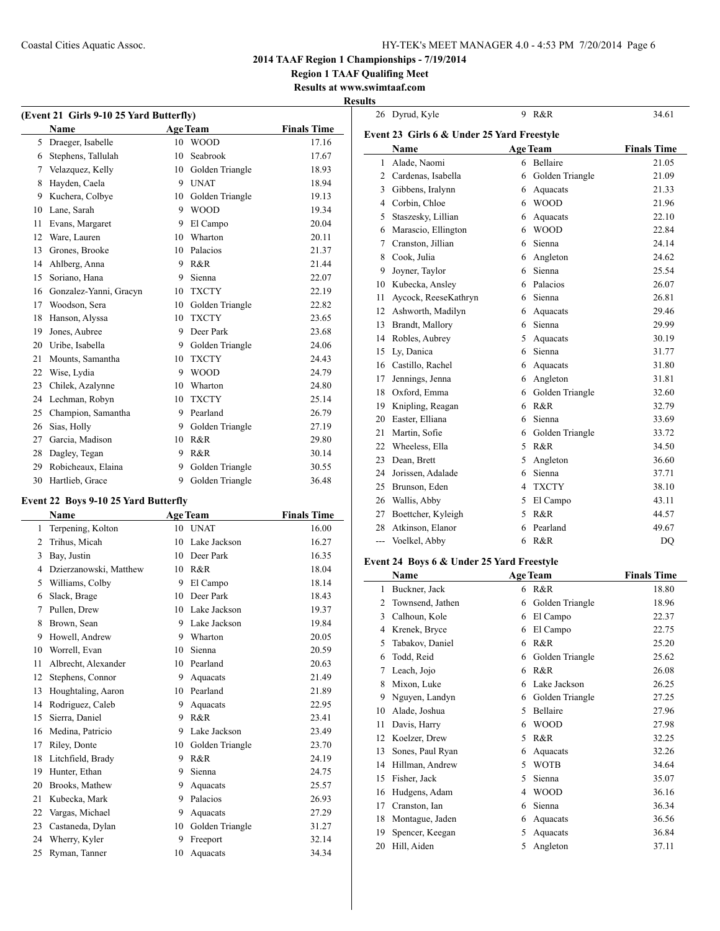26 Dyrud, Kyle 9 R&R 34.61

## **2014 TAAF Region 1 Championships - 7/19/2014**

**Region 1 TAAF Qualifing Meet**

### **Results at www.swimtaaf.com Results**

| (Event 21 Girls 9-10 25 Yard Butterfly) |                        |    |                 |                    |
|-----------------------------------------|------------------------|----|-----------------|--------------------|
|                                         | Name                   |    | <b>Age Team</b> | <b>Finals Time</b> |
| 5                                       | Draeger, Isabelle      | 10 | <b>WOOD</b>     | 17.16              |
| 6                                       | Stephens, Tallulah     | 10 | Seabrook        | 17.67              |
| 7                                       | Velazquez, Kelly       | 10 | Golden Triangle | 18.93              |
| 8                                       | Hayden, Caela          | 9  | <b>UNAT</b>     | 18.94              |
| 9                                       | Kuchera, Colbye        | 10 | Golden Triangle | 19.13              |
| 10                                      | Lane, Sarah            | 9  | <b>WOOD</b>     | 19.34              |
| 11                                      | Evans, Margaret        | 9  | El Campo        | 20.04              |
| 12                                      | Ware, Lauren           | 10 | Wharton         | 20.11              |
| 13                                      | Grones, Brooke         | 10 | Palacios        | 21.37              |
| 14                                      | Ahlberg, Anna          | 9  | R&R             | 21.44              |
| 15                                      | Soriano, Hana          | 9  | Sienna          | 22.07              |
| 16                                      | Gonzalez-Yanni, Gracyn | 10 | <b>TXCTY</b>    | 22.19              |
| 17                                      | Woodson, Sera          | 10 | Golden Triangle | 22.82              |
| 18                                      | Hanson, Alyssa         | 10 | <b>TXCTY</b>    | 23.65              |
| 19                                      | Jones, Aubree          | 9  | Deer Park       | 23.68              |
| 20                                      | Uribe, Isabella        | 9  | Golden Triangle | 24.06              |
| 21                                      | Mounts, Samantha       | 10 | <b>TXCTY</b>    | 24.43              |
| 22                                      | Wise, Lydia            | 9  | <b>WOOD</b>     | 24.79              |
| 23                                      | Chilek, Azalynne       | 10 | Wharton         | 24.80              |
| 24                                      | Lechman, Robyn         | 10 | <b>TXCTY</b>    | 25.14              |
| 25                                      | Champion, Samantha     | 9  | Pearland        | 26.79              |
| 26                                      | Sias, Holly            | 9  | Golden Triangle | 27.19              |
| 27                                      | Garcia, Madison        | 10 | R&R             | 29.80              |
| 28                                      | Dagley, Tegan          | 9  | R&R             | 30.14              |
| 29                                      | Robicheaux, Elaina     | 9  | Golden Triangle | 30.55              |
| 30                                      | Hartlieb, Grace        | 9  | Golden Triangle | 36.48              |

## **Event 22 Boys 9-10 25 Yard Butterfly**

|    | Name                   |    | <b>Age Team</b> | <b>Finals Time</b> |
|----|------------------------|----|-----------------|--------------------|
| 1  | Terpening, Kolton      | 10 | <b>UNAT</b>     | 16.00              |
| 2  | Trihus, Micah          | 10 | Lake Jackson    | 16.27              |
| 3  | Bay, Justin            | 10 | Deer Park       | 16.35              |
| 4  | Dzierzanowski, Matthew | 10 | R&R             | 18.04              |
| 5  | Williams, Colby        | 9  | El Campo        | 18.14              |
| 6  | Slack, Brage           | 10 | Deer Park       | 18.43              |
| 7  | Pullen, Drew           | 10 | Lake Jackson    | 19.37              |
| 8  | Brown, Sean            | 9  | Lake Jackson    | 19.84              |
| 9  | Howell, Andrew         | 9  | Wharton         | 20.05              |
| 10 | Worrell, Evan          | 10 | Sienna          | 20.59              |
| 11 | Albrecht, Alexander    | 10 | Pearland        | 20.63              |
| 12 | Stephens, Connor       | 9  | Aquacats        | 21.49              |
| 13 | Houghtaling, Aaron     | 10 | Pearland        | 21.89              |
| 14 | Rodriguez, Caleb       | 9  | Aquacats        | 22.95              |
| 15 | Sierra, Daniel         | 9  | R&R             | 23.41              |
| 16 | Medina, Patricio       | 9  | Lake Jackson    | 23.49              |
| 17 | Riley, Donte           | 10 | Golden Triangle | 23.70              |
| 18 | Litchfield, Brady      | 9  | R&R             | 24.19              |
| 19 | Hunter, Ethan          | 9  | Sienna          | 24.75              |
| 20 | Brooks, Mathew         | 9  | Aquacats        | 25.57              |
| 21 | Kubecka, Mark          | 9  | Palacios        | 26.93              |
| 22 | Vargas, Michael        | 9  | Aquacats        | 27.29              |
| 23 | Castaneda, Dylan       | 10 | Golden Triangle | 31.27              |
| 24 | Wherry, Kyler          | 9  | Freeport        | 32.14              |
| 25 | Ryman, Tanner          | 10 | Aquacats        | 34.34              |

| Event 23 Girls 6 & Under 25 Yard Freestyle |                      |   |                 |                    |
|--------------------------------------------|----------------------|---|-----------------|--------------------|
|                                            | Name                 |   | <b>Age Team</b> | <b>Finals Time</b> |
| $\mathbf{1}$                               | Alade, Naomi         | 6 | Bellaire        | 21.05              |
| $\overline{2}$                             | Cardenas, Isabella   | 6 | Golden Triangle | 21.09              |
| 3                                          | Gibbens, Iralynn     | 6 | Aquacats        | 21.33              |
| $\overline{4}$                             | Corbin, Chloe        | 6 | <b>WOOD</b>     | 21.96              |
| 5                                          | Staszesky, Lillian   | 6 | Aquacats        | 22.10              |
| 6                                          | Marascio, Ellington  | 6 | <b>WOOD</b>     | 22.84              |
| 7                                          | Cranston, Jillian    | 6 | Sienna          | 24.14              |
| 8                                          | Cook, Julia          | 6 | Angleton        | 24.62              |
| 9                                          | Joyner, Taylor       | 6 | Sienna          | 25.54              |
| 10                                         | Kubecka, Ansley      | 6 | Palacios        | 26.07              |
| 11                                         | Aycock, ReeseKathryn | 6 | Sienna          | 26.81              |
| 12                                         | Ashworth, Madilyn    | 6 | Aquacats        | 29.46              |
| 13                                         | Brandt, Mallory      | 6 | Sienna          | 29.99              |
| 14                                         | Robles, Aubrey       | 5 | Aquacats        | 30.19              |
| 15                                         | Ly, Danica           | 6 | Sienna          | 31.77              |
| 16                                         | Castillo, Rachel     | 6 | Aquacats        | 31.80              |
| 17                                         | Jennings, Jenna      | 6 | Angleton        | 31.81              |
| 18                                         | Oxford, Emma         | 6 | Golden Triangle | 32.60              |
| 19                                         | Knipling, Reagan     | 6 | R&R             | 32.79              |
| 20                                         | Easter, Elliana      | 6 | Sienna          | 33.69              |
| 21                                         | Martin, Sofie        | 6 | Golden Triangle | 33.72              |
| 22                                         | Wheeless, Ella       | 5 | R&R             | 34.50              |
| 23                                         | Dean, Brett          | 5 | Angleton        | 36.60              |
| 24                                         | Jorissen, Adalade    | 6 | Sienna          | 37.71              |
| 25                                         | Brunson, Eden        | 4 | <b>TXCTY</b>    | 38.10              |
| 26                                         | Wallis, Abby         | 5 | El Campo        | 43.11              |
| 27                                         | Boettcher, Kyleigh   | 5 | R&R             | 44.57              |
| 28                                         | Atkinson, Elanor     | 6 | Pearland        | 49.67              |
| ---                                        | Voelkel, Abby        | 6 | R&R             | DQ                 |

## **Event 24 Boys 6 & Under 25 Yard Freestyle**

|    | Name             |   | <b>Age Team</b> | <b>Finals Time</b> |
|----|------------------|---|-----------------|--------------------|
| 1  | Buckner, Jack    | 6 | R&R             | 18.80              |
| 2  | Townsend, Jathen | 6 | Golden Triangle | 18.96              |
| 3  | Calhoun, Kole    | 6 | El Campo        | 22.37              |
| 4  | Krenek, Bryce    | 6 | El Campo        | 22.75              |
| 5  | Tabakov, Daniel  | 6 | R&R             | 25.20              |
| 6  | Todd, Reid       | 6 | Golden Triangle | 25.62              |
| 7  | Leach, Jojo      | 6 | R&R             | 26.08              |
| 8  | Mixon, Luke      | 6 | Lake Jackson    | 26.25              |
| 9  | Nguyen, Landyn   | 6 | Golden Triangle | 27.25              |
| 10 | Alade, Joshua    | 5 | Bellaire        | 27.96              |
| 11 | Davis, Harry     | 6 | <b>WOOD</b>     | 27.98              |
| 12 | Koelzer, Drew    | 5 | R&R             | 32.25              |
| 13 | Sones, Paul Ryan | 6 | Aquacats        | 32.26              |
| 14 | Hillman, Andrew  | 5 | <b>WOTB</b>     | 34.64              |
| 15 | Fisher, Jack     | 5 | Sienna          | 35.07              |
| 16 | Hudgens, Adam    | 4 | <b>WOOD</b>     | 36.16              |
| 17 | Cranston, Ian    | 6 | Sienna          | 36.34              |
| 18 | Montague, Jaden  | 6 | Aquacats        | 36.56              |
| 19 | Spencer, Keegan  | 5 | Aquacats        | 36.84              |
| 20 | Hill, Aiden      | 5 | Angleton        | 37.11              |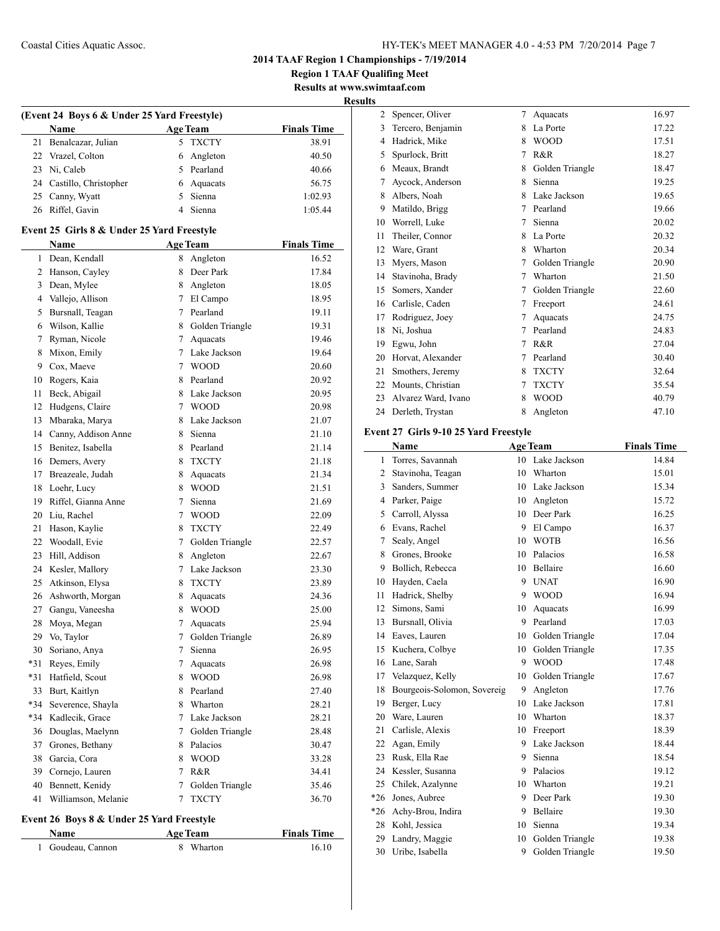**Region 1 TAAF Qualifing Meet Results at www.swimtaaf.com**

**Results**

| <b>Age Team</b><br>Name<br>21<br>Benalcazar, Julian<br>5<br><b>TXCTY</b><br>22<br>Vrazel, Colton<br>6<br>Angleton<br>Pearland<br>23<br>Ni, Caleb<br>5<br>24<br>Castillo, Christopher<br>6<br>Aquacats<br>25<br>Canny, Wyatt<br>5<br>Sienna<br>26<br>Riffel, Gavin<br>$\overline{4}$<br>Sienna<br>Event 25 Girls 8 & Under 25 Yard Freestyle<br>Name<br><b>Age Team</b><br>Dean, Kendall<br>1<br>8<br>Angleton<br>Hanson, Cayley<br>Deer Park<br>2<br>8<br>3<br>Dean, Mylee<br>8 Angleton<br>Vallejo, Allison<br>El Campo<br>4<br>$7^{\circ}$<br>Pearland<br>Bursnall, Teagan<br>$7\overline{ }$<br>5<br>Wilson, Kallie<br>Golden Triangle<br>6<br>8<br>Ryman, Nicole<br>7<br>7<br>Aquacats<br>Mixon, Emily<br>7<br>Lake Jackson<br>8<br>9<br>Cox, Maeve<br>7<br><b>WOOD</b><br>Pearland<br>10<br>Rogers, Kaia<br>8<br>Beck, Abigail<br>Lake Jackson<br>11<br>8<br>$\overline{7}$<br>12<br>Hudgens, Claire<br><b>WOOD</b><br>Mbaraka, Marya<br>Lake Jackson<br>13<br>8<br>14<br>Canny, Addison Anne<br>8<br>Sienna<br>Benitez, Isabella<br>Pearland<br>15<br>8<br>Demers, Avery<br>16<br>8<br><b>TXCTY</b><br>Breazeale, Judah<br>17<br>8<br>Aquacats<br>Loehr, Lucy<br>8<br><b>WOOD</b><br>18<br>Riffel, Gianna Anne<br>19<br>7<br>Sienna<br>Liu, Rachel<br>7<br>20<br><b>WOOD</b><br>Hason, Kaylie<br>21<br>8<br><b>TXCTY</b><br>22<br>Woodall, Evie<br>7<br>Golden Triangle<br>Hill, Addison<br>Angleton<br>23<br>8<br>24<br>Kesler, Mallory<br>7 Lake Jackson<br>Atkinson, Elysa<br><b>TXCTY</b><br>25<br>8<br>26<br>Ashworth, Morgan<br>8<br>Aquacats<br>27<br>Gangu, Vaneesha<br>8<br><b>WOOD</b><br>28<br>Moya, Megan<br>7<br>Aquacats<br>29<br>Vo, Taylor<br>7<br>Golden Triangle<br>7<br>30<br>Soriano, Anya<br>Sienna<br>*31<br>Reyes, Emily<br>7<br>Aquacats<br>*31<br>Hatfield, Scout<br><b>WOOD</b><br>8<br>33<br>Burt, Kaitlyn<br>8<br>Pearland<br>*34<br>8<br>Wharton<br>Severence, Shayla<br>*34<br>7<br>Lake Jackson | (Event 24 Boys 6 & Under 25 Yard Freestyle) |                 |  |  |                    |  |
|--------------------------------------------------------------------------------------------------------------------------------------------------------------------------------------------------------------------------------------------------------------------------------------------------------------------------------------------------------------------------------------------------------------------------------------------------------------------------------------------------------------------------------------------------------------------------------------------------------------------------------------------------------------------------------------------------------------------------------------------------------------------------------------------------------------------------------------------------------------------------------------------------------------------------------------------------------------------------------------------------------------------------------------------------------------------------------------------------------------------------------------------------------------------------------------------------------------------------------------------------------------------------------------------------------------------------------------------------------------------------------------------------------------------------------------------------------------------------------------------------------------------------------------------------------------------------------------------------------------------------------------------------------------------------------------------------------------------------------------------------------------------------------------------------------------------------------------------------------------------------------------------------------------------------------------|---------------------------------------------|-----------------|--|--|--------------------|--|
|                                                                                                                                                                                                                                                                                                                                                                                                                                                                                                                                                                                                                                                                                                                                                                                                                                                                                                                                                                                                                                                                                                                                                                                                                                                                                                                                                                                                                                                                                                                                                                                                                                                                                                                                                                                                                                                                                                                                      |                                             |                 |  |  | <b>Finals Time</b> |  |
|                                                                                                                                                                                                                                                                                                                                                                                                                                                                                                                                                                                                                                                                                                                                                                                                                                                                                                                                                                                                                                                                                                                                                                                                                                                                                                                                                                                                                                                                                                                                                                                                                                                                                                                                                                                                                                                                                                                                      |                                             |                 |  |  | 38.91              |  |
|                                                                                                                                                                                                                                                                                                                                                                                                                                                                                                                                                                                                                                                                                                                                                                                                                                                                                                                                                                                                                                                                                                                                                                                                                                                                                                                                                                                                                                                                                                                                                                                                                                                                                                                                                                                                                                                                                                                                      |                                             |                 |  |  | 40.50              |  |
|                                                                                                                                                                                                                                                                                                                                                                                                                                                                                                                                                                                                                                                                                                                                                                                                                                                                                                                                                                                                                                                                                                                                                                                                                                                                                                                                                                                                                                                                                                                                                                                                                                                                                                                                                                                                                                                                                                                                      |                                             |                 |  |  | 40.66              |  |
|                                                                                                                                                                                                                                                                                                                                                                                                                                                                                                                                                                                                                                                                                                                                                                                                                                                                                                                                                                                                                                                                                                                                                                                                                                                                                                                                                                                                                                                                                                                                                                                                                                                                                                                                                                                                                                                                                                                                      |                                             |                 |  |  | 56.75              |  |
|                                                                                                                                                                                                                                                                                                                                                                                                                                                                                                                                                                                                                                                                                                                                                                                                                                                                                                                                                                                                                                                                                                                                                                                                                                                                                                                                                                                                                                                                                                                                                                                                                                                                                                                                                                                                                                                                                                                                      |                                             |                 |  |  | 1:02.93            |  |
|                                                                                                                                                                                                                                                                                                                                                                                                                                                                                                                                                                                                                                                                                                                                                                                                                                                                                                                                                                                                                                                                                                                                                                                                                                                                                                                                                                                                                                                                                                                                                                                                                                                                                                                                                                                                                                                                                                                                      |                                             |                 |  |  | 1:05.44            |  |
|                                                                                                                                                                                                                                                                                                                                                                                                                                                                                                                                                                                                                                                                                                                                                                                                                                                                                                                                                                                                                                                                                                                                                                                                                                                                                                                                                                                                                                                                                                                                                                                                                                                                                                                                                                                                                                                                                                                                      |                                             |                 |  |  |                    |  |
|                                                                                                                                                                                                                                                                                                                                                                                                                                                                                                                                                                                                                                                                                                                                                                                                                                                                                                                                                                                                                                                                                                                                                                                                                                                                                                                                                                                                                                                                                                                                                                                                                                                                                                                                                                                                                                                                                                                                      |                                             |                 |  |  | <b>Finals Time</b> |  |
|                                                                                                                                                                                                                                                                                                                                                                                                                                                                                                                                                                                                                                                                                                                                                                                                                                                                                                                                                                                                                                                                                                                                                                                                                                                                                                                                                                                                                                                                                                                                                                                                                                                                                                                                                                                                                                                                                                                                      |                                             |                 |  |  | 16.52              |  |
|                                                                                                                                                                                                                                                                                                                                                                                                                                                                                                                                                                                                                                                                                                                                                                                                                                                                                                                                                                                                                                                                                                                                                                                                                                                                                                                                                                                                                                                                                                                                                                                                                                                                                                                                                                                                                                                                                                                                      |                                             |                 |  |  | 17.84              |  |
|                                                                                                                                                                                                                                                                                                                                                                                                                                                                                                                                                                                                                                                                                                                                                                                                                                                                                                                                                                                                                                                                                                                                                                                                                                                                                                                                                                                                                                                                                                                                                                                                                                                                                                                                                                                                                                                                                                                                      |                                             |                 |  |  | 18.05              |  |
|                                                                                                                                                                                                                                                                                                                                                                                                                                                                                                                                                                                                                                                                                                                                                                                                                                                                                                                                                                                                                                                                                                                                                                                                                                                                                                                                                                                                                                                                                                                                                                                                                                                                                                                                                                                                                                                                                                                                      |                                             |                 |  |  | 18.95              |  |
|                                                                                                                                                                                                                                                                                                                                                                                                                                                                                                                                                                                                                                                                                                                                                                                                                                                                                                                                                                                                                                                                                                                                                                                                                                                                                                                                                                                                                                                                                                                                                                                                                                                                                                                                                                                                                                                                                                                                      |                                             |                 |  |  | 19.11              |  |
|                                                                                                                                                                                                                                                                                                                                                                                                                                                                                                                                                                                                                                                                                                                                                                                                                                                                                                                                                                                                                                                                                                                                                                                                                                                                                                                                                                                                                                                                                                                                                                                                                                                                                                                                                                                                                                                                                                                                      |                                             |                 |  |  | 19.31              |  |
|                                                                                                                                                                                                                                                                                                                                                                                                                                                                                                                                                                                                                                                                                                                                                                                                                                                                                                                                                                                                                                                                                                                                                                                                                                                                                                                                                                                                                                                                                                                                                                                                                                                                                                                                                                                                                                                                                                                                      |                                             |                 |  |  | 19.46              |  |
|                                                                                                                                                                                                                                                                                                                                                                                                                                                                                                                                                                                                                                                                                                                                                                                                                                                                                                                                                                                                                                                                                                                                                                                                                                                                                                                                                                                                                                                                                                                                                                                                                                                                                                                                                                                                                                                                                                                                      |                                             |                 |  |  | 19.64              |  |
|                                                                                                                                                                                                                                                                                                                                                                                                                                                                                                                                                                                                                                                                                                                                                                                                                                                                                                                                                                                                                                                                                                                                                                                                                                                                                                                                                                                                                                                                                                                                                                                                                                                                                                                                                                                                                                                                                                                                      |                                             |                 |  |  | 20.60              |  |
|                                                                                                                                                                                                                                                                                                                                                                                                                                                                                                                                                                                                                                                                                                                                                                                                                                                                                                                                                                                                                                                                                                                                                                                                                                                                                                                                                                                                                                                                                                                                                                                                                                                                                                                                                                                                                                                                                                                                      |                                             |                 |  |  | 20.92              |  |
|                                                                                                                                                                                                                                                                                                                                                                                                                                                                                                                                                                                                                                                                                                                                                                                                                                                                                                                                                                                                                                                                                                                                                                                                                                                                                                                                                                                                                                                                                                                                                                                                                                                                                                                                                                                                                                                                                                                                      |                                             |                 |  |  | 20.95              |  |
|                                                                                                                                                                                                                                                                                                                                                                                                                                                                                                                                                                                                                                                                                                                                                                                                                                                                                                                                                                                                                                                                                                                                                                                                                                                                                                                                                                                                                                                                                                                                                                                                                                                                                                                                                                                                                                                                                                                                      |                                             |                 |  |  | 20.98              |  |
|                                                                                                                                                                                                                                                                                                                                                                                                                                                                                                                                                                                                                                                                                                                                                                                                                                                                                                                                                                                                                                                                                                                                                                                                                                                                                                                                                                                                                                                                                                                                                                                                                                                                                                                                                                                                                                                                                                                                      |                                             |                 |  |  | 21.07              |  |
|                                                                                                                                                                                                                                                                                                                                                                                                                                                                                                                                                                                                                                                                                                                                                                                                                                                                                                                                                                                                                                                                                                                                                                                                                                                                                                                                                                                                                                                                                                                                                                                                                                                                                                                                                                                                                                                                                                                                      |                                             |                 |  |  | 21.10              |  |
|                                                                                                                                                                                                                                                                                                                                                                                                                                                                                                                                                                                                                                                                                                                                                                                                                                                                                                                                                                                                                                                                                                                                                                                                                                                                                                                                                                                                                                                                                                                                                                                                                                                                                                                                                                                                                                                                                                                                      |                                             |                 |  |  | 21.14              |  |
|                                                                                                                                                                                                                                                                                                                                                                                                                                                                                                                                                                                                                                                                                                                                                                                                                                                                                                                                                                                                                                                                                                                                                                                                                                                                                                                                                                                                                                                                                                                                                                                                                                                                                                                                                                                                                                                                                                                                      |                                             |                 |  |  | 21.18              |  |
|                                                                                                                                                                                                                                                                                                                                                                                                                                                                                                                                                                                                                                                                                                                                                                                                                                                                                                                                                                                                                                                                                                                                                                                                                                                                                                                                                                                                                                                                                                                                                                                                                                                                                                                                                                                                                                                                                                                                      |                                             |                 |  |  | 21.34              |  |
|                                                                                                                                                                                                                                                                                                                                                                                                                                                                                                                                                                                                                                                                                                                                                                                                                                                                                                                                                                                                                                                                                                                                                                                                                                                                                                                                                                                                                                                                                                                                                                                                                                                                                                                                                                                                                                                                                                                                      |                                             |                 |  |  | 21.51              |  |
|                                                                                                                                                                                                                                                                                                                                                                                                                                                                                                                                                                                                                                                                                                                                                                                                                                                                                                                                                                                                                                                                                                                                                                                                                                                                                                                                                                                                                                                                                                                                                                                                                                                                                                                                                                                                                                                                                                                                      |                                             |                 |  |  | 21.69              |  |
|                                                                                                                                                                                                                                                                                                                                                                                                                                                                                                                                                                                                                                                                                                                                                                                                                                                                                                                                                                                                                                                                                                                                                                                                                                                                                                                                                                                                                                                                                                                                                                                                                                                                                                                                                                                                                                                                                                                                      |                                             |                 |  |  | 22.09              |  |
|                                                                                                                                                                                                                                                                                                                                                                                                                                                                                                                                                                                                                                                                                                                                                                                                                                                                                                                                                                                                                                                                                                                                                                                                                                                                                                                                                                                                                                                                                                                                                                                                                                                                                                                                                                                                                                                                                                                                      |                                             |                 |  |  | 22.49              |  |
|                                                                                                                                                                                                                                                                                                                                                                                                                                                                                                                                                                                                                                                                                                                                                                                                                                                                                                                                                                                                                                                                                                                                                                                                                                                                                                                                                                                                                                                                                                                                                                                                                                                                                                                                                                                                                                                                                                                                      |                                             |                 |  |  | 22.57              |  |
|                                                                                                                                                                                                                                                                                                                                                                                                                                                                                                                                                                                                                                                                                                                                                                                                                                                                                                                                                                                                                                                                                                                                                                                                                                                                                                                                                                                                                                                                                                                                                                                                                                                                                                                                                                                                                                                                                                                                      |                                             |                 |  |  | 22.67              |  |
|                                                                                                                                                                                                                                                                                                                                                                                                                                                                                                                                                                                                                                                                                                                                                                                                                                                                                                                                                                                                                                                                                                                                                                                                                                                                                                                                                                                                                                                                                                                                                                                                                                                                                                                                                                                                                                                                                                                                      |                                             |                 |  |  | 23.30              |  |
|                                                                                                                                                                                                                                                                                                                                                                                                                                                                                                                                                                                                                                                                                                                                                                                                                                                                                                                                                                                                                                                                                                                                                                                                                                                                                                                                                                                                                                                                                                                                                                                                                                                                                                                                                                                                                                                                                                                                      |                                             |                 |  |  | 23.89              |  |
|                                                                                                                                                                                                                                                                                                                                                                                                                                                                                                                                                                                                                                                                                                                                                                                                                                                                                                                                                                                                                                                                                                                                                                                                                                                                                                                                                                                                                                                                                                                                                                                                                                                                                                                                                                                                                                                                                                                                      |                                             |                 |  |  | 24.36              |  |
|                                                                                                                                                                                                                                                                                                                                                                                                                                                                                                                                                                                                                                                                                                                                                                                                                                                                                                                                                                                                                                                                                                                                                                                                                                                                                                                                                                                                                                                                                                                                                                                                                                                                                                                                                                                                                                                                                                                                      |                                             |                 |  |  | 25.00              |  |
|                                                                                                                                                                                                                                                                                                                                                                                                                                                                                                                                                                                                                                                                                                                                                                                                                                                                                                                                                                                                                                                                                                                                                                                                                                                                                                                                                                                                                                                                                                                                                                                                                                                                                                                                                                                                                                                                                                                                      |                                             |                 |  |  | 25.94              |  |
|                                                                                                                                                                                                                                                                                                                                                                                                                                                                                                                                                                                                                                                                                                                                                                                                                                                                                                                                                                                                                                                                                                                                                                                                                                                                                                                                                                                                                                                                                                                                                                                                                                                                                                                                                                                                                                                                                                                                      |                                             |                 |  |  | 26.89              |  |
|                                                                                                                                                                                                                                                                                                                                                                                                                                                                                                                                                                                                                                                                                                                                                                                                                                                                                                                                                                                                                                                                                                                                                                                                                                                                                                                                                                                                                                                                                                                                                                                                                                                                                                                                                                                                                                                                                                                                      |                                             |                 |  |  | 26.95              |  |
|                                                                                                                                                                                                                                                                                                                                                                                                                                                                                                                                                                                                                                                                                                                                                                                                                                                                                                                                                                                                                                                                                                                                                                                                                                                                                                                                                                                                                                                                                                                                                                                                                                                                                                                                                                                                                                                                                                                                      |                                             |                 |  |  | 26.98              |  |
|                                                                                                                                                                                                                                                                                                                                                                                                                                                                                                                                                                                                                                                                                                                                                                                                                                                                                                                                                                                                                                                                                                                                                                                                                                                                                                                                                                                                                                                                                                                                                                                                                                                                                                                                                                                                                                                                                                                                      |                                             |                 |  |  | 26.98              |  |
|                                                                                                                                                                                                                                                                                                                                                                                                                                                                                                                                                                                                                                                                                                                                                                                                                                                                                                                                                                                                                                                                                                                                                                                                                                                                                                                                                                                                                                                                                                                                                                                                                                                                                                                                                                                                                                                                                                                                      |                                             |                 |  |  | 27.40              |  |
|                                                                                                                                                                                                                                                                                                                                                                                                                                                                                                                                                                                                                                                                                                                                                                                                                                                                                                                                                                                                                                                                                                                                                                                                                                                                                                                                                                                                                                                                                                                                                                                                                                                                                                                                                                                                                                                                                                                                      |                                             |                 |  |  | 28.21              |  |
|                                                                                                                                                                                                                                                                                                                                                                                                                                                                                                                                                                                                                                                                                                                                                                                                                                                                                                                                                                                                                                                                                                                                                                                                                                                                                                                                                                                                                                                                                                                                                                                                                                                                                                                                                                                                                                                                                                                                      |                                             | Kadlecik, Grace |  |  | 28.21              |  |
| Douglas, Maelynn<br>7<br>Golden Triangle<br>36                                                                                                                                                                                                                                                                                                                                                                                                                                                                                                                                                                                                                                                                                                                                                                                                                                                                                                                                                                                                                                                                                                                                                                                                                                                                                                                                                                                                                                                                                                                                                                                                                                                                                                                                                                                                                                                                                       |                                             |                 |  |  | 28.48              |  |
| 37<br>Grones, Bethany<br>8<br>Palacios                                                                                                                                                                                                                                                                                                                                                                                                                                                                                                                                                                                                                                                                                                                                                                                                                                                                                                                                                                                                                                                                                                                                                                                                                                                                                                                                                                                                                                                                                                                                                                                                                                                                                                                                                                                                                                                                                               |                                             |                 |  |  | 30.47              |  |
| Garcia, Cora<br>8<br><b>WOOD</b><br>38                                                                                                                                                                                                                                                                                                                                                                                                                                                                                                                                                                                                                                                                                                                                                                                                                                                                                                                                                                                                                                                                                                                                                                                                                                                                                                                                                                                                                                                                                                                                                                                                                                                                                                                                                                                                                                                                                               |                                             |                 |  |  | 33.28              |  |
| 39<br>Cornejo, Lauren<br>7<br>R&R                                                                                                                                                                                                                                                                                                                                                                                                                                                                                                                                                                                                                                                                                                                                                                                                                                                                                                                                                                                                                                                                                                                                                                                                                                                                                                                                                                                                                                                                                                                                                                                                                                                                                                                                                                                                                                                                                                    |                                             |                 |  |  | 34.41              |  |
| 40<br>Bennett, Kenidy<br>7<br>Golden Triangle                                                                                                                                                                                                                                                                                                                                                                                                                                                                                                                                                                                                                                                                                                                                                                                                                                                                                                                                                                                                                                                                                                                                                                                                                                                                                                                                                                                                                                                                                                                                                                                                                                                                                                                                                                                                                                                                                        |                                             |                 |  |  | 35.46              |  |
| Williamson, Melanie<br><b>TXCTY</b><br>41<br>7                                                                                                                                                                                                                                                                                                                                                                                                                                                                                                                                                                                                                                                                                                                                                                                                                                                                                                                                                                                                                                                                                                                                                                                                                                                                                                                                                                                                                                                                                                                                                                                                                                                                                                                                                                                                                                                                                       |                                             |                 |  |  | 36.70              |  |

# **Event 26 Boys 8 & Under 25 Yard Freestyle**

| <b>Name</b>       | <b>Age Team</b> | <b>Finals Time</b> |
|-------------------|-----------------|--------------------|
| 1 Goudeau, Cannon | 8 Wharton       | 16.10              |

| د،             |                     |   |                 |       |
|----------------|---------------------|---|-----------------|-------|
| $\overline{c}$ | Spencer, Oliver     | 7 | Aquacats        | 16.97 |
| 3              | Tercero, Benjamin   | 8 | La Porte        | 17.22 |
| 4              | Hadrick, Mike       | 8 | <b>WOOD</b>     | 17.51 |
| 5              | Spurlock, Britt     | 7 | R&R             | 18.27 |
| 6              | Meaux, Brandt       | 8 | Golden Triangle | 18.47 |
| 7              | Aycock, Anderson    | 8 | Sienna          | 19.25 |
| 8              | Albers, Noah        | 8 | Lake Jackson    | 19.65 |
| 9              | Matildo, Brigg      | 7 | Pearland        | 19.66 |
| 10             | Worrell, Luke       | 7 | Sienna          | 20.02 |
| 11             | Theiler, Connor     | 8 | La Porte        | 20.32 |
| 12             | Ware, Grant         | 8 | Wharton         | 20.34 |
| 13             | Myers, Mason        | 7 | Golden Triangle | 20.90 |
| 14             | Stavinoha, Brady    | 7 | Wharton         | 21.50 |
| 15             | Somers, Xander      | 7 | Golden Triangle | 22.60 |
| 16             | Carlisle, Caden     | 7 | Freeport        | 24.61 |
| 17             | Rodriguez, Joey     | 7 | Aquacats        | 24.75 |
| 18             | Ni, Joshua          | 7 | Pearland        | 24.83 |
| 19             | Egwu, John          | 7 | R&R             | 27.04 |
| 20             | Horvat, Alexander   | 7 | Pearland        | 30.40 |
| 21             | Smothers, Jeremy    | 8 | <b>TXCTY</b>    | 32.64 |
| 22             | Mounts, Christian   | 7 | <b>TXCTY</b>    | 35.54 |
| 23             | Alvarez Ward, Ivano | 8 | <b>WOOD</b>     | 40.79 |
| 24             | Derleth, Trystan    | 8 | Angleton        | 47.10 |

#### **Event 27 Girls 9-10 25 Yard Freestyle**

|       | Name                        |    | <b>Age Team</b> | <b>Finals Time</b> |
|-------|-----------------------------|----|-----------------|--------------------|
| 1     | Torres, Savannah            | 10 | Lake Jackson    | 14.84              |
| 2     | Stavinoha, Teagan           | 10 | Wharton         | 15.01              |
| 3     | Sanders, Summer             |    | 10 Lake Jackson | 15.34              |
| 4     | Parker, Paige               | 10 | Angleton        | 15.72              |
| 5     | Carroll, Alyssa             | 10 | Deer Park       | 16.25              |
| 6     | Evans, Rachel               | 9  | El Campo        | 16.37              |
| 7     | Sealy, Angel                | 10 | <b>WOTB</b>     | 16.56              |
| 8     | Grones, Brooke              | 10 | Palacios        | 16.58              |
| 9     | Bollich, Rebecca            | 10 | Bellaire        | 16.60              |
| 10    | Hayden, Caela               | 9  | <b>UNAT</b>     | 16.90              |
| 11    | Hadrick, Shelby             | 9  | <b>WOOD</b>     | 16.94              |
| 12    | Simons, Sami                | 10 | Aquacats        | 16.99              |
| 13    | Bursnall, Olivia            | 9  | Pearland        | 17.03              |
| 14    | Eaves, Lauren               | 10 | Golden Triangle | 17.04              |
| 15    | Kuchera, Colbye             | 10 | Golden Triangle | 17.35              |
| 16    | Lane, Sarah                 | 9  | <b>WOOD</b>     | 17.48              |
| 17    | Velazquez, Kelly            | 10 | Golden Triangle | 17.67              |
| 18    | Bourgeois-Solomon, Sovereig | 9  | Angleton        | 17.76              |
| 19    | Berger, Lucy                | 10 | Lake Jackson    | 17.81              |
| 20    | Ware, Lauren                | 10 | Wharton         | 18.37              |
| 21    | Carlisle, Alexis            | 10 | Freeport        | 18.39              |
| 22    | Agan, Emily                 | 9  | Lake Jackson    | 18.44              |
| 23    | Rusk, Ella Rae              | 9  | Sienna          | 18.54              |
| 24    | Kessler, Susanna            | 9  | Palacios        | 19.12              |
| 25    | Chilek, Azalynne            | 10 | Wharton         | 19.21              |
| $*26$ | Jones, Aubree               | 9  | Deer Park       | 19.30              |
| $*26$ | Achy-Brou, Indira           | 9  | Bellaire        | 19.30              |
| 28    | Kohl, Jessica               | 10 | Sienna          | 19.34              |
| 29    | Landry, Maggie              | 10 | Golden Triangle | 19.38              |
| 30    | Uribe, Isabella             | 9  | Golden Triangle | 19.50              |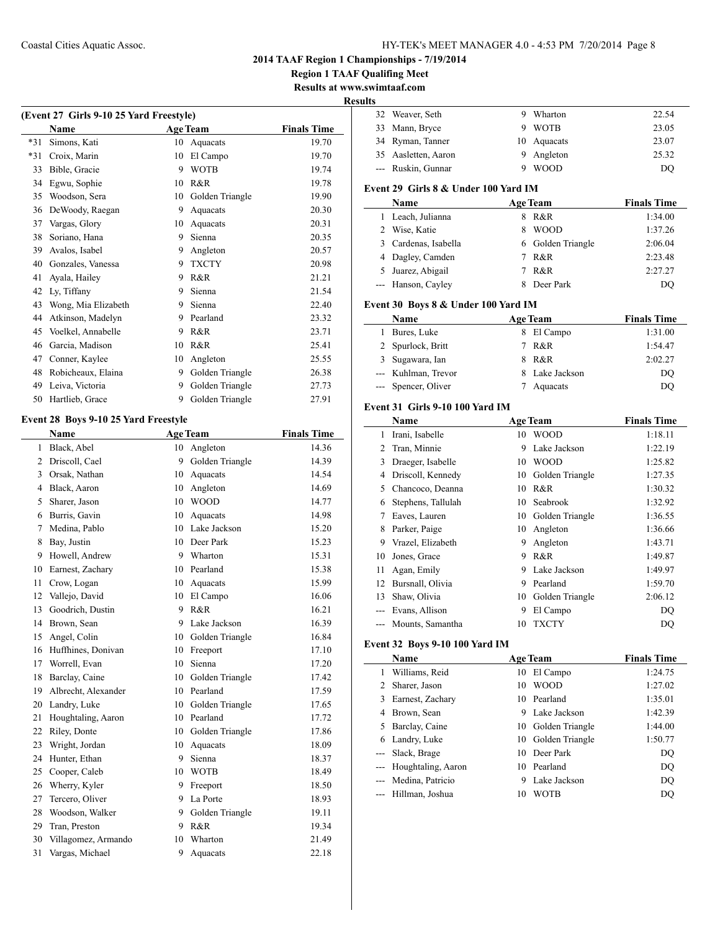## Coastal Cities Aquatic Assoc. HY-TEK's MEET MANAGER 4.0 - 4:53 PM 7/20/2014 Page 8

**2014 TAAF Region 1 Championships - 7/19/2014**

**Region 1 TAAF Qualifing Meet**

**Results at www.swimtaaf.com**

**Results**

 $\overline{a}$ 

| (Event 27 Girls 9-10 25 Yard Freestyle) |                     |    |                 |                    |
|-----------------------------------------|---------------------|----|-----------------|--------------------|
|                                         | <b>Name</b>         |    | <b>Age Team</b> | <b>Finals Time</b> |
| $*31$                                   | Simons, Kati        | 10 | Aquacats        | 19.70              |
| $*31$                                   | Croix, Marin        | 10 | El Campo        | 19.70              |
| 33                                      | Bible, Gracie       | 9  | <b>WOTB</b>     | 19.74              |
| 34                                      | Egwu, Sophie        | 10 | R&R             | 19.78              |
| 35                                      | Woodson, Sera       | 10 | Golden Triangle | 19.90              |
| 36                                      | DeWoody, Raegan     | 9  | Aquacats        | 20.30              |
| 37                                      | Vargas, Glory       | 10 | Aquacats        | 20.31              |
| 38                                      | Soriano, Hana       | 9  | Sienna          | 20.35              |
| 39                                      | Avalos, Isabel      | 9  | Angleton        | 20.57              |
| 40                                      | Gonzales, Vanessa   | 9  | <b>TXCTY</b>    | 20.98              |
| 41                                      | Ayala, Hailey       | 9  | R&R             | 21.21              |
| 42                                      | Ly, Tiffany         | 9  | Sienna          | 21.54              |
| 43                                      | Wong, Mia Elizabeth | 9  | Sienna          | 22.40              |
| 44                                      | Atkinson, Madelyn   | 9  | Pearland        | 23.32              |
| 45                                      | Voelkel, Annabelle  | 9  | R&R             | 23.71              |
| 46                                      | Garcia, Madison     | 10 | R&R             | 25.41              |
| 47                                      | Conner, Kaylee      | 10 | Angleton        | 25.55              |
| 48                                      | Robicheaux, Elaina  | 9  | Golden Triangle | 26.38              |
| 49                                      | Leiva, Victoria     | 9  | Golden Triangle | 27.73              |
| 50                                      | Hartlieb, Grace     | 9  | Golden Triangle | 27.91              |

## **Event 28 Boys 9-10 25 Yard Freestyle**

|                | <b>Name</b>         |    | <b>Age Team</b>    | <b>Finals Time</b> |
|----------------|---------------------|----|--------------------|--------------------|
| 1              | Black, Abel         | 10 | Angleton           | 14.36              |
| $\overline{2}$ | Driscoll, Cael      | 9  | Golden Triangle    | 14.39              |
| 3              | Orsak, Nathan       |    | 10 Aquacats        | 14.54              |
| $\overline{4}$ | Black, Aaron        | 10 | Angleton           | 14.69              |
| 5              | Sharer, Jason       | 10 | <b>WOOD</b>        | 14.77              |
| 6              | Burris, Gavin       | 10 | Aquacats           | 14.98              |
| 7              | Medina, Pablo       | 10 | Lake Jackson       | 15.20              |
| 8              | Bay, Justin         | 10 | Deer Park          | 15.23              |
| 9              | Howell, Andrew      | 9  | Wharton            | 15.31              |
| 10             | Earnest, Zachary    | 10 | Pearland           | 15.38              |
| 11             | Crow, Logan         | 10 | Aquacats           | 15.99              |
| 12             | Vallejo, David      | 10 | El Campo           | 16.06              |
| 13             | Goodrich, Dustin    | 9  | R&R                | 16.21              |
| 14             | Brown, Sean         | 9  | Lake Jackson       | 16.39              |
| 15             | Angel, Colin        |    | 10 Golden Triangle | 16.84              |
| 16             | Huffhines, Donivan  | 10 | Freeport           | 17.10              |
| 17             | Worrell, Evan       | 10 | Sienna             | 17.20              |
| 18             | Barclay, Caine      |    | 10 Golden Triangle | 17.42              |
| 19             | Albrecht, Alexander |    | 10 Pearland        | 17.59              |
| 20             | Landry, Luke        | 10 | Golden Triangle    | 17.65              |
| 21             | Houghtaling, Aaron  | 10 | Pearland           | 17.72              |
| 22             | Riley, Donte        | 10 | Golden Triangle    | 17.86              |
| 23             | Wright, Jordan      | 10 | Aquacats           | 18.09              |
| 24             | Hunter, Ethan       | 9  | Sienna             | 18.37              |
| 25             | Cooper, Caleb       |    | 10 WOTB            | 18.49              |
| 26             | Wherry, Kyler       | 9  | Freeport           | 18.50              |
| 27             | Tercero, Oliver     | 9  | La Porte           | 18.93              |
| 28             | Woodson, Walker     | 9  | Golden Triangle    | 19.11              |
| 29             | Tran, Preston       | 9  | R&R                | 19.34              |
| 30             | Villagomez, Armando | 10 | Wharton            | 21.49              |
| 31             | Vargas, Michael     | 9  | Aquacats           | 22.18              |
|                |                     |    |                    |                    |

| S. |                     |   |             |       |
|----|---------------------|---|-------------|-------|
|    | 32 Weaver, Seth     | 9 | Wharton     | 22.54 |
|    | 33 Mann, Bryce      |   | 9 WOTB      | 23.05 |
|    | 34 Ryman, Tanner    |   | 10 Aquacats | 23.07 |
|    | 35 Aasletten, Aaron |   | 9 Angleton  | 25.32 |
|    | --- Ruskin, Gunnar  | 9 | <b>WOOD</b> | DO    |
|    |                     |   |             |       |

## **Event 29 Girls 8 & Under 100 Yard IM**

| Name                 |    | <b>Age Team</b>   | <b>Finals Time</b> |
|----------------------|----|-------------------|--------------------|
| 1 Leach, Julianna    | 8. | R&R               | 1:34.00            |
| 2 Wise, Katie        |    | <b>WOOD</b>       | 1:37.26            |
| 3 Cardenas, Isabella |    | 6 Golden Triangle | 2:06.04            |
| 4 Dagley, Camden     | 7  | R&R               | 2:23.48            |
| 5 Juarez, Abigail    |    | R&R               | 2:27.27            |
| --- Hanson, Cayley   |    | Deer Park         | DO                 |

## **Event 30 Boys 8 & Under 100 Yard IM**

| <b>Name</b>         |    | <b>Age Team</b> | <b>Finals Time</b> |
|---------------------|----|-----------------|--------------------|
| 1 Bures, Luke       |    | 8 El Campo      | 1:31.00            |
| 2 Spurlock, Britt   | 7  | R&R             | 1:54.47            |
| 3 Sugawara, Ian     | 8. | R&R             | 2:02.27            |
| --- Kuhlman, Trevor |    | 8 Lake Jackson  | DO                 |
| --- Spencer, Oliver |    | Aquacats        | DO                 |

### **Event 31 Girls 9-10 100 Yard IM**

|    | Name               |    | <b>Age Team</b> | <b>Finals Time</b> |
|----|--------------------|----|-----------------|--------------------|
| 1  | Irani, Isabelle    | 10 | <b>WOOD</b>     | 1:18.11            |
| 2  | Tran, Minnie       | 9  | Lake Jackson    | 1:22.19            |
| 3  | Draeger, Isabelle  | 10 | <b>WOOD</b>     | 1:25.82            |
| 4  | Driscoll, Kennedy  | 10 | Golden Triangle | 1:27.35            |
| 5  | Chancoco, Deanna   | 10 | R & R           | 1:30.32            |
| 6  | Stephens, Tallulah | 10 | Seabrook        | 1:32.92            |
| 7  | Eaves, Lauren      | 10 | Golden Triangle | 1:36.55            |
| 8  | Parker, Paige      | 10 | Angleton        | 1:36.66            |
| 9  | Vrazel, Elizabeth  | 9  | Angleton        | 1:43.71            |
| 10 | Jones, Grace       | 9  | R&R             | 1:49.87            |
| 11 | Agan, Emily        | 9  | Lake Jackson    | 1:49.97            |
| 12 | Bursnall, Olivia   | 9  | Pearland        | 1:59.70            |
| 13 | Shaw, Olivia       | 10 | Golden Triangle | 2:06.12            |
|    | Evans, Allison     | 9  | El Campo        | DQ                 |
|    | Mounts, Samantha   | 10 | <b>TXCTY</b>    | DO                 |

## **Event 32 Boys 9-10 100 Yard IM**

|    | Name                   |    | <b>Age Team</b> | <b>Finals Time</b> |
|----|------------------------|----|-----------------|--------------------|
| 1. | Williams, Reid         | 10 | El Campo        | 1:24.75            |
| 2  | Sharer, Jason          | 10 | <b>WOOD</b>     | 1:27.02            |
| 3  | Earnest, Zachary       |    | 10 Pearland     | 1:35.01            |
| 4  | Brown, Sean            | 9  | Lake Jackson    | 1:42.39            |
| 5. | Barclay, Caine         | 10 | Golden Triangle | 1:44.00            |
| 6  | Landry, Luke           | 10 | Golden Triangle | 1:50.77            |
|    | --- Slack, Brage       | 10 | Deer Park       | DO                 |
|    | --- Houghtaling, Aaron | 10 | Pearland        | DQ                 |
|    | --- Medina, Patricio   | 9  | Lake Jackson    | DO                 |
|    | Hillman, Joshua        | 10 | <b>WOTB</b>     | DO                 |
|    |                        |    |                 |                    |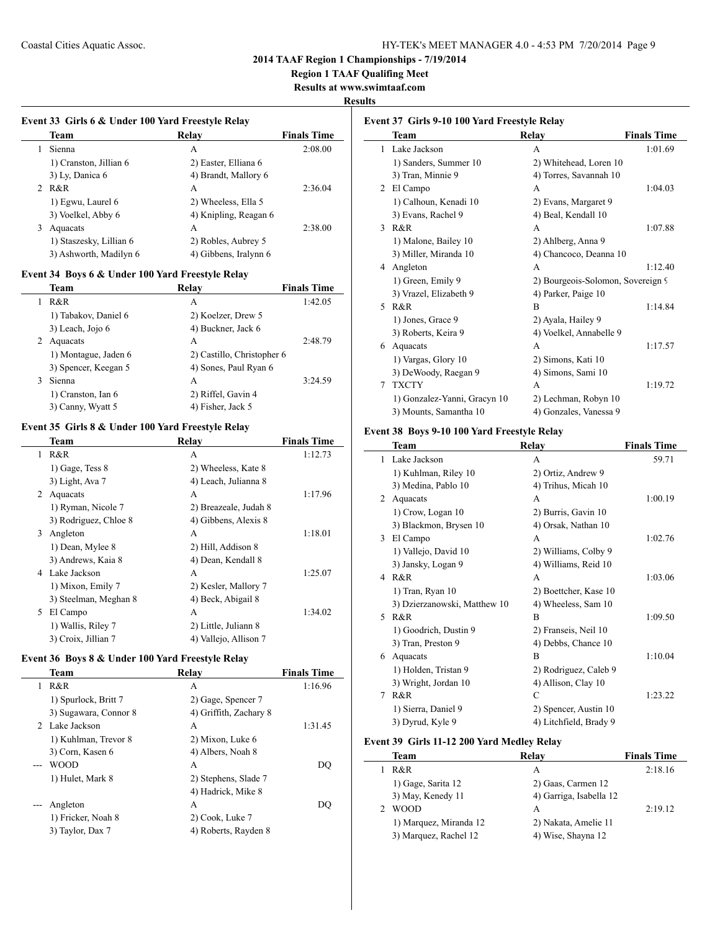$\overline{\phantom{0}}$ 

 $\overline{\phantom{a}}$ 

### **2014 TAAF Region 1 Championships - 7/19/2014**

**Region 1 TAAF Qualifing Meet**

**Results at www.swimtaaf.com**

#### **Results**

## **Event 33 Girls 6 & Under 100 Yard Freestyle Relay Team Relay Finals Time** 1 Sienna A 2:08.00 1) Cranston, Jillian 6 2) Easter, Elliana 6 3) Ly, Danica 6 4) Brandt, Mallory 6 2 R&R A 2:36.04 1) Egwu, Laurel 6 2) Wheeless, Ella 5 3) Voelkel, Abby 6 4) Knipling, Reagan 6 3 Aquacats A 2:38.00 1) Staszesky, Lillian 6 2) Robles, Aubrey 5 3) Ashworth, Madilyn 6 4) Gibbens, Iralynn 6

### **Event 34 Boys 6 & Under 100 Yard Freestyle Relay**

| <b>Team</b>          | Relav                      | <b>Finals Time</b> |
|----------------------|----------------------------|--------------------|
| R&R                  | A                          | 1:42.05            |
| 1) Tabakov, Daniel 6 | 2) Koelzer, Drew 5         |                    |
| 3) Leach, Jojo 6     | 4) Buckner, Jack 6         |                    |
| Aquacats             | A                          | 2:48.79            |
| 1) Montague, Jaden 6 | 2) Castillo, Christopher 6 |                    |
| 3) Spencer, Keegan 5 | 4) Sones, Paul Ryan 6      |                    |
| Sienna               | A                          | 3:24.59            |
| 1) Cranston, Ian 6   | 2) Riffel, Gavin 4         |                    |
| 3) Canny, Wyatt 5    | 4) Fisher, Jack 5          |                    |

## **Event 35 Girls 8 & Under 100 Yard Freestyle Relay**

|   | Team                  | Relay                 | <b>Finals Time</b> |
|---|-----------------------|-----------------------|--------------------|
| 1 | R&R                   | A                     | 1:12.73            |
|   | 1) Gage, Tess 8       | 2) Wheeless, Kate 8   |                    |
|   | 3) Light, Ava 7       | 4) Leach, Julianna 8  |                    |
| 2 | Aquacats              | A                     | 1:17.96            |
|   | 1) Ryman, Nicole 7    | 2) Breazeale, Judah 8 |                    |
|   | 3) Rodriguez, Chloe 8 | 4) Gibbens, Alexis 8  |                    |
| 3 | Angleton              | A                     | 1:18.01            |
|   | 1) Dean, Mylee 8      | 2) Hill, Addison 8    |                    |
|   | 3) Andrews, Kaia 8    | 4) Dean, Kendall 8    |                    |
| 4 | Lake Jackson          | A                     | 1:25.07            |
|   | 1) Mixon, Emily 7     | 2) Kesler, Mallory 7  |                    |
|   | 3) Steelman, Meghan 8 | 4) Beck, Abigail 8    |                    |
| 5 | El Campo              | A                     | 1:34.02            |
|   | 1) Wallis, Riley 7    | 2) Little, Juliann 8  |                    |
|   | 3) Croix, Jillian 7   | 4) Vallejo, Allison 7 |                    |

## **Event 36 Boys 8 & Under 100 Yard Freestyle Relay**

|   | Team                  | Relay                  | <b>Finals Time</b> |
|---|-----------------------|------------------------|--------------------|
| 1 | R&R                   | А                      | 1:16.96            |
|   | 1) Spurlock, Britt 7  | 2) Gage, Spencer 7     |                    |
|   | 3) Sugawara, Connor 8 | 4) Griffith, Zachary 8 |                    |
|   | 2 Lake Jackson        | A                      | 1:31.45            |
|   | 1) Kuhlman, Trevor 8  | 2) Mixon, Luke 6       |                    |
|   | 3) Corn, Kasen 6      | 4) Albers, Noah 8      |                    |
|   | WOOD                  | A                      | DO                 |
|   | 1) Hulet, Mark 8      | 2) Stephens, Slade 7   |                    |
|   |                       | 4) Hadrick, Mike 8     |                    |
|   | Angleton              | A                      | DO                 |
|   | 1) Fricker, Noah 8    | 2) Cook, Luke 7        |                    |
|   | 3) Taylor, Dax 7      | 4) Roberts, Rayden 8   |                    |
|   |                       |                        |                    |

| Event 37 Girls 9-10 100 Yard Freestyle Relay |                              |                                   |                    |
|----------------------------------------------|------------------------------|-----------------------------------|--------------------|
|                                              | Team                         | Relay                             | <b>Finals Time</b> |
| 1                                            | Lake Jackson                 | A                                 | 1:01.69            |
|                                              | 1) Sanders, Summer 10        | 2) Whitehead, Loren 10            |                    |
|                                              | 3) Tran, Minnie 9            | 4) Torres, Savannah 10            |                    |
| 2                                            | El Campo                     | A                                 | 1:04.03            |
|                                              | 1) Calhoun, Kenadi 10        | 2) Evans, Margaret 9              |                    |
|                                              | 3) Evans, Rachel 9           | 4) Beal, Kendall 10               |                    |
| 3                                            | $R\&R$                       | A                                 | 1:07.88            |
|                                              | 1) Malone, Bailey 10         | 2) Ahlberg, Anna 9                |                    |
|                                              | 3) Miller, Miranda 10        | 4) Chancoco, Deanna 10            |                    |
| 4                                            | Angleton                     | A                                 | 1:12.40            |
|                                              | 1) Green, Emily 9            | 2) Bourgeois-Solomon, Sovereign 9 |                    |
|                                              | 3) Vrazel, Elizabeth 9       | 4) Parker, Paige 10               |                    |
| 5.                                           | R&R                          | B                                 | 1:14.84            |
|                                              | 1) Jones, Grace 9            | 2) Ayala, Hailey 9                |                    |
|                                              | 3) Roberts, Keira 9          | 4) Voelkel, Annabelle 9           |                    |
| 6                                            | Aquacats                     | A                                 | 1:17.57            |
|                                              | 1) Vargas, Glory 10          | 2) Simons, Kati 10                |                    |
|                                              | 3) DeWoody, Raegan 9         | 4) Simons, Sami 10                |                    |
| 7                                            | <b>TXCTY</b>                 | A                                 | 1:19.72            |
|                                              | 1) Gonzalez-Yanni, Gracyn 10 | 2) Lechman, Robyn 10              |                    |
|                                              | 3) Mounts, Samantha 10       | 4) Gonzales, Vanessa 9            |                    |

### **Event 38 Boys 9-10 100 Yard Freestyle Relay**

|   | Team                         | Relay                  | <b>Finals Time</b> |
|---|------------------------------|------------------------|--------------------|
| 1 | Lake Jackson                 | A                      | 59.71              |
|   | 1) Kuhlman, Riley 10         | 2) Ortiz, Andrew 9     |                    |
|   | 3) Medina, Pablo 10          | 4) Trihus, Micah 10    |                    |
| 2 | Aquacats                     | A                      | 1:00.19            |
|   | 1) Crow, Logan 10            | 2) Burris, Gavin 10    |                    |
|   | 3) Blackmon, Brysen 10       | 4) Orsak, Nathan 10    |                    |
| 3 | El Campo                     | A                      | 1:02.76            |
|   | 1) Vallejo, David 10         | 2) Williams, Colby 9   |                    |
|   | 3) Jansky, Logan 9           | 4) Williams, Reid 10   |                    |
| 4 | R&R                          | A                      | 1:03.06            |
|   | $1)$ Tran, Ryan $10$         | 2) Boettcher, Kase 10  |                    |
|   | 3) Dzierzanowski, Matthew 10 | 4) Wheeless, Sam 10    |                    |
| 5 | R&R                          | B                      | 1:09.50            |
|   | 1) Goodrich, Dustin 9        | 2) Franseis, Neil 10   |                    |
|   | 3) Tran, Preston 9           | 4) Debbs, Chance 10    |                    |
| 6 | Aquacats                     | B                      | 1:10.04            |
|   | 1) Holden, Tristan 9         | 2) Rodriguez, Caleb 9  |                    |
|   | 3) Wright, Jordan 10         | 4) Allison, Clay 10    |                    |
| 7 | R&R                          | C                      | 1:23.22            |
|   | 1) Sierra, Daniel 9          | 2) Spencer, Austin 10  |                    |
|   | 3) Dyrud, Kyle 9             | 4) Litchfield, Brady 9 |                    |

#### **Event 39 Girls 11-12 200 Yard Medley Relay**

 $\overline{a}$ 

| <b>Team</b>            | Relay                   | <b>Finals Time</b> |
|------------------------|-------------------------|--------------------|
| R&R                    | А                       | 2:18.16            |
| 1) Gage, Sarita 12     | 2) Gaas, Carmen 12      |                    |
| 3) May, Kenedy 11      | 4) Garriga, Isabella 12 |                    |
| <b>WOOD</b>            | A                       | 2:19.12            |
| 1) Marquez, Miranda 12 | 2) Nakata, Amelie 11    |                    |
| 3) Marquez, Rachel 12  | 4) Wise, Shayna 12      |                    |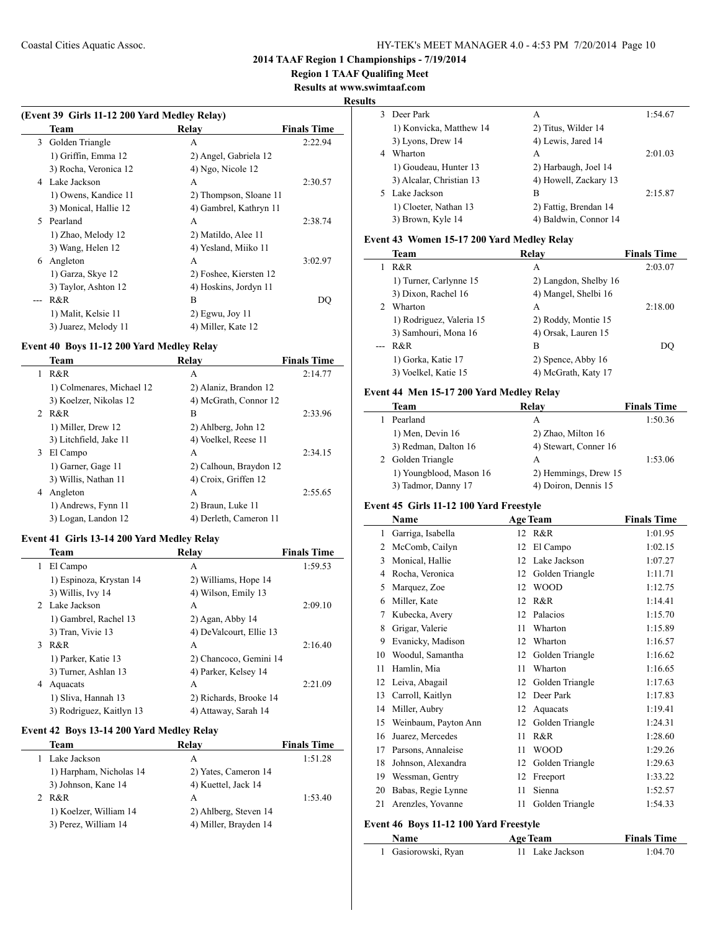**Region 1 TAAF Qualifing Meet**

**Results at www.swimtaaf.com**

#### **Results**

 $\frac{1}{2}$ 

| (Event 39 Girls 11-12 200 Yard Medley Relay) |                       |                        |                    |
|----------------------------------------------|-----------------------|------------------------|--------------------|
|                                              | Team                  | Relay                  | <b>Finals Time</b> |
| 3                                            | Golden Triangle       | А                      | 2:22.94            |
|                                              | 1) Griffin, Emma 12   | 2) Angel, Gabriela 12  |                    |
|                                              | 3) Rocha, Veronica 12 | 4) Ngo, Nicole 12      |                    |
| 4                                            | Lake Jackson          | A                      | 2:30.57            |
|                                              | 1) Owens, Kandice 11  | 2) Thompson, Sloane 11 |                    |
|                                              | 3) Monical, Hallie 12 | 4) Gambrel, Kathryn 11 |                    |
| 5.                                           | Pearland              | A                      | 2:38.74            |
|                                              | 1) Zhao, Melody 12    | 2) Matildo, Alee 11    |                    |
|                                              | 3) Wang, Helen 12     | 4) Yesland, Miiko 11   |                    |
| 6                                            | Angleton              | A                      | 3:02.97            |
|                                              | 1) Garza, Skye 12     | 2) Foshee, Kiersten 12 |                    |
|                                              | 3) Taylor, Ashton 12  | 4) Hoskins, Jordyn 11  |                    |
|                                              | R&R                   | B                      | DQ                 |
|                                              | 1) Malit, Kelsie 11   | $2)$ Egwu, Joy 11      |                    |
|                                              | 3) Juarez, Melody 11  | 4) Miller, Kate 12     |                    |

## **Event 40 Boys 11-12 200 Yard Medley Relay**

|   | Team                      | Relav                  | <b>Finals Time</b> |
|---|---------------------------|------------------------|--------------------|
| 1 | R&R                       | А                      | 2:14.77            |
|   | 1) Colmenares, Michael 12 | 2) Alaniz, Brandon 12  |                    |
|   | 3) Koelzer, Nikolas 12    | 4) McGrath, Connor 12  |                    |
|   | 2 R&R                     | В                      | 2:33.96            |
|   | 1) Miller, Drew 12        | 2) Ahlberg, John 12    |                    |
|   | 3) Litchfield, Jake 11    | 4) Voelkel, Reese 11   |                    |
| 3 | El Campo                  | А                      | 2:34.15            |
|   | 1) Garner, Gage 11        | 2) Calhoun, Braydon 12 |                    |
|   | 3) Willis, Nathan 11      | 4) Croix, Griffen 12   |                    |
| 4 | Angleton                  | A                      | 2:55.65            |
|   | 1) Andrews, Fynn 11       | 2) Braun, Luke 11      |                    |
|   | 3) Logan, Landon 12       | 4) Derleth, Cameron 11 |                    |

## **Event 41 Girls 13-14 200 Yard Medley Relay**

|   | Team                     | Relay                   | <b>Finals Time</b> |
|---|--------------------------|-------------------------|--------------------|
| L | El Campo                 | А                       | 1:59.53            |
|   | 1) Espinoza, Krystan 14  | 2) Williams, Hope 14    |                    |
|   | 3) Willis, Ivy 14        | 4) Wilson, Emily 13     |                    |
|   | 2 Lake Jackson           | А                       | 2:09.10            |
|   | 1) Gambrel, Rachel 13    | $2)$ Agan, Abby 14      |                    |
|   | 3) Tran, Vivie 13        | 4) DeValcourt, Ellie 13 |                    |
| 3 | R&R                      | A                       | 2:16.40            |
|   | 1) Parker, Katie 13      | 2) Chancoco, Gemini 14  |                    |
|   | 3) Turner, Ashlan 13     | 4) Parker, Kelsey 14    |                    |
| 4 | Aquacats                 | A                       | 2:21.09            |
|   | 1) Sliva, Hannah 13      | 2) Richards, Brooke 14  |                    |
|   | 3) Rodriguez, Kaitlyn 13 | 4) Attaway, Sarah 14    |                    |

## **Event 42 Boys 13-14 200 Yard Medley Relay**

 $\overline{a}$ 

| Team                    | Relay                 | <b>Finals Time</b> |
|-------------------------|-----------------------|--------------------|
| Lake Jackson            | А                     | 1:51.28            |
| 1) Harpham, Nicholas 14 | 2) Yates, Cameron 14  |                    |
| 3) Johnson, Kane 14     | 4) Kuettel, Jack 14   |                    |
| R&R                     | A                     | 1:53.40            |
| 1) Koelzer, William 14  | 2) Ahlberg, Steven 14 |                    |
| 3) Perez, William 14    | 4) Miller, Brayden 14 |                    |
|                         |                       |                    |

|   | 3 Deer Park              | A                     | 1:54.67 |
|---|--------------------------|-----------------------|---------|
|   | 1) Konvicka, Matthew 14  | 2) Titus, Wilder 14   |         |
|   | 3) Lyons, Drew 14        | 4) Lewis, Jared 14    |         |
| 4 | Wharton                  | A                     | 2:01.03 |
|   | 1) Goudeau, Hunter 13    | 2) Harbaugh, Joel 14  |         |
|   | 3) Alcalar, Christian 13 | 4) Howell, Zackary 13 |         |
|   | 5 Lake Jackson           | в                     | 2:15.87 |
|   | 1) Cloeter, Nathan 13    | 2) Fattig, Brendan 14 |         |
|   | 3) Brown, Kyle 14        | 4) Baldwin, Connor 14 |         |
|   |                          |                       |         |

## **Event 43 Women 15-17 200 Yard Medley Relay**

| Team                     | Relav                 | <b>Finals Time</b> |
|--------------------------|-----------------------|--------------------|
| R&R                      | А                     | 2:03.07            |
| 1) Turner, Carlynne 15   | 2) Langdon, Shelby 16 |                    |
| 3) Dixon, Rachel 16      | 4) Mangel, Shelbi 16  |                    |
| Wharton                  | A                     | 2:18.00            |
| 1) Rodriguez, Valeria 15 | 2) Roddy, Montie 15   |                    |
| 3) Samhouri, Mona 16     | 4) Orsak, Lauren 15   |                    |
| R&R                      | B                     | DO                 |
| 1) Gorka, Katie 17       | 2) Spence, Abby 16    |                    |
| 3) Voelkel, Katie 15     | 4) McGrath, Katy 17   |                    |

## **Event 44 Men 15-17 200 Yard Medley Relay**

| Team                    | Relay                 | <b>Finals Time</b> |
|-------------------------|-----------------------|--------------------|
| Pearland                | A                     | 1:50.36            |
| 1) Men, Devin 16        | 2) Zhao, Milton 16    |                    |
| 3) Redman, Dalton 16    | 4) Stewart, Conner 16 |                    |
| 2 Golden Triangle       | A                     | 1:53.06            |
| 1) Youngblood, Mason 16 | 2) Hemmings, Drew 15  |                    |
| 3) Tadmor, Danny 17     | 4) Doiron, Dennis 15  |                    |

## **Event 45 Girls 11-12 100 Yard Freestyle**

|    | Name                 |    | <b>Age Team</b> | <b>Finals Time</b> |
|----|----------------------|----|-----------------|--------------------|
| 1  | Garriga, Isabella    | 12 | R&R             | 1:01.95            |
| 2  | McComb, Cailyn       | 12 | El Campo        | 1:02.15            |
| 3  | Monical, Hallie      | 12 | Lake Jackson    | 1:07.27            |
| 4  | Rocha, Veronica      | 12 | Golden Triangle | 1:11.71            |
| 5  | Marquez, Zoe         | 12 | <b>WOOD</b>     | 1:12.75            |
| 6  | Miller, Kate         | 12 | R&R             | 1:14.41            |
| 7  | Kubecka, Avery       | 12 | Palacios        | 1:15.70            |
| 8  | Grigar, Valerie      | 11 | Wharton         | 1:15.89            |
| 9  | Evanicky, Madison    | 12 | Wharton         | 1:16.57            |
| 10 | Woodul, Samantha     | 12 | Golden Triangle | 1:16.62            |
| 11 | Hamlin, Mia          | 11 | Wharton         | 1:16.65            |
| 12 | Leiva, Abagail       | 12 | Golden Triangle | 1:17.63            |
| 13 | Carroll, Kaitlyn     | 12 | Deer Park       | 1:17.83            |
| 14 | Miller, Aubry        | 12 | Aquacats        | 1:19.41            |
| 15 | Weinbaum, Payton Ann | 12 | Golden Triangle | 1:24.31            |
| 16 | Juarez, Mercedes     | 11 | R&R             | 1:28.60            |
| 17 | Parsons, Annaleise   | 11 | <b>WOOD</b>     | 1:29.26            |
| 18 | Johnson, Alexandra   | 12 | Golden Triangle | 1:29.63            |
| 19 | Wessman, Gentry      | 12 | Freeport        | 1:33.22            |
| 20 | Babas, Regie Lynne   | 11 | Sienna          | 1:52.57            |
| 21 | Arenzles, Yovanne    | 11 | Golden Triangle | 1:54.33            |

### **Event 46 Boys 11-12 100 Yard Freestyle**

| <b>Name</b>         | Age Team        |         |
|---------------------|-----------------|---------|
| 1 Gasiorowski, Ryan | 11 Lake Jackson | 1:04.70 |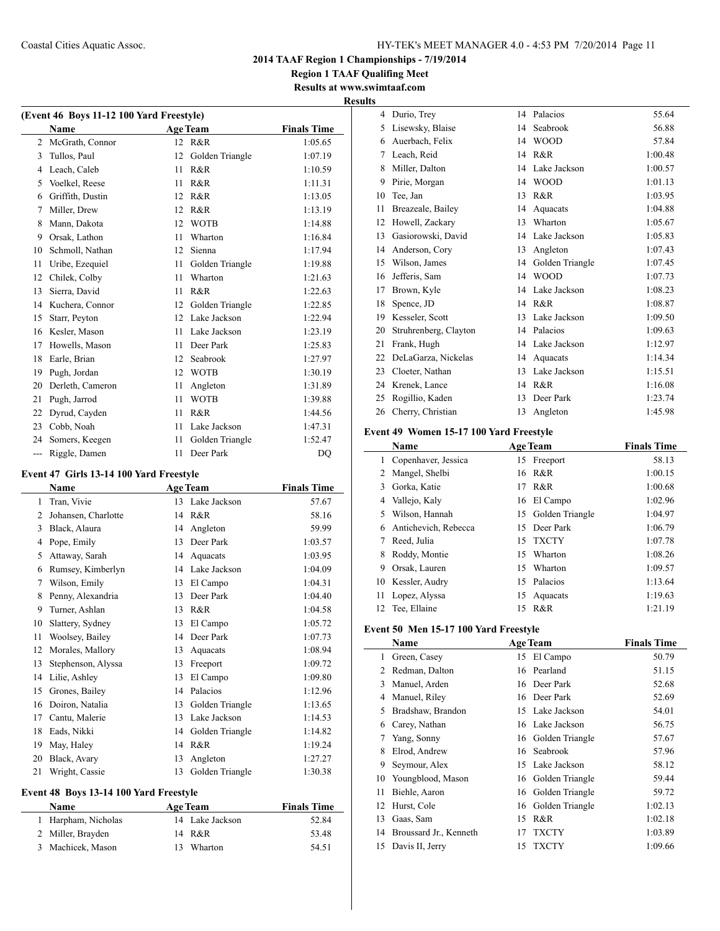**Region 1 TAAF Qualifing Meet Results at www.swimtaaf.com**

# **Results**

| (Event 46 Boys 11-12 100 Yard Freestyle) |                  |    |                 |                    |  |
|------------------------------------------|------------------|----|-----------------|--------------------|--|
|                                          | <b>Name</b>      |    | <b>Age Team</b> | <b>Finals Time</b> |  |
| $\overline{2}$                           | McGrath, Connor  | 12 | R&R             | 1:05.65            |  |
| 3                                        | Tullos, Paul     | 12 | Golden Triangle | 1:07.19            |  |
| 4                                        | Leach, Caleb     | 11 | R&R             | 1:10.59            |  |
| 5                                        | Voelkel, Reese   | 11 | R&R             | 1:11.31            |  |
| 6                                        | Griffith, Dustin | 12 | R&R             | 1:13.05            |  |
| 7                                        | Miller, Drew     | 12 | R&R             | 1:13.19            |  |
| 8                                        | Mann, Dakota     | 12 | <b>WOTB</b>     | 1:14.88            |  |
| 9                                        | Orsak, Lathon    | 11 | Wharton         | 1:16.84            |  |
| 10                                       | Schmoll, Nathan  | 12 | Sienna          | 1:17.94            |  |
| 11                                       | Uribe, Ezequiel  | 11 | Golden Triangle | 1:19.88            |  |
| 12                                       | Chilek, Colby    | 11 | Wharton         | 1:21.63            |  |
| 13                                       | Sierra, David    | 11 | R&R             | 1:22.63            |  |
| 14                                       | Kuchera, Connor  | 12 | Golden Triangle | 1:22.85            |  |
| 15                                       | Starr, Peyton    | 12 | Lake Jackson    | 1:22.94            |  |
| 16                                       | Kesler, Mason    | 11 | Lake Jackson    | 1:23.19            |  |
| 17                                       | Howells, Mason   | 11 | Deer Park       | 1:25.83            |  |
| 18                                       | Earle, Brian     | 12 | Seabrook        | 1:27.97            |  |
| 19                                       | Pugh, Jordan     | 12 | <b>WOTB</b>     | 1:30.19            |  |
| 20                                       | Derleth, Cameron | 11 | Angleton        | 1:31.89            |  |
| 21                                       | Pugh, Jarrod     | 11 | <b>WOTB</b>     | 1:39.88            |  |
| 22                                       | Dyrud, Cayden    | 11 | R&R             | 1:44.56            |  |
| 23                                       | Cobb, Noah       | 11 | Lake Jackson    | 1:47.31            |  |
| 24                                       | Somers, Keegen   | 11 | Golden Triangle | 1:52.47            |  |
| ---                                      | Riggle, Damen    | 11 | Deer Park       | DQ                 |  |

# **Event 47 Girls 13-14 100 Yard Freestyle**

|                | Name                |    | <b>Age Team</b> | <b>Finals Time</b> |
|----------------|---------------------|----|-----------------|--------------------|
| 1              | Tran, Vivie         | 13 | Lake Jackson    | 57.67              |
| $\overline{2}$ | Johansen, Charlotte | 14 | R&R             | 58.16              |
| 3              | Black, Alaura       | 14 | Angleton        | 59.99              |
| 4              | Pope, Emily         | 13 | Deer Park       | 1:03.57            |
| 5              | Attaway, Sarah      | 14 | Aquacats        | 1:03.95            |
| 6              | Rumsey, Kimberlyn   | 14 | Lake Jackson    | 1:04.09            |
| 7              | Wilson, Emily       | 13 | El Campo        | 1:04.31            |
| 8              | Penny, Alexandria   | 13 | Deer Park       | 1:04.40            |
| 9              | Turner, Ashlan      | 13 | R&R             | 1:04.58            |
| 10             | Slattery, Sydney    | 13 | El Campo        | 1:05.72            |
| 11             | Woolsey, Bailey     | 14 | Deer Park       | 1:07.73            |
| 12             | Morales, Mallory    | 13 | Aquacats        | 1:08.94            |
| 13             | Stephenson, Alyssa  | 13 | Freeport        | 1:09.72            |
| 14             | Lilie, Ashley       | 13 | El Campo        | 1:09.80            |
| 15             | Grones, Bailey      | 14 | Palacios        | 1:12.96            |
| 16             | Doiron, Natalia     | 13 | Golden Triangle | 1:13.65            |
| 17             | Cantu, Malerie      | 13 | Lake Jackson    | 1:14.53            |
| 18             | Eads, Nikki         | 14 | Golden Triangle | 1:14.82            |
| 19             | May, Haley          | 14 | R&R             | 1:19.24            |
| 20             | Black, Avary        | 13 | Angleton        | 1:27.27            |
| 21             | Wright, Cassie      | 13 | Golden Triangle | 1:30.38            |

## **Event 48 Boys 13-14 100 Yard Freestyle**

| <b>Name</b>         | <b>Age Team</b> | <b>Finals Time</b> |
|---------------------|-----------------|--------------------|
| 1 Harpham, Nicholas | 14 Lake Jackson | 52.84              |
| 2 Miller, Brayden   | 14 R&R          | 53.48              |
| 3 Machicek, Mason   | 13 Wharton      | 54 51              |

| 4  | Durio, Trey           | 14 | Palacios        | 55.64   |
|----|-----------------------|----|-----------------|---------|
| 5  | Lisewsky, Blaise      | 14 | Seabrook        | 56.88   |
| 6  | Auerbach, Felix       | 14 | <b>WOOD</b>     | 57.84   |
| 7  | Leach, Reid           | 14 | R&R             | 1:00.48 |
| 8  | Miller, Dalton        | 14 | Lake Jackson    | 1:00.57 |
| 9  | Pirie, Morgan         | 14 | <b>WOOD</b>     | 1:01.13 |
| 10 | Tee, Jan              | 13 | R&R             | 1:03.95 |
| 11 | Breazeale, Bailey     | 14 | Aquacats        | 1:04.88 |
| 12 | Howell, Zackary       | 13 | Wharton         | 1:05.67 |
| 13 | Gasiorowski, David    | 14 | Lake Jackson    | 1:05.83 |
| 14 | Anderson, Cory        | 13 | Angleton        | 1:07.43 |
| 15 | Wilson, James         | 14 | Golden Triangle | 1:07.45 |
| 16 | Jefferis, Sam         | 14 | <b>WOOD</b>     | 1:07.73 |
| 17 | Brown, Kyle           | 14 | Lake Jackson    | 1:08.23 |
| 18 | Spence, JD            | 14 | R&R             | 1:08.87 |
| 19 | Kesseler, Scott       | 13 | Lake Jackson    | 1:09.50 |
| 20 | Struhrenberg, Clayton | 14 | Palacios        | 1:09.63 |
| 21 | Frank, Hugh           | 14 | Lake Jackson    | 1:12.97 |
| 22 | DeLaGarza, Nickelas   | 14 | Aquacats        | 1:14.34 |
| 23 | Cloeter, Nathan       | 13 | Lake Jackson    | 1:15.51 |
| 24 | Krenek, Lance         | 14 | R&R             | 1:16.08 |
| 25 | Rogillio, Kaden       | 13 | Deer Park       | 1:23.74 |
| 26 | Cherry, Christian     | 13 | Angleton        | 1:45.98 |

### **Event 49 Women 15-17 100 Yard Freestyle**

|                | <b>Age Team</b><br>Name |    |                 | <b>Finals Time</b> |
|----------------|-------------------------|----|-----------------|--------------------|
| 1              | Copenhaver, Jessica     | 15 | Freeport        | 58.13              |
| $\overline{2}$ | Mangel, Shelbi          |    | 16 R&R          | 1:00.15            |
| 3              | Gorka, Katie            | 17 | R&R             | 1:00.68            |
| 4              | Vallejo, Kaly           | 16 | El Campo        | 1:02.96            |
| 5              | Wilson, Hannah          | 15 | Golden Triangle | 1:04.97            |
| 6              | Antichevich, Rebecca    | 15 | Deer Park       | 1:06.79            |
|                | Reed, Julia             | 15 | <b>TXCTY</b>    | 1:07.78            |
| 8              | Roddy, Montie           | 15 | Wharton         | 1:08.26            |
| 9              | Orsak, Lauren           | 15 | Wharton         | 1:09.57            |
| 10             | Kessler, Audry          | 15 | Palacios        | 1:13.64            |
| 11             | Lopez, Alyssa           | 15 | Aquacats        | 1:19.63            |
| 12             | Tee, Ellaine            | 15 | R&R             | 1:21.19            |

### **Event 50 Men 15-17 100 Yard Freestyle**

|    | Name                   |    | <b>Age Team</b>    | <b>Finals Time</b> |
|----|------------------------|----|--------------------|--------------------|
| 1  | Green, Casey           | 15 | El Campo           | 50.79              |
| 2  | Redman, Dalton         | 16 | Pearland           | 51.15              |
| 3  | Manuel, Arden          | 16 | Deer Park          | 52.68              |
| 4  | Manuel, Riley          | 16 | Deer Park          | 52.69              |
| 5  | Bradshaw, Brandon      | 15 | Lake Jackson       | 54.01              |
| 6  | Carey, Nathan          |    | 16 Lake Jackson    | 56.75              |
| 7  | Yang, Sonny            |    | 16 Golden Triangle | 57.67              |
| 8  | Elrod, Andrew          | 16 | Seabrook           | 57.96              |
| 9  | Seymour, Alex          |    | 15 Lake Jackson    | 58.12              |
| 10 | Youngblood, Mason      |    | 16 Golden Triangle | 59.44              |
| 11 | Biehle, Aaron          | 16 | Golden Triangle    | 59.72              |
| 12 | Hurst, Cole            | 16 | Golden Triangle    | 1:02.13            |
| 13 | Gaas, Sam              | 15 | R&R                | 1:02.18            |
| 14 | Broussard Jr., Kenneth | 17 | <b>TXCTY</b>       | 1:03.89            |
| 15 | Davis II, Jerry        | 15 | <b>TXCTY</b>       | 1:09.66            |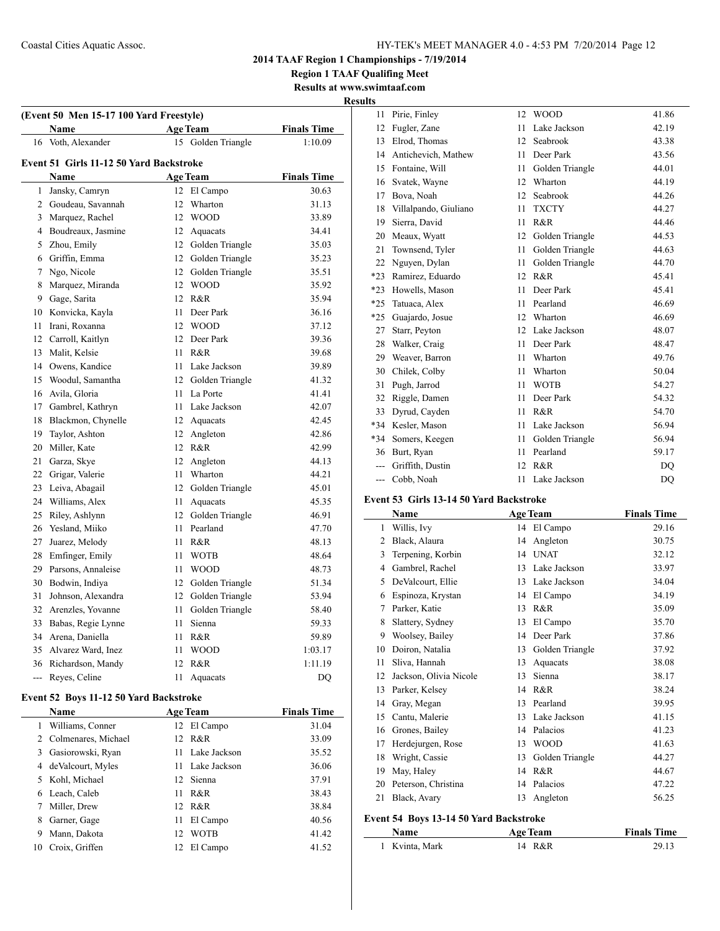**Region 1 TAAF Qualifing Meet Results at www.swimtaaf.com**

**Results**

| (Event 50 Men 15-17 100 Yard Freestyle)       |                                        |      |                    |                    |  |  |  |  |  |
|-----------------------------------------------|----------------------------------------|------|--------------------|--------------------|--|--|--|--|--|
|                                               | Name                                   |      | <b>Age Team</b>    | <b>Finals Time</b> |  |  |  |  |  |
|                                               | 16 Voth, Alexander                     |      | 15 Golden Triangle | 1:10.09            |  |  |  |  |  |
| Event 51 Girls 11-12 50 Yard Backstroke       |                                        |      |                    |                    |  |  |  |  |  |
| <b>Finals Time</b><br>Name<br><b>Age Team</b> |                                        |      |                    |                    |  |  |  |  |  |
| $\mathbf{1}$                                  | Jansky, Camryn                         |      | 12 El Campo        | 30.63              |  |  |  |  |  |
|                                               | 2 Goudeau, Savannah                    | 12   | Wharton            | 31.13              |  |  |  |  |  |
| 3                                             | Marquez, Rachel                        |      | 12 WOOD            | 33.89              |  |  |  |  |  |
|                                               | 4 Boudreaux, Jasmine                   |      | 12 Aquacats        | 34.41              |  |  |  |  |  |
|                                               | 5 Zhou, Emily                          |      | 12 Golden Triangle | 35.03              |  |  |  |  |  |
|                                               | 6 Griffin, Emma                        |      | 12 Golden Triangle | 35.23              |  |  |  |  |  |
| 7                                             | Ngo, Nicole                            |      | 12 Golden Triangle | 35.51              |  |  |  |  |  |
| 8                                             | Marquez, Miranda                       |      | 12 WOOD            | 35.92              |  |  |  |  |  |
|                                               | 9 Gage, Sarita                         |      | 12 R&R             | 35.94              |  |  |  |  |  |
|                                               | 10 Konvicka, Kayla                     | 11   | Deer Park          | 36.16              |  |  |  |  |  |
| 11                                            | Irani, Roxanna                         |      | 12 WOOD            | 37.12              |  |  |  |  |  |
|                                               | 12 Carroll, Kaitlyn                    |      | 12 Deer Park       | 39.36              |  |  |  |  |  |
| 13                                            | Malit, Kelsie                          | 11   | $R\&R$             | 39.68              |  |  |  |  |  |
| 14                                            | Owens, Kandice                         | 11   | Lake Jackson       |                    |  |  |  |  |  |
| 15                                            | Woodul, Samantha                       |      | 12 Golden Triangle | 39.89              |  |  |  |  |  |
|                                               |                                        | 11   | La Porte           | 41.32              |  |  |  |  |  |
|                                               | 16 Avila, Gloria                       |      |                    | 41.41              |  |  |  |  |  |
|                                               | 17 Gambrel, Kathryn                    |      | 11 Lake Jackson    | 42.07              |  |  |  |  |  |
| 18                                            | Blackmon, Chynelle                     |      | 12 Aquacats        | 42.45              |  |  |  |  |  |
| 19                                            | Taylor, Ashton                         |      | 12 Angleton        | 42.86              |  |  |  |  |  |
| 20                                            | Miller, Kate                           |      | 12 R&R             | 42.99              |  |  |  |  |  |
| 21                                            | Garza, Skye                            |      | 12 Angleton        | 44.13              |  |  |  |  |  |
| 22                                            | Grigar, Valerie                        | 11 - | Wharton            | 44.21              |  |  |  |  |  |
| 23                                            | Leiva, Abagail                         |      | 12 Golden Triangle | 45.01              |  |  |  |  |  |
| 24                                            | Williams, Alex                         | 11 - | Aquacats           | 45.35              |  |  |  |  |  |
| 25                                            | Riley, Ashlynn                         | 12   | Golden Triangle    | 46.91              |  |  |  |  |  |
|                                               | 26 Yesland, Miiko                      | 11   | Pearland           | 47.70              |  |  |  |  |  |
| 27                                            | Juarez, Melody                         | 11   | R&R                | 48.13              |  |  |  |  |  |
| 28                                            | Emfinger, Emily                        | 11   | <b>WOTB</b>        | 48.64              |  |  |  |  |  |
|                                               | 29 Parsons, Annaleise                  | 11   | <b>WOOD</b>        | 48.73              |  |  |  |  |  |
|                                               | 30 Bodwin, Indiya                      |      | 12 Golden Triangle | 51.34              |  |  |  |  |  |
| 31                                            | Johnson, Alexandra                     |      | 12 Golden Triangle | 53.94              |  |  |  |  |  |
| 32                                            | Arenzles, Yovanne                      | 11   | Golden Triangle    | 58.40              |  |  |  |  |  |
| 33                                            | Babas, Regie Lynne                     | 11   | Sienna             | 59.33              |  |  |  |  |  |
| 34                                            | Arena, Daniella                        | 11   | R&R                | 59.89              |  |  |  |  |  |
| 35                                            | Alvarez Ward, Inez                     | 11   | <b>WOOD</b>        | 1:03.17            |  |  |  |  |  |
| 36                                            | Richardson, Mandy                      | 12   | R&R                | 1:11.19            |  |  |  |  |  |
| ---                                           | Reyes, Celine                          | 11   | Aquacats           | DQ                 |  |  |  |  |  |
|                                               | Event 52 Boys 11-12 50 Yard Backstroke |      |                    |                    |  |  |  |  |  |
|                                               | Name                                   |      | <b>Age Team</b>    | <b>Finals Time</b> |  |  |  |  |  |
| 1                                             | Williams, Conner                       | 12   | El Campo           | 31.04              |  |  |  |  |  |
| $\overline{2}$                                | Colmenares, Michael                    | 12   | R&R                | 33.09              |  |  |  |  |  |
|                                               | 3 Gasiorowski, Ryan                    | 11   | Lake Jackson       | 35.52              |  |  |  |  |  |
|                                               | 4 deValcourt, Myles                    | 11   | Lake Jackson       | 36.06              |  |  |  |  |  |
| 5                                             | Kohl, Michael                          | 12   | Sienna             | 37.91              |  |  |  |  |  |
|                                               | 6 Leach, Caleb                         | 11 - | R&R                | 38.43              |  |  |  |  |  |

 Miller, Drew 12 R&R 38.84 Garner, Gage 11 El Campo 40.56 Mann, Dakota 12 WOTB 41.42 Croix, Griffen 12 El Campo 41.52

| L5    |                       |    |                 |       |
|-------|-----------------------|----|-----------------|-------|
| 11    | Pirie, Finley         | 12 | <b>WOOD</b>     | 41.86 |
| 12    | Fugler, Zane          | 11 | Lake Jackson    | 42.19 |
| 13    | Elrod, Thomas         | 12 | Seabrook        | 43.38 |
| 14    | Antichevich, Mathew   | 11 | Deer Park       | 43.56 |
| 15    | Fontaine, Will        | 11 | Golden Triangle | 44.01 |
| 16    | Svatek, Wayne         | 12 | Wharton         | 44.19 |
| 17    | Bova, Noah            | 12 | Seabrook        | 44.26 |
| 18    | Villalpando, Giuliano | 11 | <b>TXCTY</b>    | 44.27 |
| 19    | Sierra, David         | 11 | R&R             | 44.46 |
| 20    | Meaux, Wyatt          | 12 | Golden Triangle | 44.53 |
| 21    | Townsend, Tyler       | 11 | Golden Triangle | 44.63 |
| 22    | Nguyen, Dylan         | 11 | Golden Triangle | 44.70 |
| $*23$ | Ramirez, Eduardo      | 12 | R&R             | 45.41 |
| $*23$ | Howells, Mason        | 11 | Deer Park       | 45.41 |
| $*25$ | Tatuaca, Alex         | 11 | Pearland        | 46.69 |
| $*25$ | Guajardo, Josue       | 12 | Wharton         | 46.69 |
| 27    | Starr, Peyton         | 12 | Lake Jackson    | 48.07 |
| 28    | Walker, Craig         | 11 | Deer Park       | 48.47 |
| 29    | Weaver, Barron        | 11 | Wharton         | 49.76 |
| 30    | Chilek, Colby         | 11 | Wharton         | 50.04 |
| 31    | Pugh, Jarrod          | 11 | <b>WOTB</b>     | 54.27 |
| 32    | Riggle, Damen         | 11 | Deer Park       | 54.32 |
| 33    | Dyrud, Cayden         | 11 | R&R             | 54.70 |
| *34   | Kesler, Mason         | 11 | Lake Jackson    | 56.94 |
| *34   | Somers, Keegen        | 11 | Golden Triangle | 56.94 |
| 36    | Burt, Ryan            | 11 | Pearland        | 59.17 |
| $---$ | Griffith, Dustin      | 12 | R&R             | DQ    |
| ---   | Cobb, Noah            | 11 | Lake Jackson    | DQ    |
|       |                       |    |                 |       |

### **Event 53 Girls 13-14 50 Yard Backstroke**

|                | Name                   |    | <b>Age Team</b> | <b>Finals Time</b> |
|----------------|------------------------|----|-----------------|--------------------|
| 1              | Willis, Ivy            | 14 | El Campo        | 29.16              |
| $\overline{c}$ | Black, Alaura          | 14 | Angleton        | 30.75              |
| 3              | Terpening, Korbin      | 14 | <b>UNAT</b>     | 32.12              |
| 4              | Gambrel, Rachel        | 13 | Lake Jackson    | 33.97              |
| 5              | DeValcourt, Ellie      | 13 | Lake Jackson    | 34.04              |
| 6              | Espinoza, Krystan      | 14 | El Campo        | 34.19              |
| 7              | Parker, Katie          | 13 | R&R             | 35.09              |
| 8              | Slattery, Sydney       | 13 | El Campo        | 35.70              |
| 9              | Woolsey, Bailey        | 14 | Deer Park       | 37.86              |
| 10             | Doiron, Natalia        | 13 | Golden Triangle | 37.92              |
| 11             | Sliva, Hannah          | 13 | Aquacats        | 38.08              |
| 12             | Jackson, Olivia Nicole | 13 | Sienna          | 38.17              |
| 13             | Parker, Kelsey         | 14 | R&R             | 38.24              |
| 14             | Gray, Megan            | 13 | Pearland        | 39.95              |
| 15             | Cantu, Malerie         | 13 | Lake Jackson    | 41.15              |
| 16             | Grones, Bailey         | 14 | Palacios        | 41.23              |
| 17             | Herdejurgen, Rose      | 13 | <b>WOOD</b>     | 41.63              |
| 18             | Wright, Cassie         | 13 | Golden Triangle | 44.27              |
| 19             | May, Haley             | 14 | R&R             | 44.67              |
| 20             | Peterson, Christina    | 14 | Palacios        | 47.22              |
| 21             | Black, Avary           | 13 | Angleton        | 56.25              |
|                |                        |    |                 |                    |

## **Event 54 Boys 13-14 50 Yard Backstroke**

| Name           | <b>Age Team</b> | <b>Finals Time</b> |
|----------------|-----------------|--------------------|
| 1 Kvinta, Mark | 14 R&R          | 29.13              |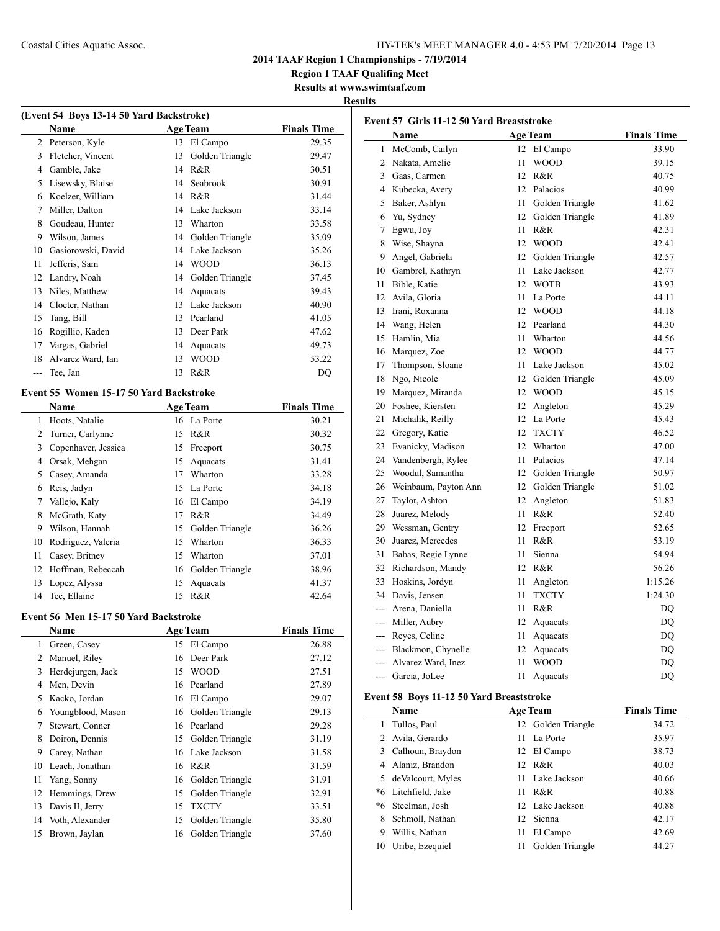**Region 1 TAAF Qualifing Meet**

**Results at www.swimtaaf.com**

| (Event 54 Boys 13-14 50 Yard Backstroke) |                    |    |                 |                    |  |  |
|------------------------------------------|--------------------|----|-----------------|--------------------|--|--|
|                                          | Name               |    | <b>Age Team</b> | <b>Finals Time</b> |  |  |
| 2                                        | Peterson, Kyle     | 13 | El Campo        | 29.35              |  |  |
| 3                                        | Fletcher, Vincent  | 13 | Golden Triangle | 29.47              |  |  |
| 4                                        | Gamble, Jake       | 14 | R&R             | 30.51              |  |  |
| 5                                        | Lisewsky, Blaise   | 14 | Seabrook        | 30.91              |  |  |
| 6                                        | Koelzer, William   | 14 | R&R             | 31.44              |  |  |
| 7                                        | Miller, Dalton     | 14 | Lake Jackson    | 33.14              |  |  |
| 8                                        | Goudeau, Hunter    | 13 | Wharton         | 33.58              |  |  |
| 9                                        | Wilson, James      | 14 | Golden Triangle | 35.09              |  |  |
| 10                                       | Gasiorowski, David | 14 | Lake Jackson    | 35.26              |  |  |
| 11                                       | Jefferis, Sam      | 14 | <b>WOOD</b>     | 36.13              |  |  |
| 12                                       | Landry, Noah       | 14 | Golden Triangle | 37.45              |  |  |
| 13                                       | Niles, Matthew     | 14 | Aquacats        | 39.43              |  |  |
| 14                                       | Cloeter, Nathan    | 13 | Lake Jackson    | 40.90              |  |  |
| 15                                       | Tang, Bill         | 13 | Pearland        | 41.05              |  |  |
| 16                                       | Rogillio, Kaden    | 13 | Deer Park       | 47.62              |  |  |
| 17                                       | Vargas, Gabriel    | 14 | Aquacats        | 49.73              |  |  |
| 18                                       | Alvarez Ward, Ian  | 13 | <b>WOOD</b>     | 53.22              |  |  |
|                                          | Tee, Jan           | 13 | R&R             | DQ                 |  |  |
|                                          |                    |    |                 |                    |  |  |

## **Event 55 Women 15-17 50 Yard Backstroke**

|    | <b>Name</b>         |    | <b>Age Team</b> | <b>Finals Time</b> |
|----|---------------------|----|-----------------|--------------------|
| 1  | Hoots, Natalie      |    | 16 La Porte     | 30.21              |
| 2  | Turner, Carlynne    |    | 15 R&R          | 30.32              |
| 3  | Copenhaver, Jessica | 15 | Freeport        | 30.75              |
| 4  | Orsak, Mehgan       | 15 | Aquacats        | 31.41              |
| 5  | Casey, Amanda       | 17 | Wharton         | 33.28              |
| 6  | Reis, Jadyn         | 15 | La Porte        | 34.18              |
| 7  | Vallejo, Kaly       | 16 | El Campo        | 34.19              |
| 8  | McGrath, Katy       | 17 | R&R             | 34.49              |
| 9  | Wilson, Hannah      | 15 | Golden Triangle | 36.26              |
| 10 | Rodriguez, Valeria  | 15 | Wharton         | 36.33              |
| 11 | Casey, Britney      | 15 | Wharton         | 37.01              |
| 12 | Hoffman, Rebeccah   | 16 | Golden Triangle | 38.96              |
| 13 | Lopez, Alyssa       | 15 | Aquacats        | 41.37              |
| 14 | Tee, Ellaine        | 15 | R&R             | 42.64              |

## **Event 56 Men 15-17 50 Yard Backstroke**

|    | <b>Name</b>       |    | <b>Age Team</b>    | <b>Finals Time</b> |
|----|-------------------|----|--------------------|--------------------|
| 1  | Green, Casey      |    | 15 El Campo        | 26.88              |
| 2  | Manuel, Riley     | 16 | Deer Park          | 27.12              |
| 3  | Herdejurgen, Jack | 15 | <b>WOOD</b>        | 27.51              |
| 4  | Men, Devin        | 16 | Pearland           | 27.89              |
| 5  | Kacko, Jordan     |    | 16 El Campo        | 29.07              |
| 6  | Youngblood, Mason | 16 | Golden Triangle    | 29.13              |
| 7  | Stewart, Conner   | 16 | Pearland           | 29.28              |
| 8  | Doiron, Dennis    |    | 15 Golden Triangle | 31.19              |
| 9  | Carey, Nathan     |    | 16 Lake Jackson    | 31.58              |
| 10 | Leach, Jonathan   | 16 | R&R                | 31.59              |
| 11 | Yang, Sonny       |    | 16 Golden Triangle | 31.91              |
| 12 | Hemmings, Drew    | 15 | Golden Triangle    | 32.91              |
| 13 | Davis II, Jerry   | 15 | <b>TXCTY</b>       | 33.51              |
| 14 | Voth, Alexander   | 15 | Golden Triangle    | 35.80              |
| 15 | Brown, Jaylan     | 16 | Golden Triangle    | 37.60              |
|    |                   |    |                    |                    |

|                                          | Event 57 Girls 11-12 50 Yard Breaststroke<br>Name |    | <b>Age Team</b> | <b>Finals Time</b> |  |
|------------------------------------------|---------------------------------------------------|----|-----------------|--------------------|--|
| $\mathbf{1}$                             | McComb, Cailyn                                    | 12 | El Campo        | 33.90              |  |
|                                          | 2 Nakata, Amelie                                  | 11 | <b>WOOD</b>     | 39.15              |  |
|                                          | 3 Gaas, Carmen                                    | 12 | R&R             | 40.75              |  |
|                                          | 4 Kubecka, Avery                                  | 12 | Palacios        | 40.99              |  |
| 5                                        | Baker, Ashlyn                                     | 11 | Golden Triangle | 41.62              |  |
| 6                                        | Yu, Sydney                                        | 12 | Golden Triangle | 41.89              |  |
| 7                                        | Egwu, Joy                                         | 11 | R&R             | 42.31              |  |
| 8                                        | Wise, Shayna                                      | 12 | <b>WOOD</b>     | 42.41              |  |
| 9                                        | Angel, Gabriela                                   | 12 | Golden Triangle | 42.57              |  |
|                                          | 10 Gambrel, Kathryn                               | 11 | Lake Jackson    | 42.77              |  |
| 11                                       | Bible, Katie                                      | 12 | <b>WOTB</b>     | 43.93              |  |
| 12                                       | Avila, Gloria                                     | 11 | La Porte        | 44.11              |  |
| 13                                       | Irani, Roxanna                                    | 12 | <b>WOOD</b>     | 44.18              |  |
| 14                                       | Wang, Helen                                       | 12 | Pearland        | 44.30              |  |
| 15                                       | Hamlin, Mia                                       | 11 | Wharton         | 44.56              |  |
| 16                                       | Marquez, Zoe                                      | 12 | <b>WOOD</b>     | 44.77              |  |
| 17                                       | Thompson, Sloane                                  | 11 | Lake Jackson    | 45.02              |  |
| 18                                       | Ngo, Nicole                                       | 12 | Golden Triangle | 45.09              |  |
| 19                                       | Marquez, Miranda                                  | 12 | <b>WOOD</b>     | 45.15              |  |
|                                          | 20 Foshee, Kiersten                               | 12 | Angleton        | 45.29              |  |
| 21                                       | Michalik, Reilly                                  | 12 | La Porte        | 45.43              |  |
|                                          | 22 Gregory, Katie                                 | 12 | <b>TXCTY</b>    | 46.52              |  |
| 23                                       | Evanicky, Madison                                 | 12 | Wharton         | 47.00              |  |
| 24                                       | Vandenbergh, Rylee                                | 11 | Palacios        | 47.14              |  |
| 25                                       | Woodul, Samantha                                  | 12 | Golden Triangle | 50.97              |  |
| 26                                       | Weinbaum, Payton Ann                              | 12 | Golden Triangle | 51.02              |  |
| 27                                       | Taylor, Ashton                                    | 12 | Angleton        | 51.83              |  |
| 28                                       | Juarez, Melody                                    | 11 | R&R             | 52.40              |  |
|                                          | 29 Wessman, Gentry                                | 12 | Freeport        | 52.65              |  |
| 30                                       | Juarez, Mercedes                                  | 11 | R&R             | 53.19              |  |
| 31                                       | Babas, Regie Lynne                                | 11 | Sienna          | 54.94              |  |
| 32                                       | Richardson, Mandy                                 | 12 | R&R             | 56.26              |  |
| 33                                       | Hoskins, Jordyn                                   | 11 | Angleton        | 1:15.26            |  |
|                                          | 34 Davis, Jensen                                  | 11 | <b>TXCTY</b>    | 1:24.30            |  |
|                                          | --- Arena, Daniella                               | 11 | R&R             | DQ                 |  |
|                                          | --- Miller, Aubry                                 | 12 | Aquacats        | DQ                 |  |
|                                          | --- Reyes, Celine                                 | 11 | Aquacats        | DQ                 |  |
|                                          | --- Blackmon, Chynelle                            | 12 | Aquacats        | DQ                 |  |
| ---                                      | Alvarez Ward, Inez                                | 11 | <b>WOOD</b>     | DQ                 |  |
| $\overline{a}$                           | Garcia, JoLee                                     | 11 | Aquacats        | DQ                 |  |
| Event 58 Boys 11-12 50 Yard Breaststroke |                                                   |    |                 |                    |  |

|    | Name                |    | <b>Age Team</b>    | <b>Finals Time</b> |
|----|---------------------|----|--------------------|--------------------|
|    | Tullos, Paul        |    | 12 Golden Triangle | 34.72              |
|    | 2 Avila, Gerardo    | 11 | La Porte           | 35.97              |
| 3  | Calhoun, Braydon    |    | 12 El Campo        | 38.73              |
| 4  | Alaniz, Brandon     |    | 12 R&R             | 40.03              |
|    | 5 deValcourt, Myles | 11 | Lake Jackson       | 40.66              |
|    | *6 Litchfield, Jake | 11 | R & R              | 40.88              |
|    | *6 Steelman, Josh   |    | 12 Lake Jackson    | 40.88              |
| 8  | Schmoll, Nathan     |    | 12 Sienna          | 42.17              |
| 9  | Willis, Nathan      | 11 | El Campo           | 42.69              |
| 10 | Uribe, Ezequiel     |    | Golden Triangle    | 44.27              |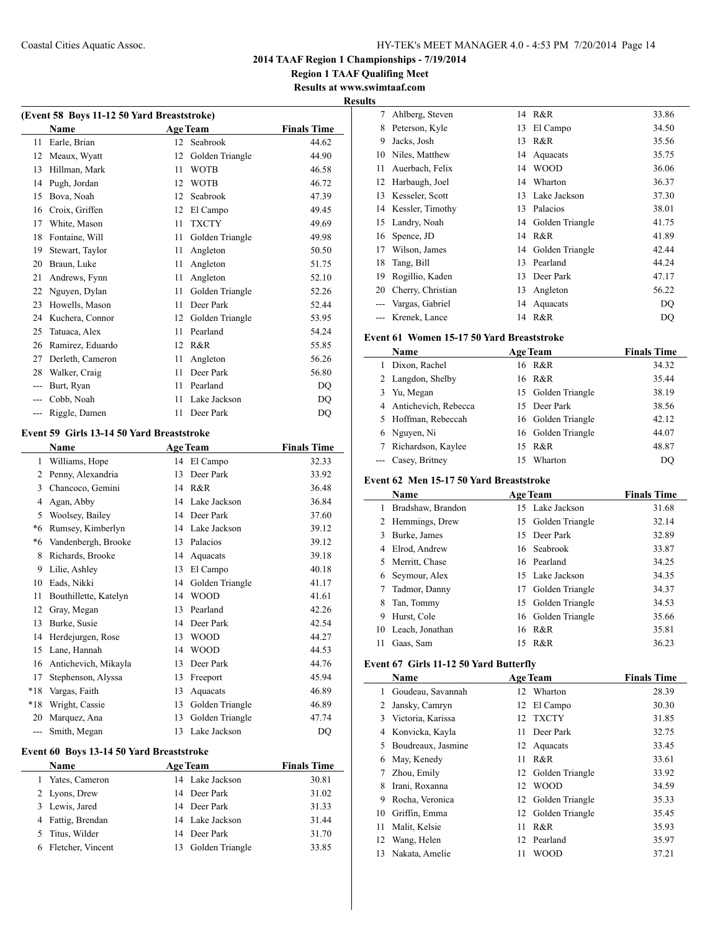**Region 1 TAAF Qualifing Meet Results at www.swimtaaf.com**

## **Results**

 $\overline{\phantom{0}}$ 

 $\overline{a}$ 

| (Event 58 Boys 11-12 50 Yard Breaststroke) |                  |    |                 |                    |  |  |
|--------------------------------------------|------------------|----|-----------------|--------------------|--|--|
|                                            | Name             |    | <b>Age Team</b> | <b>Finals Time</b> |  |  |
| 11                                         | Earle, Brian     | 12 | Seabrook        | 44.62              |  |  |
| 12                                         | Meaux, Wyatt     | 12 | Golden Triangle | 44.90              |  |  |
| 13                                         | Hillman, Mark    | 11 | <b>WOTB</b>     | 46.58              |  |  |
| 14                                         | Pugh, Jordan     | 12 | <b>WOTB</b>     | 46.72              |  |  |
| 15                                         | Bova, Noah       | 12 | Seabrook        | 47.39              |  |  |
| 16                                         | Croix, Griffen   | 12 | El Campo        | 49.45              |  |  |
| 17                                         | White, Mason     | 11 | <b>TXCTY</b>    | 49.69              |  |  |
| 18                                         | Fontaine, Will   | 11 | Golden Triangle | 49.98              |  |  |
| 19                                         | Stewart, Taylor  | 11 | Angleton        | 50.50              |  |  |
| 20                                         | Braun, Luke      | 11 | Angleton        | 51.75              |  |  |
| 21                                         | Andrews, Fynn    | 11 | Angleton        | 52.10              |  |  |
| 22                                         | Nguyen, Dylan    | 11 | Golden Triangle | 52.26              |  |  |
| 23                                         | Howells, Mason   | 11 | Deer Park       | 52.44              |  |  |
| 24                                         | Kuchera, Connor  | 12 | Golden Triangle | 53.95              |  |  |
| 25                                         | Tatuaca, Alex    | 11 | Pearland        | 54.24              |  |  |
| 26                                         | Ramirez, Eduardo | 12 | R&R             | 55.85              |  |  |
| 27                                         | Derleth, Cameron | 11 | Angleton        | 56.26              |  |  |
| 28                                         | Walker, Craig    | 11 | Deer Park       | 56.80              |  |  |
| ---                                        | Burt, Ryan       | 11 | Pearland        | DQ                 |  |  |
| ---                                        | Cobb, Noah       | 11 | Lake Jackson    | DQ                 |  |  |
|                                            | Riggle, Damen    | 11 | Deer Park       | DQ                 |  |  |

## **Event 59 Girls 13-14 50 Yard Breaststroke**

|                | Name<br><b>Age Team</b> |    |                 | <b>Finals Time</b> |  |  |
|----------------|-------------------------|----|-----------------|--------------------|--|--|
| 1              | Williams, Hope          | 14 | El Campo        | 32.33              |  |  |
| $\overline{c}$ | Penny, Alexandria       | 13 | Deer Park       | 33.92              |  |  |
| 3              | Chancoco, Gemini        | 14 | R&R             | 36.48              |  |  |
| 4              | Agan, Abby              | 14 | Lake Jackson    | 36.84              |  |  |
| 5              | Woolsey, Bailey         | 14 | Deer Park       | 37.60              |  |  |
| *6             | Rumsey, Kimberlyn       | 14 | Lake Jackson    | 39.12              |  |  |
| *6             | Vandenbergh, Brooke     | 13 | Palacios        | 39.12              |  |  |
| 8              | Richards, Brooke        | 14 | Aquacats        | 39.18              |  |  |
| 9              | Lilie, Ashley           | 13 | El Campo        | 40.18              |  |  |
| 10             | Eads, Nikki             | 14 | Golden Triangle | 41.17              |  |  |
| 11             | Bouthillette, Katelyn   | 14 | <b>WOOD</b>     | 41.61              |  |  |
| 12             | Gray, Megan             | 13 | Pearland        | 42.26              |  |  |
| 13             | Burke, Susie            | 14 | Deer Park       | 42.54              |  |  |
| 14             | Herdejurgen, Rose       | 13 | <b>WOOD</b>     | 44.27              |  |  |
| 15             | Lane, Hannah            | 14 | <b>WOOD</b>     | 44.53              |  |  |
| 16             | Antichevich, Mikayla    | 13 | Deer Park       | 44.76              |  |  |
| 17             | Stephenson, Alyssa      | 13 | Freeport        | 45.94              |  |  |
| $*18$          | Vargas, Faith           | 13 | Aquacats        | 46.89              |  |  |
| $*18$          | Wright, Cassie          | 13 | Golden Triangle | 46.89              |  |  |
| 20             | Marquez, Ana            | 13 | Golden Triangle | 47.74              |  |  |
| $---$          | Smith, Megan            | 13 | Lake Jackson    | DQ                 |  |  |
|                |                         |    |                 |                    |  |  |

## **Event 60 Boys 13-14 50 Yard Breaststroke**

| <b>Name</b>         | <b>Age Team</b>    | <b>Finals Time</b> |  |  |
|---------------------|--------------------|--------------------|--|--|
| 1 Yates, Cameron    | 14 Lake Jackson    | 30.81              |  |  |
| 2 Lyons, Drew       | 14 Deer Park       | 31.02              |  |  |
| 3 Lewis, Jared      | 14 Deer Park       | 31.33              |  |  |
| 4 Fattig, Brendan   | 14 Lake Jackson    | 31.44              |  |  |
| 5 Titus, Wilder     | 14 Deer Park       | 31.70              |  |  |
| 6 Fletcher, Vincent | 13 Golden Triangle | 33.85              |  |  |

| w  |                   |    |                 |       |
|----|-------------------|----|-----------------|-------|
| 7  | Ahlberg, Steven   | 14 | R&R             | 33.86 |
| 8  | Peterson, Kyle    | 13 | El Campo        | 34.50 |
| 9  | Jacks, Josh       | 13 | R&R             | 35.56 |
| 10 | Niles, Matthew    | 14 | Aquacats        | 35.75 |
| 11 | Auerbach, Felix   | 14 | <b>WOOD</b>     | 36.06 |
| 12 | Harbaugh, Joel    | 14 | Wharton         | 36.37 |
| 13 | Kesseler, Scott   | 13 | Lake Jackson    | 37.30 |
| 14 | Kessler, Timothy  | 13 | Palacios        | 38.01 |
| 15 | Landry, Noah      | 14 | Golden Triangle | 41.75 |
| 16 | Spence, JD        | 14 | R&R             | 41.89 |
| 17 | Wilson, James     | 14 | Golden Triangle | 42.44 |
| 18 | Tang, Bill        | 13 | Pearland        | 44.24 |
| 19 | Rogillio, Kaden   | 13 | Deer Park       | 47.17 |
| 20 | Cherry, Christian | 13 | Angleton        | 56.22 |
|    | Vargas, Gabriel   | 14 | Aquacats        | DQ    |
|    | Krenek, Lance     | 14 | R&R             | DO    |

## **Event 61 Women 15-17 50 Yard Breaststroke**

|   | Name                 | <b>Age Team</b> | <b>Finals Time</b> |       |
|---|----------------------|-----------------|--------------------|-------|
|   | Dixon, Rachel        | 16 R&R          |                    | 34.32 |
|   | 2 Langdon, Shelby    | 16 R&R          |                    | 35.44 |
| 3 | Yu, Megan            |                 | 15 Golden Triangle | 38.19 |
| 4 | Antichevich, Rebecca |                 | 15 Deer Park       | 38.56 |
|   | 5 Hoffman, Rebeccah  |                 | 16 Golden Triangle | 42.12 |
| 6 | Nguyen, Ni           |                 | 16 Golden Triangle | 44.07 |
|   | Richardson, Kaylee   | R&R<br>15       |                    | 48.87 |
|   | --- Casey, Britney   | 15              | Wharton            | DO    |

## **Event 62 Men 15-17 50 Yard Breaststroke**

|    | <b>Name</b>       |    | <b>Age Team</b>    | <b>Finals Time</b> |
|----|-------------------|----|--------------------|--------------------|
|    | Bradshaw, Brandon |    | 15 Lake Jackson    | 31.68              |
| 2  | Hemmings, Drew    |    | 15 Golden Triangle | 32.14              |
| 3  | Burke, James      |    | 15 Deer Park       | 32.89              |
| 4  | Elrod, Andrew     |    | 16 Seabrook        | 33.87              |
| 5. | Merritt, Chase    |    | 16 Pearland        | 34.25              |
| 6  | Seymour, Alex     |    | 15 Lake Jackson    | 34.35              |
|    | Tadmor, Danny     | 17 | Golden Triangle    | 34.37              |
|    | Tan, Tommy        | 15 | Golden Triangle    | 34.53              |
| 9  | Hurst, Cole       |    | 16 Golden Triangle | 35.66              |
| 10 | Leach, Jonathan   |    | 16 R&R             | 35.81              |
| 11 | Gaas, Sam         |    | 15 R&R             | 36.23              |

#### **Event 67 Girls 11-12 50 Yard Butterfly**

| Name |                    |    | <b>Age Team</b>    | <b>Finals Time</b> |
|------|--------------------|----|--------------------|--------------------|
| 1.   | Goudeau, Savannah  |    | 12 Wharton         | 28.39              |
| 2    | Jansky, Camryn     | 12 | El Campo           | 30.30              |
| 3    | Victoria, Karissa  | 12 | <b>TXCTY</b>       | 31.85              |
| 4    | Konvicka, Kayla    | 11 | Deer Park          | 32.75              |
| 5.   | Boudreaux, Jasmine |    | 12 Aquacats        | 33.45              |
| 6    | May, Kenedy        | 11 | R&R                | 33.61              |
|      | Zhou, Emily        |    | 12 Golden Triangle | 33.92              |
| 8    | Irani, Roxanna     | 12 | <b>WOOD</b>        | 34.59              |
| 9    | Rocha, Veronica    |    | 12 Golden Triangle | 35.33              |
| 10   | Griffin, Emma      |    | 12 Golden Triangle | 35.45              |
| 11   | Malit, Kelsie      | 11 | R&R                | 35.93              |
| 12   | Wang, Helen        | 12 | Pearland           | 35.97              |
| 13   | Nakata, Amelie     | 11 | <b>WOOD</b>        | 37.21              |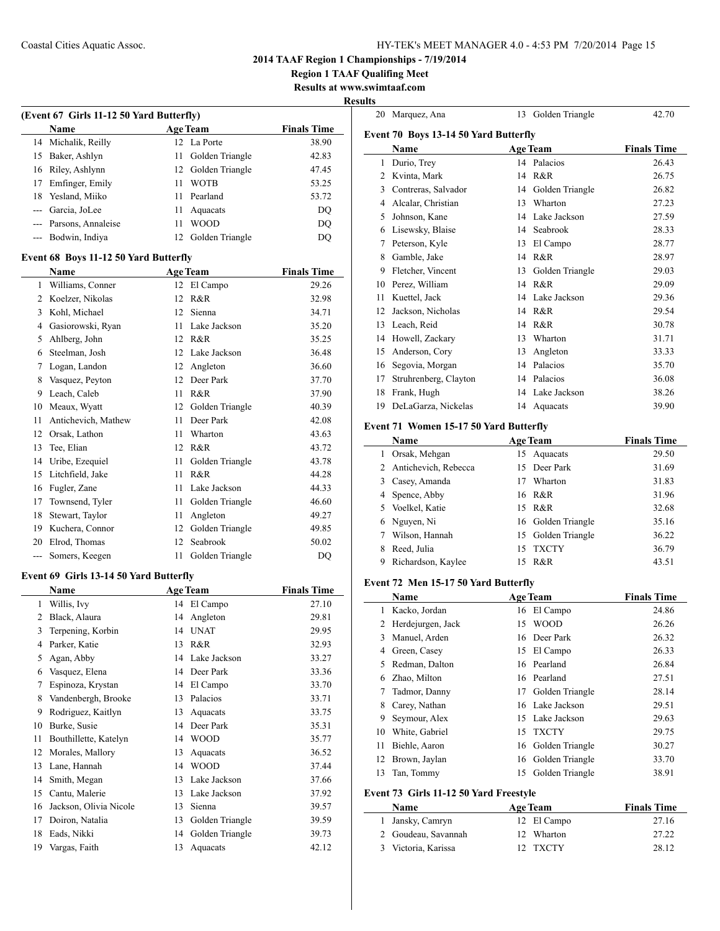## Coastal Cities Aquatic Assoc. HY-TEK's MEET MANAGER 4.0 - 4:53 PM 7/20/2014 Page 15

**2014 TAAF Region 1 Championships - 7/19/2014**

**Region 1 TAAF Qualifing Meet**

**Results at www.swimtaaf.com Results**

| Name  |                     |      | <b>Age Team</b>    | <b>Finals Time</b> |  |
|-------|---------------------|------|--------------------|--------------------|--|
|       | 14 Michalik, Reilly |      | 12 La Porte        | 38.90              |  |
|       | 15 Baker, Ashlyn    | 11 - | Golden Triangle    | 42.83              |  |
|       | 16 Riley, Ashlynn   |      | 12 Golden Triangle | 47.45              |  |
| 17    | Emfinger, Emily     | 11   | <b>WOTB</b>        | 53.25              |  |
|       | 18 Yesland, Miiko   | 11   | Pearland           | 53.72              |  |
| $---$ | Garcia, JoLee       | 11   | Aquacats           | DO                 |  |
|       | Parsons, Annaleise  | 11   | <b>WOOD</b>        | DQ                 |  |
| ---   | Bodwin, Indiya      | 12   | Golden Triangle    | DQ                 |  |

#### **Event 68 Boys 11-12 50 Yard Butterfly**

| Name |    | <b>Age Team</b>     | <b>Finals Time</b> |                 |       |
|------|----|---------------------|--------------------|-----------------|-------|
|      | 1  | Williams, Conner    | 12                 | El Campo        | 29.26 |
|      | 2  | Koelzer, Nikolas    | 12                 | R&R             | 32.98 |
|      | 3  | Kohl, Michael       | 12                 | Sienna          | 34.71 |
|      | 4  | Gasiorowski, Ryan   | 11                 | Lake Jackson    | 35.20 |
|      | 5  | Ahlberg, John       | 12                 | R&R             | 35.25 |
|      | 6  | Steelman, Josh      | 12                 | Lake Jackson    | 36.48 |
|      | 7  | Logan, Landon       | 12                 | Angleton        | 36.60 |
|      | 8  | Vasquez, Peyton     | 12                 | Deer Park       | 37.70 |
|      | 9  | Leach, Caleb        | 11                 | R&R             | 37.90 |
|      | 10 | Meaux, Wyatt        | 12                 | Golden Triangle | 40.39 |
|      | 11 | Antichevich, Mathew | 11                 | Deer Park       | 42.08 |
|      | 12 | Orsak, Lathon       | 11                 | Wharton         | 43.63 |
|      | 13 | Tee, Elian          | 12                 | R&R             | 43.72 |
|      | 14 | Uribe, Ezequiel     | 11                 | Golden Triangle | 43.78 |
|      | 15 | Litchfield, Jake    | 11                 | R&R             | 44.28 |
|      | 16 | Fugler, Zane        | 11                 | Lake Jackson    | 44.33 |
|      | 17 | Townsend, Tyler     | 11                 | Golden Triangle | 46.60 |
|      | 18 | Stewart, Taylor     | 11                 | Angleton        | 49.27 |
|      | 19 | Kuchera, Connor     | 12                 | Golden Triangle | 49.85 |
|      | 20 | Elrod, Thomas       | 12                 | Seabrook        | 50.02 |
|      |    | Somers, Keegen      | 11                 | Golden Triangle | DQ    |
|      |    |                     |                    |                 |       |

## **Event 69 Girls 13-14 50 Yard Butterfly**

| Name           |                        |    | <b>Age Team</b> | <b>Finals Time</b> |
|----------------|------------------------|----|-----------------|--------------------|
| 1              | Willis, Ivy            | 14 | El Campo        | 27.10              |
| $\overline{c}$ | Black, Alaura          | 14 | Angleton        | 29.81              |
| 3              | Terpening, Korbin      | 14 | <b>UNAT</b>     | 29.95              |
| 4              | Parker, Katie          | 13 | R&R             | 32.93              |
| 5              | Agan, Abby             | 14 | Lake Jackson    | 33.27              |
| 6              | Vasquez, Elena         | 14 | Deer Park       | 33.36              |
| 7              | Espinoza, Krystan      | 14 | El Campo        | 33.70              |
| 8              | Vandenbergh, Brooke    | 13 | Palacios        | 33.71              |
| 9              | Rodriguez, Kaitlyn     | 13 | Aquacats        | 33.75              |
| 10             | Burke, Susie           | 14 | Deer Park       | 35.31              |
| 11             | Bouthillette, Katelyn  | 14 | <b>WOOD</b>     | 35.77              |
| 12             | Morales, Mallory       | 13 | Aquacats        | 36.52              |
| 13             | Lane, Hannah           | 14 | <b>WOOD</b>     | 37.44              |
| 14             | Smith, Megan           | 13 | Lake Jackson    | 37.66              |
| 15             | Cantu, Malerie         | 13 | Lake Jackson    | 37.92              |
| 16             | Jackson, Olivia Nicole | 13 | Sienna          | 39.57              |
| 17             | Doiron, Natalia        | 13 | Golden Triangle | 39.59              |
| 18             | Eads, Nikki            | 14 | Golden Triangle | 39.73              |
| 19             | Vargas, Faith          | 13 | Aquacats        | 42.12              |

|                                       | 20 Marquez, Ana                                |    | 13 Golden Triangle             | 42.70              |  |  |  |  |
|---------------------------------------|------------------------------------------------|----|--------------------------------|--------------------|--|--|--|--|
| Event 70 Boys 13-14 50 Yard Butterfly |                                                |    |                                |                    |  |  |  |  |
|                                       | Name                                           |    | <b>Age Team</b>                | <b>Finals Time</b> |  |  |  |  |
| 1                                     | Durio, Trey                                    |    | 14 Palacios                    | 26.43              |  |  |  |  |
|                                       | 2 Kvinta, Mark                                 |    | 14 R&R                         | 26.75              |  |  |  |  |
|                                       | 3 Contreras, Salvador                          | 14 | Golden Triangle                | 26.82              |  |  |  |  |
| $\overline{4}$                        | Alcalar, Christian                             | 13 | Wharton                        | 27.23              |  |  |  |  |
| 5                                     | Johnson, Kane                                  |    | 14 Lake Jackson                | 27.59              |  |  |  |  |
|                                       | 6 Lisewsky, Blaise                             | 14 | Seabrook                       | 28.33              |  |  |  |  |
| 7                                     | Peterson, Kyle                                 |    | 13 El Campo                    | 28.77              |  |  |  |  |
|                                       | 8 Gamble, Jake                                 |    | 14 R&R                         | 28.97              |  |  |  |  |
|                                       | 9 Fletcher, Vincent                            | 13 | Golden Triangle                | 29.03              |  |  |  |  |
|                                       | 10 Perez, William                              |    | 14 R&R                         | 29.09              |  |  |  |  |
| 11                                    | Kuettel, Jack                                  |    | 14 Lake Jackson                | 29.36              |  |  |  |  |
|                                       | 12 Jackson, Nicholas                           |    | 14 R&R                         | 29.54              |  |  |  |  |
|                                       | 13 Leach, Reid                                 |    | 14 R&R                         | 30.78              |  |  |  |  |
|                                       | 14 Howell, Zackary                             |    | 13 Wharton                     | 31.71              |  |  |  |  |
|                                       | 15 Anderson, Cory                              |    | 13 Angleton                    | 33.33              |  |  |  |  |
|                                       | 16 Segovia, Morgan                             |    | 14 Palacios                    | 35.70              |  |  |  |  |
|                                       | 17 Struhrenberg, Clayton                       |    | 14 Palacios                    | 36.08              |  |  |  |  |
|                                       | 18 Frank, Hugh                                 | 14 | Lake Jackson                   | 38.26              |  |  |  |  |
| 19                                    | DeLaGarza, Nickelas                            | 14 | Aquacats                       | 39.90              |  |  |  |  |
|                                       | Event 71 Women 15-17 50 Yard Butterfly         |    |                                |                    |  |  |  |  |
|                                       | Name                                           |    | <b>Age Team</b>                | <b>Finals Time</b> |  |  |  |  |
|                                       | 1 Orsak, Mehgan                                |    | 15 Aquacats                    | 29.50              |  |  |  |  |
| $\overline{2}$                        | Antichevich, Rebecca                           | 15 | Deer Park                      | 31.69              |  |  |  |  |
|                                       | 3 Casey, Amanda                                |    | 17 Wharton                     | 31.83              |  |  |  |  |
|                                       | 4 Spence, Abby                                 |    | 16 R&R                         | 31.96              |  |  |  |  |
| 5                                     | Voelkel, Katie                                 |    | 15 R&R                         | 32.68              |  |  |  |  |
| 6                                     | Nguyen, Ni                                     |    | 16 Golden Triangle             | 35.16              |  |  |  |  |
| 7                                     | Wilson, Hannah                                 | 15 | Golden Triangle                | 36.22              |  |  |  |  |
| 8                                     | Reed, Julia                                    | 15 | <b>TXCTY</b>                   | 36.79              |  |  |  |  |
| 9                                     | Richardson, Kaylee                             |    | 15 R&R                         | 43.51              |  |  |  |  |
|                                       |                                                |    |                                |                    |  |  |  |  |
|                                       | Event 72 Men 15-17 50 Yard Butterfly<br>Name   |    |                                | <b>Finals Time</b> |  |  |  |  |
| 1                                     | Kacko, Jordan                                  |    | <b>Age Team</b><br>16 El Campo | 24.86              |  |  |  |  |
| 2                                     | Herdejurgen, Jack                              | 15 | <b>WOOD</b>                    | 26.26              |  |  |  |  |
| 3                                     | Manuel, Arden                                  | 16 | Deer Park                      | 26.32              |  |  |  |  |
| 4                                     | Green, Casey                                   | 15 | El Campo                       | 26.33              |  |  |  |  |
| 5                                     | Redman, Dalton                                 | 16 | Pearland                       | 26.84              |  |  |  |  |
| 6                                     | Zhao, Milton                                   |    | 16 Pearland                    | 27.51              |  |  |  |  |
| 7                                     | Tadmor, Danny                                  | 17 | Golden Triangle                | 28.14              |  |  |  |  |
| 8                                     | Carey, Nathan                                  |    | 16 Lake Jackson                | 29.51              |  |  |  |  |
| 9                                     | Seymour, Alex                                  |    | 15 Lake Jackson                | 29.63              |  |  |  |  |
| 10                                    | White, Gabriel                                 | 15 | <b>TXCTY</b>                   | 29.75              |  |  |  |  |
| 11                                    | Biehle, Aaron                                  | 16 | Golden Triangle                | 30.27              |  |  |  |  |
| 12                                    | Brown, Jaylan                                  | 16 | Golden Triangle                | 33.70              |  |  |  |  |
| 13                                    | Tan, Tommy                                     | 15 | Golden Triangle                | 38.91              |  |  |  |  |
|                                       |                                                |    |                                |                    |  |  |  |  |
|                                       | Event 73 Girls 11-12 50 Yard Freestyle<br>Name |    | <b>Age Team</b>                | <b>Finals Time</b> |  |  |  |  |
| 1                                     | Jansky, Camryn                                 | 12 | El Campo                       | 27.16              |  |  |  |  |
| 2                                     | Goudeau, Savannah                              | 12 | Wharton                        | 27.22              |  |  |  |  |
| 3                                     | Victoria, Karissa                              | 12 | <b>TXCTY</b>                   | 28.12              |  |  |  |  |
|                                       |                                                |    |                                |                    |  |  |  |  |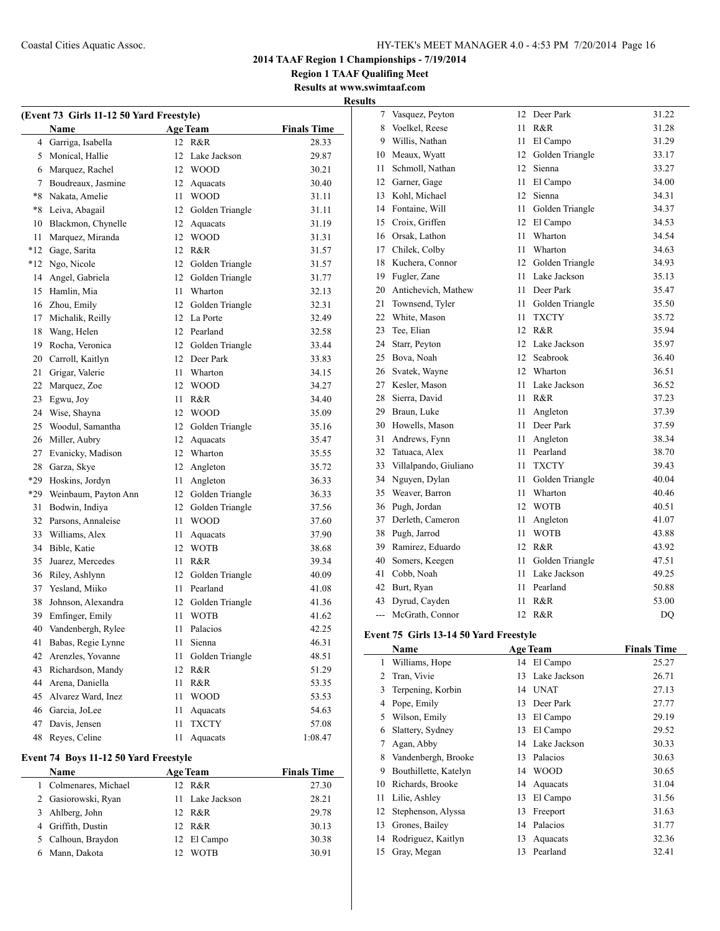**Region 1 TAAF Qualifing Meet**

#### **Results at www.swimtaaf.com Results**

|     |                                          |                    |                    | 11650165 |                                        |    |                    |                    |
|-----|------------------------------------------|--------------------|--------------------|----------|----------------------------------------|----|--------------------|--------------------|
|     | (Event 73 Girls 11-12 50 Yard Freestyle) |                    |                    |          | 7 Vasquez, Peyton                      |    | 12 Deer Park       | 31.22              |
|     | Name                                     | <b>Age Team</b>    | <b>Finals Time</b> | 8        | Voelkel, Reese                         |    | 11 R&R             | 31.28              |
|     | 4 Garriga, Isabella                      | 12 R&R             | 28.33              | 9        | Willis, Nathan                         |    | 11 El Campo        | 31.29              |
|     | 5 Monical, Hallie                        | 12 Lake Jackson    | 29.87              |          | 10 Meaux, Wyatt                        |    | 12 Golden Triangle | 33.17              |
| 6   | Marquez, Rachel                          | 12 WOOD            | 30.21              | 11       | Schmoll, Nathan                        |    | 12 Sienna          | 33.27              |
| 7   | Boudreaux, Jasmine                       | 12 Aquacats        | 30.40              |          | 12 Garner, Gage                        |    | 11 El Campo        | 34.00              |
| *8  | Nakata, Amelie                           | 11 WOOD            | 31.11              |          | 13 Kohl, Michael                       |    | 12 Sienna          | 34.31              |
| *8  | Leiva, Abagail                           | 12 Golden Triangle | 31.11              |          | 14 Fontaine, Will                      |    | 11 Golden Triangle | 34.37              |
| 10  | Blackmon, Chynelle                       | 12 Aquacats        | 31.19              |          | 15 Croix, Griffen                      |    | 12 El Campo        | 34.53              |
| 11  | Marquez, Miranda                         | 12 WOOD            | 31.31              |          | 16 Orsak, Lathon                       |    | 11 Wharton         | 34.54              |
|     | *12 Gage, Sarita                         | 12 R&R             | 31.57              | 17       | Chilek, Colby                          |    | 11 Wharton         | 34.63              |
|     | *12 Ngo, Nicole                          | 12 Golden Triangle | 31.57              | 18       | Kuchera, Connor                        |    | 12 Golden Triangle | 34.93              |
| 14  | Angel, Gabriela                          | 12 Golden Triangle | 31.77              | 19       | Fugler, Zane                           | 11 | Lake Jackson       | 35.13              |
|     | 15 Hamlin, Mia                           | Wharton<br>11      | 32.13              | 20       | Antichevich, Mathew                    |    | 11 Deer Park       | 35.47              |
| 16  | Zhou, Emily                              | 12 Golden Triangle | 32.31              | 21       | Townsend, Tyler                        |    | 11 Golden Triangle | 35.50              |
| 17  | Michalik, Reilly                         | 12 La Porte        | 32.49              | 22       | White, Mason                           |    | 11 TXCTY           | 35.72              |
|     | 18 Wang, Helen                           | 12 Pearland        | 32.58              | 23       | Tee, Elian                             |    | 12 R&R             | 35.94              |
| 19  | Rocha, Veronica                          | 12 Golden Triangle | 33.44              | 24       | Starr, Peyton                          |    | 12 Lake Jackson    | 35.97              |
| 20  | Carroll, Kaitlyn                         | 12 Deer Park       | 33.83              |          | 25 Bova, Noah                          |    | 12 Seabrook        | 36.40              |
| 21  | Grigar, Valerie                          | Wharton<br>11      | 34.15              |          | 26 Svatek, Wayne                       |    | 12 Wharton         | 36.51              |
| 22  | Marquez, Zoe                             | <b>WOOD</b><br>12  | 34.27              |          | 27 Kesler, Mason                       |    | 11 Lake Jackson    | 36.52              |
| 23  | Egwu, Joy                                | R&R<br>11          | 34.40              | 28       | Sierra, David                          |    | 11 R&R             | 37.23              |
|     | 24 Wise, Shayna                          | <b>WOOD</b><br>12  | 35.09              | 29       | Braun, Luke                            |    | 11 Angleton        | 37.39              |
| 25  | Woodul, Samantha                         | 12 Golden Triangle | 35.16              | 30       | Howells, Mason                         |    | 11 Deer Park       | 37.59              |
| 26  | Miller, Aubry                            | 12<br>Aquacats     | 35.47              | 31       | Andrews, Fynn                          | 11 | Angleton           | 38.34              |
| 27  | Evanicky, Madison                        | 12 Wharton         | 35.55              | 32       | Tatuaca, Alex                          |    | 11 Pearland        | 38.70              |
| 28  | Garza, Skye                              | 12 Angleton        | 35.72              | 33       | Villalpando, Giuliano                  |    | 11 TXCTY           | 39.43              |
| *29 | Hoskins, Jordyn                          | 11 Angleton        | 36.33              |          | 34 Nguyen, Dylan                       |    | 11 Golden Triangle | 40.04              |
| *29 | Weinbaum, Payton Ann                     | 12 Golden Triangle | 36.33              | 35       | Weaver, Barron                         |    | 11 Wharton         | 40.46              |
| 31  | Bodwin, Indiya                           | 12 Golden Triangle | 37.56              |          | 36 Pugh, Jordan                        |    | 12 WOTB            | 40.51              |
| 32  | Parsons, Annaleise                       | 11 WOOD            | 37.60              | 37       | Derleth, Cameron                       | 11 | Angleton           | 41.07              |
| 33  | Williams, Alex                           | 11 Aquacats        | 37.90              | 38       | Pugh, Jarrod                           |    | 11 WOTB            | 43.88              |
| 34  | Bible, Katie                             | 12 WOTB            | 38.68              | 39.      | Ramirez, Eduardo                       |    | 12 R&R             | 43.92              |
| 35  | Juarez, Mercedes                         | R&R<br>11          | 39.34              | 40       | Somers, Keegen                         |    | 11 Golden Triangle | 47.51              |
| 36  | Riley, Ashlynn                           | 12 Golden Triangle | 40.09              | 41       | Cobb, Noah                             |    | 11 Lake Jackson    | 49.25              |
|     | 37 Yesland, Miiko                        | Pearland<br>11     | 41.08              |          | 42 Burt, Ryan                          |    | 11 Pearland        | 50.88              |
| 38  | Johnson, Alexandra                       | 12 Golden Triangle | 41.36              | 43       | Dyrud, Cayden                          | 11 | R&R                | 53.00              |
| 39  | Emfinger, Emily                          | <b>WOTB</b><br>11  | 41.62              |          | --- McGrath, Connor                    |    | 12 R&R             | DQ                 |
|     | 40 Vandenbergh, Rylee                    | Palacios<br>11     | 42.25              |          |                                        |    |                    |                    |
|     | 41 Babas, Regie Lynne                    | 11 Sienna          | 46.31              |          | Event 75 Girls 13-14 50 Yard Freestyle |    |                    |                    |
|     | 42 Arenzles, Yovanne                     | 11 Golden Triangle | 48.51              |          | Name                                   |    | <b>Age Team</b>    | <b>Finals Time</b> |
|     | 43 Richardson, Mandy                     | 12 R&R             | 51.29              |          | 1 Williams, Hope                       |    | 14 El Campo        | 25.27              |
| 44  | Arena, Daniella                          | 11 R&R             | 53.35              |          | 2 Tran, Vivie                          |    | 13 Lake Jackson    | 26.71              |
|     | 45 Alvarez Ward, Inez                    | 11 WOOD            | 53.53              | 3        | Terpening, Korbin                      |    | 14 UNAT            | 27.13              |
| 46  | Garcia, JoLee                            | 11 Aquacats        | 54.63              |          | 4 Pope, Emily                          |    | 13 Deer Park       | 27.77              |
|     | 47 Davis, Jensen                         | 11 TXCTY           | 57.08              | 5        | Wilson, Emily                          |    | 13 El Campo        | 29.19              |
|     | 48 Reyes, Celine                         | 11 Aquacats        | 1:08.47            | 6        | Slattery, Sydney                       |    | 13 El Campo        | 29.52              |
|     |                                          |                    |                    |          | 7 Agan, Abby                           |    | 14 Lake Jackson    | 30.33              |
|     | Event 74 Boys 11-12 50 Yard Freestyle    |                    |                    | 8        | Vandenbergh, Brooke                    |    | 13 Palacios        | 30.63              |
|     | Name                                     | <b>Age Team</b>    | <b>Finals Time</b> | 9        | Bouthillette, Katelyn                  |    | 14 WOOD            | 30.65              |
|     | 1 Colmenares, Michael                    | 12 R&R             | 27.30              | 10       | Richards, Brooke                       |    | 14 Aquacats        | 31.04              |
| 2   | Gasiorowski, Ryan                        | 11 Lake Jackson    | 28.21              |          | 11 Lilie, Ashley                       |    | 13 El Campo        | 31.56              |
| 3   | Ahlberg, John                            | 12 R&R             | 29.78              |          | 12 Stephenson, Alyssa                  |    | 13 Freeport        | 31.63              |
| 4   | Griffith, Dustin                         | 12 R&R             | 30.13              |          | 13 Grones, Bailey                      |    | 14 Palacios        | 31.77              |
|     | 5 Calhoun, Braydon                       | 12 El Campo        | 30.38              |          | 14 Rodriguez, Kaitlyn                  |    | 13 Aquacats        | 32.36              |
|     | 6 Mann, Dakota                           | 12 WOTB            | 30.91              |          | 15 Gray, Megan                         |    | 13 Pearland        | 32.41              |
|     |                                          |                    |                    |          |                                        |    |                    |                    |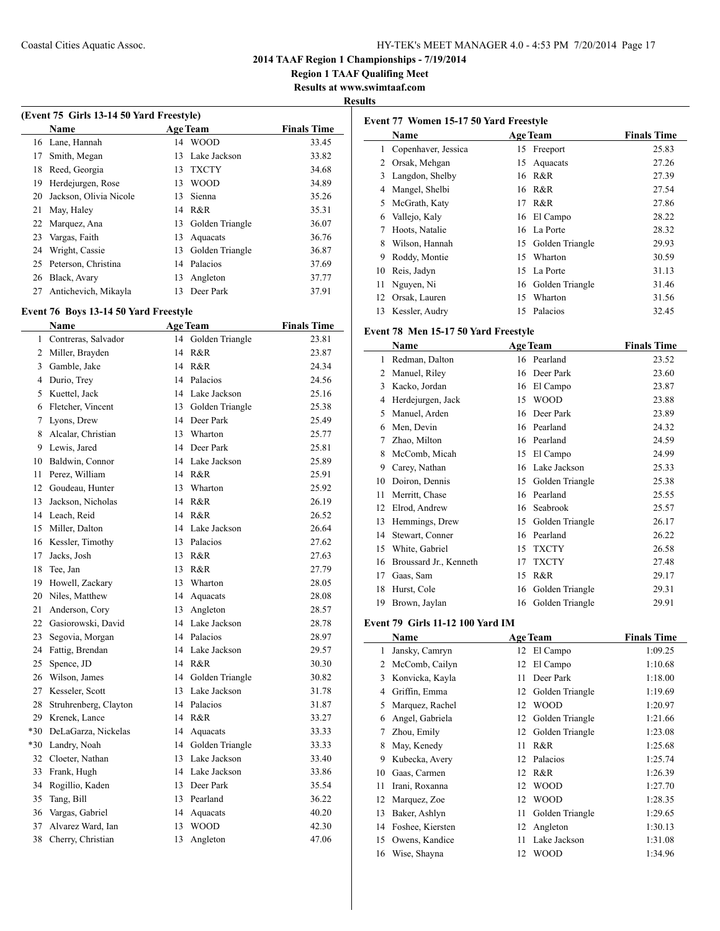**Region 1 TAAF Qualifing Meet**

**Results at www.swimtaaf.com**

## **Results**

| (Event 75 Girls 13-14 50 Yard Freestyle) |                        |    |                 |                    |  |
|------------------------------------------|------------------------|----|-----------------|--------------------|--|
|                                          | <b>Name</b>            |    | <b>Age Team</b> | <b>Finals Time</b> |  |
|                                          | 16 Lane, Hannah        | 14 | <b>WOOD</b>     | 33.45              |  |
| 17                                       | Smith, Megan           | 13 | Lake Jackson    | 33.82              |  |
| 18                                       | Reed, Georgia          | 13 | <b>TXCTY</b>    | 34.68              |  |
| 19                                       | Herdejurgen, Rose      | 13 | <b>WOOD</b>     | 34.89              |  |
| 20                                       | Jackson, Olivia Nicole | 13 | Sienna          | 35.26              |  |
| 21                                       | May, Haley             | 14 | R&R             | 35.31              |  |
| 22                                       | Marquez, Ana           | 13 | Golden Triangle | 36.07              |  |
| 23                                       | Vargas, Faith          | 13 | Aquacats        | 36.76              |  |
| 24                                       | Wright, Cassie         | 13 | Golden Triangle | 36.87              |  |
| 25                                       | Peterson, Christina    | 14 | Palacios        | 37.69              |  |
| 26                                       | Black, Avary           | 13 | Angleton        | 37.77              |  |
| 27                                       | Antichevich, Mikayla   | 13 | Deer Park       | 37.91              |  |

## **Event 76 Boys 13-14 50 Yard Freestyle**

 $\overline{a}$ 

|    | <b>Name</b>             |    | <b>Age Team</b>    | <b>Finals Time</b> |
|----|-------------------------|----|--------------------|--------------------|
| 1  | Contreras, Salvador     | 14 | Golden Triangle    | 23.81              |
|    | 2 Miller, Brayden       | 14 | R&R                | 23.87              |
| 3  | Gamble, Jake            | 14 | R&R                | 24.34              |
| 4  | Durio, Trey             |    | 14 Palacios        | 24.56              |
| 5  | Kuettel, Jack           |    | 14 Lake Jackson    | 25.16              |
| 6  | Fletcher, Vincent       |    | 13 Golden Triangle | 25.38              |
| 7  | Lyons, Drew             |    | 14 Deer Park       | 25.49              |
| 8  | Alcalar, Christian      |    | 13 Wharton         | 25.77              |
|    | 9 Lewis, Jared          |    | 14 Deer Park       | 25.81              |
|    | 10 Baldwin, Connor      |    | 14 Lake Jackson    | 25.89              |
| 11 | Perez, William          |    | 14 R&R             | 25.91              |
|    | 12 Goudeau, Hunter      |    | 13 Wharton         | 25.92              |
| 13 | Jackson, Nicholas       |    | 14 R&R             | 26.19              |
|    | 14 Leach, Reid          |    | 14 R&R             | 26.52              |
|    | 15 Miller, Dalton       |    | 14 Lake Jackson    | 26.64              |
|    | 16 Kessler, Timothy     |    | 13 Palacios        | 27.62              |
| 17 | Jacks, Josh             |    | 13 R&R             | 27.63              |
| 18 | Tee, Jan                |    | 13 R&R             | 27.79              |
|    | 19 Howell, Zackary      |    | 13 Wharton         | 28.05              |
|    | 20 Niles, Matthew       |    | 14 Aquacats        | 28.08              |
| 21 | Anderson, Cory          |    | 13 Angleton        | 28.57              |
|    | 22 Gasiorowski, David   |    | 14 Lake Jackson    | 28.78              |
| 23 | Segovia, Morgan         |    | 14 Palacios        | 28.97              |
| 24 | Fattig, Brendan         |    | 14 Lake Jackson    | 29.57              |
| 25 | Spence, JD              |    | 14 R&R             | 30.30              |
|    | 26 Wilson, James        | 14 | Golden Triangle    | 30.82              |
| 27 | Kesseler, Scott         | 13 | Lake Jackson       | 31.78              |
| 28 | Struhrenberg, Clayton   |    | 14 Palacios        | 31.87              |
|    | 29 Krenek, Lance        |    | 14 R&R             | 33.27              |
|    | *30 DeLaGarza, Nickelas | 14 | Aquacats           | 33.33              |
|    | *30 Landry, Noah        |    | 14 Golden Triangle | 33.33              |
|    | 32 Cloeter, Nathan      |    | 13 Lake Jackson    | 33.40              |
| 33 | Frank, Hugh             |    | 14 Lake Jackson    | 33.86              |
|    | 34 Rogillio, Kaden      |    | 13 Deer Park       | 35.54              |
|    | 35 Tang, Bill           |    | 13 Pearland        | 36.22              |
| 36 | Vargas, Gabriel         |    | 14 Aquacats        | 40.20              |
| 37 | Alvarez Ward, Ian       | 13 | <b>WOOD</b>        | 42.30              |
| 38 | Cherry, Christian       | 13 | Angleton           | 47.06              |
|    |                         |    |                    |                    |

| Event 77 Women 15-17 50 Yard Freestyle |                                      |    |                    |                    |
|----------------------------------------|--------------------------------------|----|--------------------|--------------------|
|                                        | Name                                 |    | <b>Age Team</b>    | <b>Finals Time</b> |
|                                        | 1 Copenhaver, Jessica                |    | 15 Freeport        | 25.83              |
|                                        | 2 Orsak, Mehgan                      | 15 | Aquacats           | 27.26              |
|                                        | 3 Langdon, Shelby                    |    | 16 R&R             | 27.39              |
|                                        | 4 Mangel, Shelbi                     |    | 16 R&R             | 27.54              |
|                                        | 5 McGrath, Katy                      |    | 17 R&R             | 27.86              |
|                                        | 6 Vallejo, Kaly                      | 16 | El Campo           | 28.22              |
|                                        | 7 Hoots, Natalie                     |    | 16 La Porte        | 28.32              |
|                                        | 8 Wilson, Hannah                     | 15 | Golden Triangle    | 29.93              |
|                                        | 9 Roddy, Montie                      | 15 | Wharton            | 30.59              |
|                                        | 10 Reis, Jadyn                       | 15 | La Porte           | 31.13              |
|                                        | 11 Nguyen, Ni                        |    | 16 Golden Triangle | 31.46              |
|                                        | 12 Orsak, Lauren                     | 15 | Wharton            | 31.56              |
|                                        | 13 Kessler, Audry                    | 15 | Palacios           | 32.45              |
|                                        | Event 78 Men 15-17 50 Yard Freestyle |    |                    |                    |
|                                        | Name                                 |    | <b>Age Team</b>    | <b>Finals Time</b> |
|                                        | 1 Redman, Dalton                     |    | 16 Pearland        | 23.52              |
|                                        | 2 Manuel, Riley                      |    | 16 Deer Park       | 23.60              |
|                                        | 3 Kacko, Jordan                      |    | 16 El Campo        | 23.87              |
|                                        | 4 Herdejurgen, Jack                  | 15 | <b>WOOD</b>        | 23.88              |
|                                        | 5 Manuel, Arden                      |    | 16 Deer Park       | 23.89              |
|                                        | 6 Men, Devin                         |    | 16 Pearland        | 24.32              |
|                                        | 7 Zhao, Milton                       |    | 16 Pearland        | 24.59              |
|                                        | 8 McComb, Micah                      |    | 15 El Campo        | 24.99              |
|                                        | 9 Carey, Nathan                      |    | 16 Lake Jackson    | 25.33              |
|                                        | 10 Doiron, Dennis                    |    | 15 Golden Triangle | 25.38              |
|                                        | 11 Merritt, Chase                    |    | 16 Pearland        | 25.55              |
|                                        | 12 Elrod, Andrew                     |    | 16 Seabrook        | 25.57              |
|                                        | 13 Hemmings, Drew                    | 15 | Golden Triangle    | 26.17              |
|                                        | 14 Stewart, Conner                   |    | 16 Pearland        | 26.22              |
|                                        | 15 White, Gabriel                    | 15 | <b>TXCTY</b>       | 26.58              |
|                                        | 16 Broussard Jr., Kenneth            | 17 | <b>TXCTY</b>       | 27.48              |
|                                        | 17 Gaas, Sam                         |    | 15 R&R             | 29.17              |
|                                        | 18 Hurst, Cole                       | 16 | Golden Triangle    | 29.31              |
| 19                                     | Brown, Jaylan                        | 16 | Golden Triangle    | 29.91              |
|                                        | Event 79 Girls 11-12 100 Yard IM     |    |                    |                    |
|                                        | <b>Name</b>                          |    | <b>Age Team</b>    | <b>Finals Time</b> |
| 1                                      | Jansky, Camryn                       | 12 | El Campo           | 1:09.25            |
|                                        | 2 McComb, Cailyn                     | 12 | El Campo           | 1:10.68            |
|                                        | 3 Konvicka, Kayla                    | 11 | Deer Park          | 1:18.00            |
|                                        | 4 Griffin, Emma                      | 12 | Golden Triangle    | 1:19.69            |
| 5                                      | Marquez, Rachel                      | 12 | <b>WOOD</b>        | 1:20.97            |
| 6                                      | Angel, Gabriela                      | 12 | Golden Triangle    | 1:21.66            |
| 7                                      | Zhou, Emily                          | 12 | Golden Triangle    | 1:23.08            |
| 8                                      | May, Kenedy                          | 11 | R&R                | 1:25.68            |
|                                        | 9 Kubecka, Avery                     | 12 | Palacios           | 1:25.74            |
| 10                                     | Gaas, Carmen                         | 12 | R&R                | 1:26.39            |
| 11                                     | Irani, Roxanna                       | 12 | <b>WOOD</b>        | 1:27.70            |
| 12                                     | Marquez, Zoe                         | 12 | <b>WOOD</b>        | 1:28.35            |
|                                        | 13 Baker, Ashlyn                     | 11 | Golden Triangle    | 1:29.65            |
|                                        | 14 Foshee, Kiersten                  | 12 | Angleton           | 1:30.13            |
| 15                                     | Owens, Kandice                       | 11 | Lake Jackson       | 1:31.08            |
| 16                                     | Wise, Shayna                         | 12 | <b>WOOD</b>        | 1:34.96            |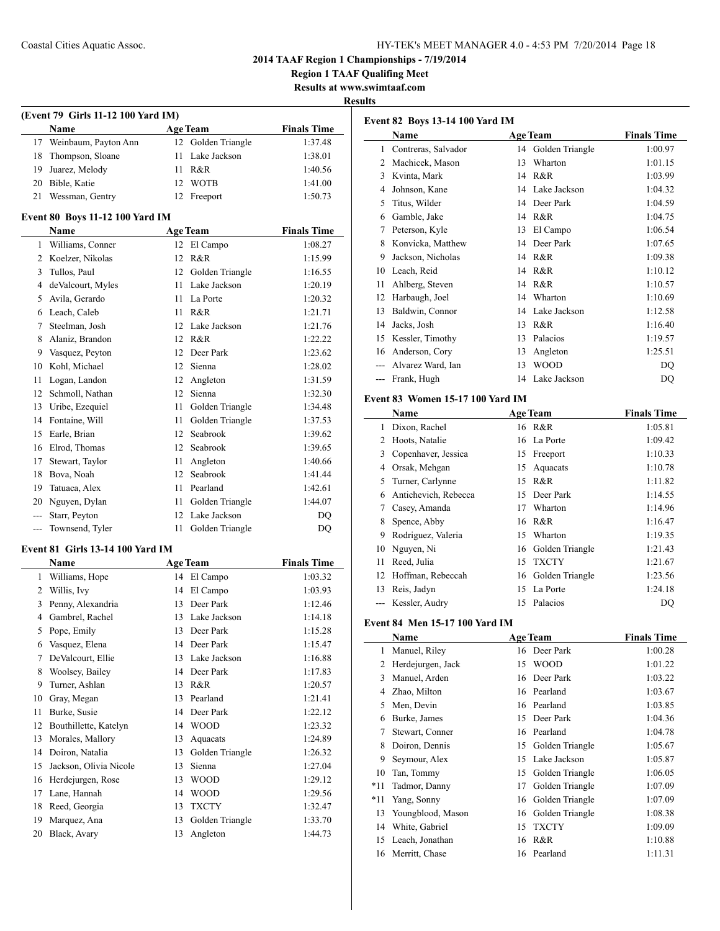## Coastal Cities Aquatic Assoc. HY-TEK's MEET MANAGER 4.0 - 4:53 PM 7/20/2014 Page 18

**2014 TAAF Region 1 Championships - 7/19/2014**

**Region 1 TAAF Qualifing Meet**

**Results at www.swimtaaf.com**

### **Results**

| (Event 79 Girls 11-12 100 Yard IM) |                         |                 |                    |                    |  |
|------------------------------------|-------------------------|-----------------|--------------------|--------------------|--|
|                                    | <b>Name</b>             |                 | <b>Age Team</b>    | <b>Finals Time</b> |  |
|                                    | 17 Weinbaum, Payton Ann |                 | 12 Golden Triangle | 1:37.48            |  |
|                                    | 18 Thompson, Sloane     |                 | 11 Lake Jackson    | 1:38.01            |  |
| 19.                                | Juarez, Melody          | 11.             | R&R                | 1:40.56            |  |
| 20                                 | Bible, Katie            | 12 <sub>1</sub> | <b>WOTB</b>        | 1:41.00            |  |
|                                    | Wessman, Gentry         |                 | 12 Freeport        | 1:50.73            |  |

#### **Event 80 Boys 11-12 100 Yard IM**

|                | Name              |    | <b>Age Team</b> | <b>Finals Time</b> |
|----------------|-------------------|----|-----------------|--------------------|
| 1              | Williams, Conner  | 12 | El Campo        | 1:08.27            |
| $\overline{c}$ | Koelzer, Nikolas  | 12 | R&R             | 1:15.99            |
| 3              | Tullos, Paul      | 12 | Golden Triangle | 1:16.55            |
| 4              | deValcourt, Myles | 11 | Lake Jackson    | 1:20.19            |
| 5              | Avila, Gerardo    | 11 | La Porte        | 1:20.32            |
| 6              | Leach, Caleb      | 11 | R&R             | 1:21.71            |
| 7              | Steelman, Josh    | 12 | Lake Jackson    | 1:21.76            |
| 8              | Alaniz, Brandon   | 12 | R&R             | 1:22.22            |
| 9              | Vasquez, Peyton   | 12 | Deer Park       | 1:23.62            |
| 10             | Kohl, Michael     | 12 | Sienna          | 1:28.02            |
| 11             | Logan, Landon     | 12 | Angleton        | 1:31.59            |
| 12             | Schmoll, Nathan   | 12 | Sienna          | 1:32.30            |
| 13             | Uribe, Ezequiel   | 11 | Golden Triangle | 1:34.48            |
| 14             | Fontaine, Will    | 11 | Golden Triangle | 1:37.53            |
| 15             | Earle, Brian      | 12 | Seabrook        | 1:39.62            |
| 16             | Elrod, Thomas     | 12 | Seabrook        | 1:39.65            |
| 17             | Stewart, Taylor   | 11 | Angleton        | 1:40.66            |
| 18             | Bova, Noah        | 12 | Seabrook        | 1:41.44            |
| 19             | Tatuaca, Alex     | 11 | Pearland        | 1:42.61            |
| 20             | Nguyen, Dylan     | 11 | Golden Triangle | 1:44.07            |
| $---$          | Starr, Peyton     | 12 | Lake Jackson    | D <sub>O</sub>     |
| $---$          | Townsend, Tyler   | 11 | Golden Triangle | DQ                 |

### **Event 81 Girls 13-14 100 Yard IM**

|                | <b>Name</b>            |    | <b>Age Team</b> | <b>Finals Time</b> |
|----------------|------------------------|----|-----------------|--------------------|
| 1              | Williams, Hope         | 14 | El Campo        | 1:03.32            |
| $\overline{2}$ | Willis, Ivy            | 14 | El Campo        | 1:03.93            |
| 3              | Penny, Alexandria      | 13 | Deer Park       | 1:12.46            |
| 4              | Gambrel, Rachel        | 13 | Lake Jackson    | 1:14.18            |
| 5              | Pope, Emily            | 13 | Deer Park       | 1:15.28            |
| 6              | Vasquez, Elena         | 14 | Deer Park       | 1:15.47            |
| 7              | DeValcourt, Ellie      | 13 | Lake Jackson    | 1:16.88            |
| 8              | Woolsey, Bailey        | 14 | Deer Park       | 1:17.83            |
| 9              | Turner, Ashlan         | 13 | R&R             | 1:20.57            |
| 10             | Gray, Megan            | 13 | Pearland        | 1:21.41            |
| 11             | Burke, Susie           | 14 | Deer Park       | 1:22.12            |
| 12             | Bouthillette, Katelyn  | 14 | <b>WOOD</b>     | 1:23.32            |
| 13             | Morales, Mallory       | 13 | Aquacats        | 1:24.89            |
| 14             | Doiron, Natalia        | 13 | Golden Triangle | 1:26.32            |
| 15             | Jackson, Olivia Nicole | 13 | Sienna          | 1:27.04            |
| 16             | Herdejurgen, Rose      | 13 | <b>WOOD</b>     | 1:29.12            |
| 17             | Lane, Hannah           | 14 | <b>WOOD</b>     | 1:29.56            |
| 18             | Reed, Georgia          | 13 | <b>TXCTY</b>    | 1:32.47            |
| 19             | Marquez, Ana           | 13 | Golden Triangle | 1:33.70            |
| 20             | Black, Avary           | 13 | Angleton        | 1:44.73            |

| <b>Event 82 Boys 13-14 100 Yard IM</b> |                         |    |                 |                    |  |
|----------------------------------------|-------------------------|----|-----------------|--------------------|--|
|                                        | Name<br><b>Age Team</b> |    |                 | <b>Finals Time</b> |  |
| 1                                      | Contreras, Salvador     | 14 | Golden Triangle | 1:00.97            |  |
| 2                                      | Machicek, Mason         | 13 | Wharton         | 1:01.15            |  |
| 3                                      | Kvinta, Mark            | 14 | R&R             | 1:03.99            |  |
| 4                                      | Johnson, Kane           | 14 | Lake Jackson    | 1:04.32            |  |
| 5                                      | Titus, Wilder           | 14 | Deer Park       | 1:04.59            |  |
| 6                                      | Gamble, Jake            | 14 | R&R             | 1:04.75            |  |
| 7                                      | Peterson, Kyle          | 13 | El Campo        | 1:06.54            |  |
| 8                                      | Konvicka, Matthew       | 14 | Deer Park       | 1:07.65            |  |
| 9                                      | Jackson, Nicholas       | 14 | R&R             | 1:09.38            |  |
| 10                                     | Leach, Reid             | 14 | R&R             | 1:10.12            |  |
| 11                                     | Ahlberg, Steven         | 14 | R & R           | 1:10.57            |  |
| 12                                     | Harbaugh, Joel          | 14 | Wharton         | 1:10.69            |  |
| 13                                     | Baldwin, Connor         | 14 | Lake Jackson    | 1:12.58            |  |
| 14                                     | Jacks, Josh             | 13 | R&R             | 1:16.40            |  |
| 15                                     | Kessler, Timothy        | 13 | Palacios        | 1:19.57            |  |
| 16                                     | Anderson, Cory          | 13 | Angleton        | 1:25.51            |  |
|                                        | Alvarez Ward, Ian       | 13 | <b>WOOD</b>     | DO                 |  |
|                                        | Frank, Hugh             | 14 | Lake Jackson    | DQ                 |  |

### **Event 83 Women 15-17 100 Yard IM**

|    | Name                 |     | <b>Age Team</b>    | <b>Finals Time</b> |
|----|----------------------|-----|--------------------|--------------------|
| 1  | Dixon, Rachel        |     | 16 R&R             | 1:05.81            |
| 2  | Hoots, Natalie       |     | 16 La Porte        | 1:09.42            |
| 3  | Copenhaver, Jessica  | 15  | Freeport           | 1:10.33            |
| 4  | Orsak, Mehgan        | 15  | Aquacats           | 1:10.78            |
| 5. | Turner, Carlynne     | 15  | R&R                | 1:11.82            |
| 6  | Antichevich, Rebecca | 15  | Deer Park          | 1:14.55            |
|    | Casey, Amanda        | 17  | Wharton            | 1:14.96            |
| 8  | Spence, Abby         | 16  | R&R                | 1:16.47            |
| 9  | Rodriguez, Valeria   | 15  | Wharton            | 1:19.35            |
| 10 | Nguyen, Ni           |     | 16 Golden Triangle | 1:21.43            |
| 11 | Reed, Julia          | 15  | <b>TXCTY</b>       | 1:21.67            |
| 12 | Hoffman, Rebeccah    |     | 16 Golden Triangle | 1:23.56            |
| 13 | Reis, Jadyn          | 15  | La Porte           | 1:24.18            |
|    | Kessler, Audry       | 15. | Palacios           | DO                 |

#### **Event 84 Men 15-17 100 Yard IM**

|       | Name              |    | <b>Age Team</b> | <b>Finals Time</b> |
|-------|-------------------|----|-----------------|--------------------|
| 1     | Manuel, Riley     |    | 16 Deer Park    | 1:00.28            |
| 2     | Herdejurgen, Jack | 15 | <b>WOOD</b>     | 1:01.22            |
| 3     | Manuel, Arden     | 16 | Deer Park       | 1:03.22            |
| 4     | Zhao, Milton      |    | 16 Pearland     | 1:03.67            |
| 5     | Men, Devin        | 16 | Pearland        | 1:03.85            |
| 6     | Burke, James      | 15 | Deer Park       | 1:04.36            |
| 7     | Stewart, Conner   | 16 | Pearland        | 1:04.78            |
| 8     | Doiron, Dennis    | 15 | Golden Triangle | 1:05.67            |
| 9     | Seymour, Alex     | 15 | Lake Jackson    | 1:05.87            |
| 10    | Tan, Tommy        | 15 | Golden Triangle | 1:06.05            |
| $*11$ | Tadmor, Danny     | 17 | Golden Triangle | 1:07.09            |
| $*11$ | Yang, Sonny       | 16 | Golden Triangle | 1:07.09            |
| 13    | Youngblood, Mason | 16 | Golden Triangle | 1:08.38            |
| 14    | White, Gabriel    | 15 | <b>TXCTY</b>    | 1:09.09            |
| 15    | Leach, Jonathan   | 16 | R&R             | 1:10.88            |
| 16    | Merritt, Chase    |    | 16 Pearland     | 1:11.31            |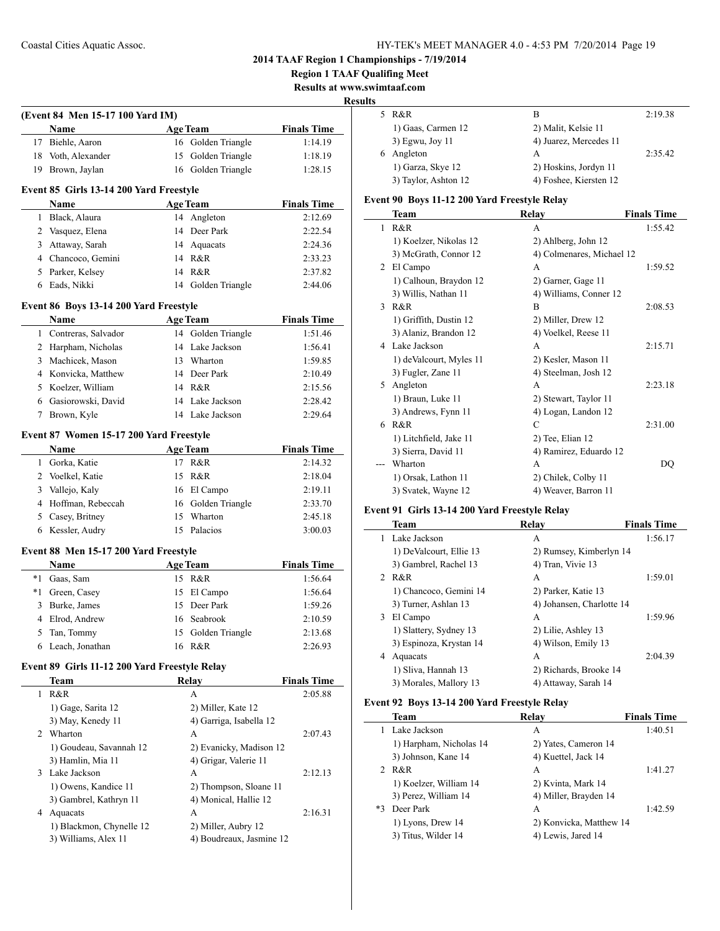**Region 1 TAAF Qualifing Meet**

**Results at www.swimtaaf.com**

**Results**

 $\sim$ 

 $\sim$ 

 $\overline{\phantom{0}}$ 

| (Event 84 Men 15-17 100 Yard IM) |                    |                    |                    |  |  |  |
|----------------------------------|--------------------|--------------------|--------------------|--|--|--|
|                                  | Name               | Age Team           | <b>Finals Time</b> |  |  |  |
|                                  | 17 Biehle, Aaron   | 16 Golden Triangle | 1:14.19            |  |  |  |
|                                  | 18 Voth, Alexander | 15 Golden Triangle | 1:18.19            |  |  |  |
|                                  | 19 Brown, Jaylan   | 16 Golden Triangle | 1:28.15            |  |  |  |

### **Event 85 Girls 13-14 200 Yard Freestyle**

| <b>Name</b>        | <b>Age Team</b>    | <b>Finals Time</b> |
|--------------------|--------------------|--------------------|
| Black, Alaura      | 14 Angleton        | 2:12.69            |
| 2 Vasquez, Elena   | 14 Deer Park       | 2:22.54            |
| 3 Attaway, Sarah   | 14 Aquacats        | 2:24.36            |
| 4 Chancoco, Gemini | 14 R&R             | 2:33.23            |
| 5 Parker, Kelsey   | 14 R&R             | 2:37.82            |
| Eads, Nikki        | 14 Golden Triangle | 2:44.06            |

### **Event 86 Boys 13-14 200 Yard Freestyle**

| <b>Name</b>           |    | <b>Age Team</b>    | <b>Finals Time</b> |
|-----------------------|----|--------------------|--------------------|
| 1 Contreras, Salvador |    | 14 Golden Triangle | 1:51.46            |
| 2 Harpham, Nicholas   |    | 14 Lake Jackson    | 1:56.41            |
| 3 Machicek, Mason     | 13 | Wharton            | 1:59.85            |
| 4 Konvicka, Matthew   |    | 14 Deer Park       | 2:10.49            |
| 5 Koelzer, William    |    | 14 R&R             | 2:15.56            |
| 6 Gasiorowski, David  |    | 14 Lake Jackson    | 2:28.42            |
| Brown, Kyle           |    | Lake Jackson       | 2:29.64            |

### **Event 87 Women 15-17 200 Yard Freestyle**

|   | <b>Name</b>         | <b>Age Team</b>    | <b>Finals Time</b> |
|---|---------------------|--------------------|--------------------|
|   | Gorka, Katie        | R&R                | 2:14.32            |
| 2 | Voelkel, Katie      | 15 R&R             | 2:18.04            |
| 3 | Vallejo, Kaly       | 16 El Campo        | 2:19.11            |
|   | 4 Hoffman, Rebeccah | 16 Golden Triangle | 2:33.70            |
|   | Casey, Britney      | 15 Wharton         | 2:45.18            |
|   | 6 Kessler, Audry    | 15 Palacios        | 3:00.03            |

### **Event 88 Men 15-17 200 Yard Freestyle**

|      | <b>Name</b>       | <b>Age Team</b>    | <b>Finals Time</b> |
|------|-------------------|--------------------|--------------------|
| $*1$ | Gaas, Sam         | 15 R&R             | 1:56.64            |
| *1   | Green, Casey      | 15 El Campo        | 1:56.64            |
|      | 3 Burke, James    | 15 Deer Park       | 1:59.26            |
|      | 4 Elrod, Andrew   | 16 Seabrook        | 2:10.59            |
|      | 5 Tan, Tommy      | 15 Golden Triangle | 2:13.68            |
|      | 6 Leach, Jonathan | 16 R&R             | 2:26.93            |

## **Event 89 Girls 11-12 200 Yard Freestyle Relay**

|                | Team                     | Relav                    | <b>Finals Time</b> |
|----------------|--------------------------|--------------------------|--------------------|
| 1              | R&R                      | А                        | 2:05.88            |
|                | 1) Gage, Sarita 12       | 2) Miller, Kate 12       |                    |
|                | 3) May, Kenedy 11        | 4) Garriga, Isabella 12  |                    |
| $\mathfrak{D}$ | Wharton                  | А                        | 2:07.43            |
|                | 1) Goudeau, Savannah 12  | 2) Evanicky, Madison 12  |                    |
|                | 3) Hamlin, Mia 11        | 4) Grigar, Valerie 11    |                    |
| 3              | Lake Jackson             | A                        | 2:12.13            |
|                | 1) Owens, Kandice 11     | 2) Thompson, Sloane 11   |                    |
|                | 3) Gambrel, Kathryn 11   | 4) Monical, Hallie 12    |                    |
| 4              | Aquacats                 | A                        | 2:16.31            |
|                | 1) Blackmon, Chynelle 12 | 2) Miller, Aubry 12      |                    |
|                | 3) Williams, Alex 11     | 4) Boudreaux, Jasmine 12 |                    |

|   | 5 R&R                | в                      | 2:19.38 |
|---|----------------------|------------------------|---------|
|   | 1) Gaas, Carmen 12   | 2) Malit, Kelsie 11    |         |
|   | 3) Egwu, Joy 11      | 4) Juarez, Mercedes 11 |         |
| 6 | Angleton             | А                      | 2:35.42 |
|   | 1) Garza, Skye 12    | 2) Hoskins, Jordyn 11  |         |
|   | 3) Taylor, Ashton 12 | 4) Foshee, Kiersten 12 |         |

## **Event 90 Boys 11-12 200 Yard Freestyle Relay**

|   | Team                    | Relay                     | <b>Finals Time</b> |
|---|-------------------------|---------------------------|--------------------|
| 1 | R&R                     | A                         | 1:55.42            |
|   | 1) Koelzer, Nikolas 12  | 2) Ahlberg, John 12       |                    |
|   | 3) McGrath, Connor 12   | 4) Colmenares, Michael 12 |                    |
| 2 | El Campo                | A                         | 1:59.52            |
|   | 1) Calhoun, Braydon 12  | 2) Garner, Gage 11        |                    |
|   | 3) Willis, Nathan 11    | 4) Williams, Conner 12    |                    |
| 3 | R&R                     | B                         | 2:08.53            |
|   | 1) Griffith, Dustin 12  | 2) Miller, Drew 12        |                    |
|   | 3) Alaniz, Brandon 12   | 4) Voelkel, Reese 11      |                    |
| 4 | Lake Jackson            | A                         | 2:15.71            |
|   | 1) deValcourt, Myles 11 | 2) Kesler, Mason 11       |                    |
|   | 3) Fugler, Zane 11      | 4) Steelman, Josh 12      |                    |
| 5 | Angleton                | A                         | 2:23.18            |
|   | 1) Braun, Luke 11       | 2) Stewart, Taylor 11     |                    |
|   | 3) Andrews, Fynn 11     | 4) Logan, Landon 12       |                    |
| 6 | R&R                     | C                         | 2:31.00            |
|   | 1) Litchfield, Jake 11  | 2) Tee, Elian 12          |                    |
|   | 3) Sierra, David 11     | 4) Ramirez, Eduardo 12    |                    |
|   | Wharton                 | A                         | DQ                 |
|   | 1) Orsak, Lathon 11     | 2) Chilek, Colby 11       |                    |
|   | 3) Svatek, Wayne 12     | 4) Weaver, Barron 11      |                    |

## **Event 91 Girls 13-14 200 Yard Freestyle Relay**

|    | Team                    | Relay                     | <b>Finals Time</b> |
|----|-------------------------|---------------------------|--------------------|
|    | 1 Lake Jackson          | А                         | 1:56.17            |
|    | 1) DeValcourt, Ellie 13 | 2) Rumsey, Kimberlyn 14   |                    |
|    | 3) Gambrel, Rachel 13   | 4) Tran, Vivie 13         |                    |
|    | 2 R&R                   | A                         | 1:59.01            |
|    | 1) Chancoco, Gemini 14  | 2) Parker, Katie 13       |                    |
|    | 3) Turner, Ashlan 13    | 4) Johansen, Charlotte 14 |                    |
| 3. | El Campo                | A                         | 1:59.96            |
|    | 1) Slattery, Sydney 13  | 2) Lilie, Ashley 13       |                    |
|    | 3) Espinoza, Krystan 14 | 4) Wilson, Emily 13       |                    |
| 4  | Aquacats                | A                         | 2:04.39            |
|    | 1) Sliva, Hannah 13     | 2) Richards, Brooke 14    |                    |
|    | 3) Morales, Mallory 13  | 4) Attaway, Sarah 14      |                    |

## **Event 92 Boys 13-14 200 Yard Freestyle Relay**

|      | Team                    | Relay                   | <b>Finals Time</b> |
|------|-------------------------|-------------------------|--------------------|
|      | Lake Jackson            | A                       | 1:40.51            |
|      | 1) Harpham, Nicholas 14 | 2) Yates, Cameron 14    |                    |
|      | 3) Johnson, Kane 14     | 4) Kuettel, Jack 14     |                    |
|      | 2 R&R                   | A                       | 1:41.27            |
|      | 1) Koelzer, William 14  | 2) Kvinta, Mark 14      |                    |
|      | 3) Perez, William 14    | 4) Miller, Brayden 14   |                    |
| $*3$ | Deer Park               | A                       | 1:42.59            |
|      | 1) Lyons, Drew 14       | 2) Konvicka, Matthew 14 |                    |
|      | 3) Titus, Wilder 14     | 4) Lewis, Jared 14      |                    |